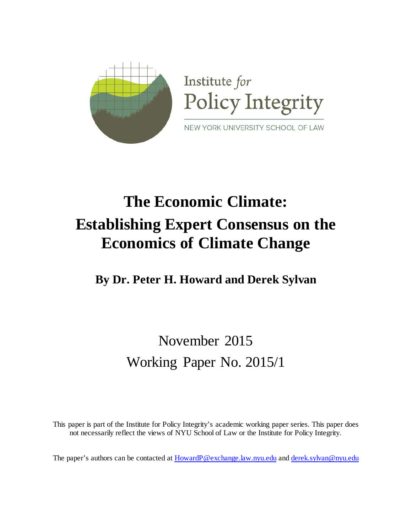

# **The Economic Climate: Establishing Expert Consensus on the Economics of Climate Change**

**By Dr. Peter H. Howard and Derek Sylvan**

November 2015 Working Paper No. 2015/1

This paper is part of the Institute for Policy Integrity's academic working paper series. This paper does not necessarily reflect the views of NYU School of Law or the Institute for Policy Integrity.

The paper's authors can be contacted a[t HowardP@exchange.law.nyu.edu](mailto:HowardP@exchange.law.nyu.edu) an[d derek.sylvan@nyu.edu](mailto:derek.sylvan@nyu.edu)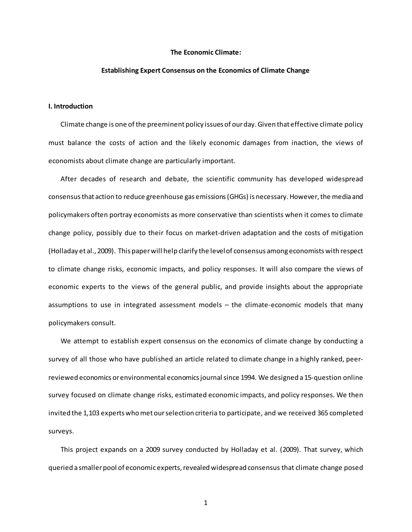#### **The Economic Climate:**

#### **Establishing Expert Consensus on the Economics of Climate Change**

#### **I. Introduction**

Climate change is one of the preeminent policy issues of our day. Given that effective climate policy must balance the costs of action and the likely economic damages from inaction, the views of economists about climate change are particularly important.

After decades of research and debate, the scientific community has developed widespread consensus that action to reduce greenhouse gas emissions(GHGs) is necessary. However, the media and policymakers often portray economists as more conservative than scientists when it comes to climate change policy, possibly due to their focus on market-driven adaptation and the costs of mitigation (Holladay et al., 2009). This paper will help clarify the level of consensus among economists with respect to climate change risks, economic impacts, and policy responses. It will also compare the views of economic experts to the views of the general public, and provide insights about the appropriate assumptions to use in integrated assessment models – the climate-economic models that many policymakers consult.

We attempt to establish expert consensus on the economics of climate change by conducting a survey of all those who have published an article related to climate change in a highly ranked, peerreviewed economics or environmental economics journal since 1994. We designed a 15-question online survey focused on climate change risks, estimated economic impacts, and policy responses. We then invited the 1,103 experts who met our selection criteria to participate, and we received 365 completed surveys.

This project expands on a 2009 survey conducted by Holladay et al. (2009). That survey, which queried a smaller pool of economic experts, revealed widespread consensus that climate change posed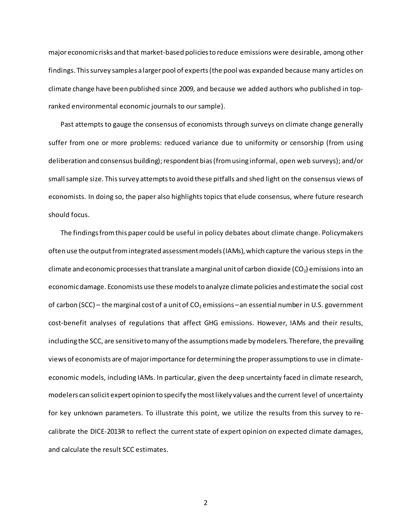major economic risks and that market-based policies to reduce emissions were desirable, among other findings. This survey samples a larger pool of experts (the pool was expanded because many articles on climate change have been published since 2009, and because we added authors who published in topranked environmental economic journals to our sample).

Past attempts to gauge the consensus of economists through surveys on climate change generally suffer from one or more problems: reduced variance due to uniformity or censorship (from using deliberation and consensus building); respondent bias (from using informal, open web surveys); and/or small sample size. This survey attempts to avoid these pitfalls and shed light on the consensus views of economists. In doing so, the paper also highlights topics that elude consensus, where future research should focus.

The findings from this paper could be useful in policy debates about climate change. Policymakers often use the output from integrated assessment models (IAMs), which capture the various steps in the climate and economic processes that translate a marginal unit of carbon dioxide ( $CO<sub>2</sub>$ ) emissions into an economic damage. Economists use these models to analyze climate policies and estimate the social cost of carbon (SCC) – the marginal cost of a unit of  $CO<sub>2</sub>$  emissions – an essential number in U.S. government cost-benefit analyses of regulations that affect GHG emissions. However, IAMs and their results, including the SCC, are sensitive to many of the assumptions made by modelers. Therefore, the prevailing views of economists are of major importance for determining the proper assumptions to use in climateeconomic models, including IAMs. In particular, given the deep uncertainty faced in climate research, modelers can solicit expert opinion to specify the most likely values and the current level of uncertainty for key unknown parameters. To illustrate this point, we utilize the results from this survey to recalibrate the DICE-2013R to reflect the current state of expert opinion on expected climate damages, and calculate the result SCC estimates.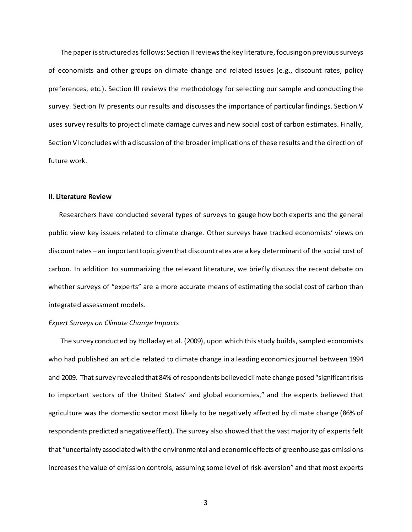The paper is structured as follows: Section II reviews the key literature, focusing on previous surveys of economists and other groups on climate change and related issues (e.g., discount rates, policy preferences, etc.). Section III reviews the methodology for selecting our sample and conducting the survey. Section IV presents our results and discusses the importance of particular findings. Section V uses survey results to project climate damage curves and new social cost of carbon estimates. Finally, Section VI concludes with a discussion of the broader implications of these results and the direction of future work.

#### **II. Literature Review**

 Researchers have conducted several types of surveys to gauge how both experts and the general public view key issues related to climate change. Other surveys have tracked economists' views on discount rates – an important topic given that discount rates are a key determinant of the social cost of carbon. In addition to summarizing the relevant literature, we briefly discuss the recent debate on whether surveys of "experts" are a more accurate means of estimating the social cost of carbon than integrated assessment models.

#### *Expert Surveys on Climate Change Impacts*

The survey conducted by Holladay et al. (2009), upon which this study builds, sampled economists who had published an article related to climate change in a leading economics journal between 1994 and 2009. That survey revealed that 84% of respondents believed climate change posed "significant risks to important sectors of the United States' and global economies," and the experts believed that agriculture was the domestic sector most likely to be negatively affected by climate change (86% of respondents predicted a negative effect). The survey also showed that the vast majority of experts felt that "uncertainty associated with the environmental and economic effects of greenhouse gas emissions increases the value of emission controls, assuming some level of risk-aversion" and that most experts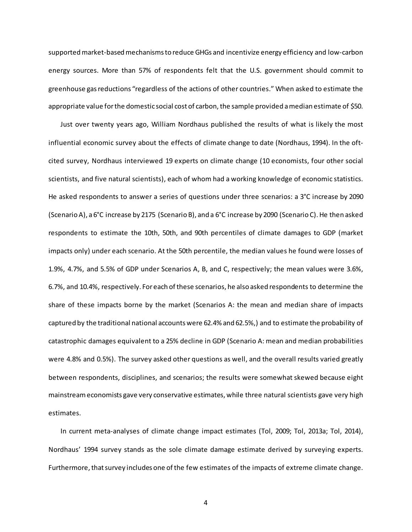supported market-based mechanisms to reduce GHGs and incentivize energy efficiency and low-carbon energy sources. More than 57% of respondents felt that the U.S. government should commit to greenhouse gas reductions "regardless of the actions of other countries." When asked to estimate the appropriate value for the domestic social cost of carbon, the sample provided a median estimate of \$50.

Just over twenty years ago, William Nordhaus published the results of what is likely the most influential economic survey about the effects of climate change to date (Nordhaus, 1994). In the oftcited survey, Nordhaus interviewed 19 experts on climate change (10 economists, four other social scientists, and five natural scientists), each of whom had a working knowledge of economic statistics. He asked respondents to answer a series of questions under three scenarios: a 3°C increase by 2090 (Scenario A), a 6°C increase by 2175 (Scenario B), and a 6°C increase by 2090 (Scenario C). He then asked respondents to estimate the 10th, 50th, and 90th percentiles of climate damages to GDP (market impacts only) under each scenario. At the 50th percentile, the median values he found were losses of 1.9%, 4.7%, and 5.5% of GDP under Scenarios A, B, and C, respectively; the mean values were 3.6%, 6.7%, and 10.4%, respectively. For each of these scenarios, he also asked respondents to determine the share of these impacts borne by the market (Scenarios A: the mean and median share of impacts captured by the traditional national accounts were 62.4% and 62.5%,) and to estimate the probability of catastrophic damages equivalent to a 25% decline in GDP (Scenario A: mean and median probabilities were 4.8% and 0.5%). The survey asked other questions as well, and the overall results varied greatly between respondents, disciplines, and scenarios; the results were somewhat skewed because eight mainstream economists gave very conservative estimates, while three natural scientists gave very high estimates.

In current meta-analyses of climate change impact estimates (Tol, 2009; Tol, 2013a; Tol, 2014), Nordhaus' 1994 survey stands as the sole climate damage estimate derived by surveying experts. Furthermore, that survey includes one of the few estimates of the impacts of extreme climate change.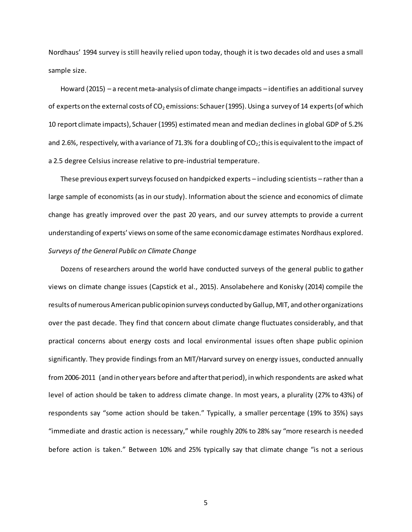Nordhaus' 1994 survey is still heavily relied upon today, though it is two decades old and uses a small sample size.

Howard (2015) – a recent meta-analysis of climate change impacts – identifies an additional survey of experts on the external costs of  $CO<sub>2</sub>$  emissions: Schauer (1995). Using a survey of 14 experts (of which 10 report climate impacts), Schauer (1995) estimated mean and median declines in global GDP of 5.2% and 2.6%, respectively, with a variance of 71.3% for a doubling of  $CO_2$ ; this is equivalent to the impact of a 2.5 degree Celsius increase relative to pre-industrial temperature.

These previous expert surveysfocused on handpicked experts – including scientists – rather than a large sample of economists (as in our study). Information about the science and economics of climate change has greatly improved over the past 20 years, and our survey attempts to provide a current understandingof experts' views on some of the same economic damage estimates Nordhaus explored. *Surveys of the General Public on Climate Change*

Dozens of researchers around the world have conducted surveys of the general public to gather views on climate change issues (Capstick et al., 2015). Ansolabehere and Konisky (2014) compile the results of numerous American public opinion surveys conducted by Gallup, MIT, and other organizations over the past decade. They find that concern about climate change fluctuates considerably, and that practical concerns about energy costs and local environmental issues often shape public opinion significantly. They provide findings from an MIT/Harvard survey on energy issues, conducted annually from 2006-2011 (and in other years before and after that period), in which respondents are asked what level of action should be taken to address climate change. In most years, a plurality (27% to 43%) of respondents say "some action should be taken." Typically, a smaller percentage (19% to 35%) says "immediate and drastic action is necessary," while roughly 20% to 28% say "more research is needed before action is taken." Between 10% and 25% typically say that climate change "is not a serious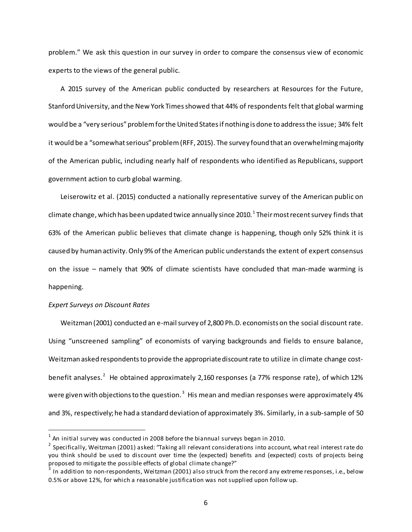problem." We ask this question in our survey in order to compare the consensus view of economic experts to the views of the general public.

A 2015 survey of the American public conducted by researchers at Resources for the Future, Stanford University, and the New York Times showed that 44% of respondents felt that global warming would be a "very serious" problem for the United States if nothing is done to address the issue; 34% felt it would be a "somewhat serious" problem (RFF, 2015). The survey found that an overwhelming majority of the American public, including nearly half of respondents who identified as Republicans, support government action to curb global warming.

Leiserowitz et al. (2015) conducted a nationally representative survey of the American public on climate change, which has been updated twice annually since 20[1](#page-6-0)0.  $^{\rm 1}$  Their most recent survey finds that 63% of the American public believes that climate change is happening, though only 52% think it is caused by human activity. Only 9% of the American public understands the extent of expert consensus on the issue – namely that 90% of climate scientists have concluded that man-made warming is happening.

#### *Expert Surveys on Discount Rates*

Weitzman (2001) conducted an e-mail survey of 2,800 Ph.D. economists on the social discount rate. Using "unscreened sampling" of economists of varying backgrounds and fields to ensure balance, Weitzman asked respondents to provide the appropriate discount rate to utilize in climate change cost-benefit analyses.<sup>[2](#page-6-1)</sup> He obtained approximately 2,160 responses (a 77% response rate), of which 12% were given with objections to the question. $^3\,$  $^3\,$  $^3\,$  His mean and median responses were approximately 4% and 3%, respectively; he had a standard deviation of approximately 3%. Similarly, in a sub-sample of 50

<span id="page-6-0"></span> $1$  An initial survey was conducted in 2008 before the biannual surveys began in 2010.

<span id="page-6-1"></span><sup>&</sup>lt;sup>2</sup> Specifically, Weitzman (2001) asked: "Taking all relevant considerations into account, what real interest rate do you think should be used to discount over time the (expected) benefits and (expected) costs of projects being proposed to mitigate the possible effects of global climate change?"

<span id="page-6-2"></span>In addition to non-respondents, Weitzman (2001) also struck from the record any extreme responses, i.e., below 0.5% or above 12%, for which a reasonable justification was not supplied upon follow up.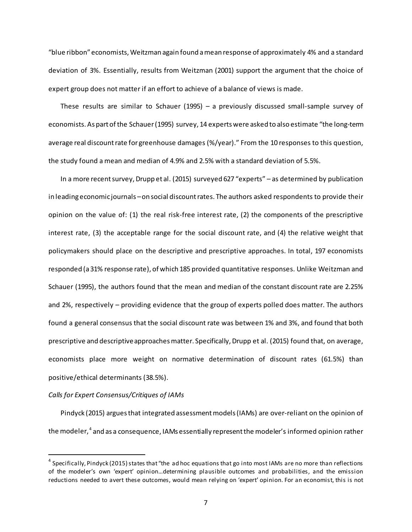"blue ribbon" economists, Weitzman again found a mean response of approximately 4% and a standard deviation of 3%. Essentially, results from Weitzman (2001) support the argument that the choice of expert group does not matter if an effort to achieve of a balance of views is made.

These results are similar to Schauer (1995) – a previously discussed small-sample survey of economists. As part of the Schauer (1995) survey, 14 experts were asked to also estimate "the long-term average real discount rate for greenhouse damages (%/year)." From the 10 responses to this question, the study found a mean and median of 4.9% and 2.5% with a standard deviation of 5.5%.

In a more recent survey, Drupp et al. (2015) surveyed 627 "experts" – as determined by publication in leading economic journals – on social discount rates. The authors asked respondents to provide their opinion on the value of: (1) the real risk-free interest rate, (2) the components of the prescriptive interest rate, (3) the acceptable range for the social discount rate, and (4) the relative weight that policymakers should place on the descriptive and prescriptive approaches. In total, 197 economists responded (a 31% response rate), of which 185 provided quantitative responses. Unlike Weitzman and Schauer (1995), the authors found that the mean and median of the constant discount rate are 2.25% and 2%, respectively – providing evidence that the group of experts polled does matter. The authors found a general consensus that the social discount rate was between 1% and 3%, and found that both prescriptive and descriptive approaches matter. Specifically, Drupp et al. (2015) found that, on average, economists place more weight on normative determination of discount rates (61.5%) than positive/ethical determinants (38.5%).

#### *Calls for Expert Consensus/Critiques of IAMs*

Pindyck (2015) argues that integrated assessment models (IAMs) are over-reliant on the opinion of the modeler,  $^4$  $^4$  and as a consequence, IAMs essentially represent the modeler's informed opinion rather

<span id="page-7-0"></span> $<sup>4</sup>$  Specifically, Pindyck (2015) states that "the ad hoc equations that go into most IAMs are no more than reflections</sup> of the modeler's own 'expert' opinion…determining plausible outcomes and probabilities, and the emission reductions needed to avert these outcomes, would mean relying on 'expert' opinion. For an economist, this is not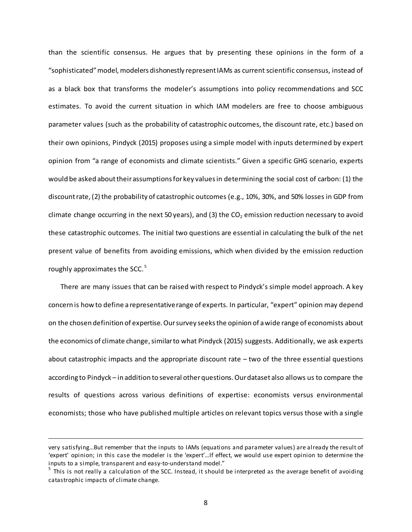than the scientific consensus. He argues that by presenting these opinions in the form of a "sophisticated" model, modelers dishonestly represent IAMs as current scientific consensus, instead of as a black box that transforms the modeler's assumptions into policy recommendations and SCC estimates. To avoid the current situation in which IAM modelers are free to choose ambiguous parameter values (such as the probability of catastrophic outcomes, the discount rate, etc.) based on their own opinions, Pindyck (2015) proposes using a simple model with inputs determined by expert opinion from "a range of economists and climate scientists." Given a specific GHG scenario, experts would be asked about their assumptions for key values in determining the social cost of carbon: (1) the discount rate, (2) the probability of catastrophic outcomes (e.g., 10%, 30%, and 50% losses in GDP from climate change occurring in the next 50 years), and (3) the  $CO<sub>2</sub>$  emission reduction necessary to avoid these catastrophic outcomes. The initial two questions are essential in calculating the bulk of the net present value of benefits from avoiding emissions, which when divided by the emission reduction roughly approximates the SCC.<sup>[5](#page-8-0)</sup>

There are many issues that can be raised with respect to Pindyck's simple model approach. A key concern is how to define a representative range of experts. In particular, "expert" opinion may depend on the chosen definition of expertise. Our survey seeks the opinion of a wide range of economists about the economics of climate change, similar to what Pindyck (2015) suggests. Additionally, we ask experts about catastrophic impacts and the appropriate discount rate – two of the three essential questions according to Pindyck – in addition to several other questions. Our dataset also allows us to compare the results of questions across various definitions of expertise: economists versus environmental economists; those who have published multiple articles on relevant topics versus those with a single

 $\overline{a}$ 

very satisfying…But remember that the inputs to IAMs (equations and parameter values) are already the result of 'expert' opinion; in this case the modeler is the 'expert'…If effect, we would use expert opinion to determine the inputs to a simple, transparent and easy-to-understand model."<br><sup>5</sup> This is not really a calculation of the SCC. Instead, it should be interpreted as the average benefit of avoiding

<span id="page-8-0"></span>catastrophic impacts of climate change.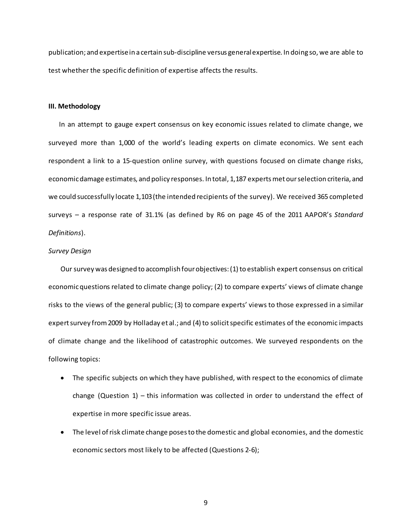publication; and expertise in a certain sub-discipline versus general expertise. In doing so, we are able to test whether the specific definition of expertise affects the results.

#### **III. Methodology**

 In an attempt to gauge expert consensus on key economic issues related to climate change, we surveyed more than 1,000 of the world's leading experts on climate economics. We sent each respondent a link to a 15-question online survey, with questions focused on climate change risks, economic damage estimates, and policy responses. In total, 1,187 experts met our selection criteria, and we could successfully locate 1,103 (the intended recipients of the survey). We received 365 completed surveys – a response rate of 31.1% (as defined by R6 on page 45 of the 2011 AAPOR's *Standard Definitions*).

#### *Survey Design*

Our survey was designed to accomplish four objectives: (1) to establish expert consensus on critical economic questions related to climate change policy; (2) to compare experts' views of climate change risks to the views of the general public; (3) to compare experts' views to those expressed in a similar expert survey from 2009 by Holladay et al.; and (4) to solicit specific estimates of the economic impacts of climate change and the likelihood of catastrophic outcomes. We surveyed respondents on the following topics:

- The specific subjects on which they have published, with respect to the economics of climate change (Question  $1$ ) – this information was collected in order to understand the effect of expertise in more specific issue areas.
- The level of risk climate change poses to the domestic and global economies, and the domestic economic sectors most likely to be affected (Questions 2-6);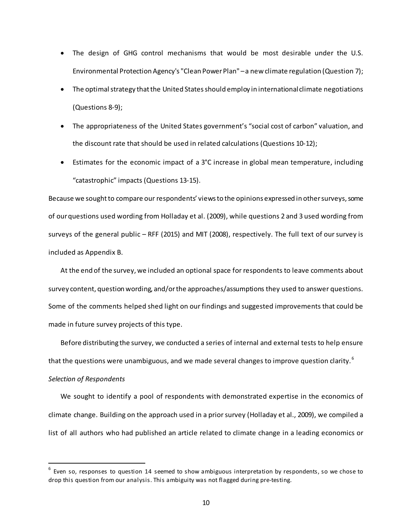- The design of GHG control mechanisms that would be most desirable under the U.S. Environmental Protection Agency's "Clean Power Plan" –a new climate regulation (Question 7);
- The optimal strategy that the United States should employ in international climate negotiations (Questions 8-9);
- The appropriateness of the United States government's "social cost of carbon" valuation, and the discount rate that should be used in related calculations (Questions 10-12);
- Estimates for the economic impact of a 3°C increase in global mean temperature, including "catastrophic" impacts (Questions 13-15).

Because we sought to compare our respondents' views to the opinions expressed in other surveys, some of our questions used wording from Holladay et al. (2009), while questions 2 and 3 used wording from surveys of the general public – RFF (2015) and MIT (2008), respectively. The full text of oursurvey is included as Appendix B.

At the end of the survey, we included an optional space for respondents to leave comments about survey content, question wording, and/or the approaches/assumptions they used to answer questions. Some of the comments helped shed light on our findings and suggested improvements that could be made in future survey projects of this type.

Before distributing the survey, we conducted a series of internal and external tests to help ensure that the questions were unambiguous, and we made several changes to improve question clarity.<sup>[6](#page-10-0)</sup>

# *Selection of Respondents*

We sought to identify a pool of respondents with demonstrated expertise in the economics of climate change. Building on the approach used in a prior survey (Holladay et al., 2009), we compiled a list of all authors who had published an article related to climate change in a leading economics or

<span id="page-10-0"></span> $6$  Even so, responses to question 14 seemed to show ambiguous interpretation by respondents, so we chose to drop this question from our analysis. This ambiguity was not flagged during pre-testing.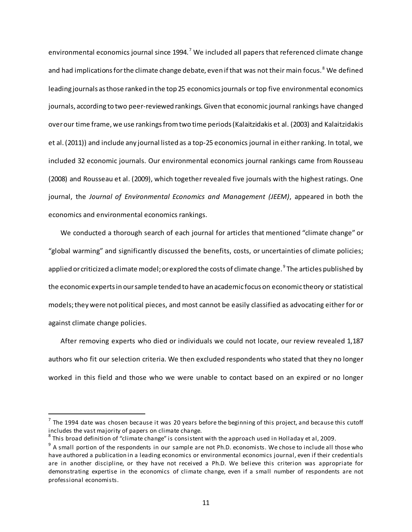environmental economics journal since 1994.<sup>[7](#page-11-0)</sup> We included all papers that referenced climate change and had implications for the climate change debate, even if that was not their main focus.<sup>[8](#page-11-1)</sup> We defined leading journals as those ranked in the top 25 economics journals or top five environmental economics journals, according to two peer-reviewed rankings. Given that economic journal rankings have changed over our time frame, we use rankings from two time periods (Kalaitzidakis et al. (2003) and Kalaitzidakis et al. (2011)) and include any journal listed as a top-25 economics journal in either ranking. In total, we included 32 economic journals. Our environmental economics journal rankings came from Rousseau (2008) and Rousseau et al. (2009), which together revealed five journals with the highest ratings. One journal, the *Journal of Environmental Economics and Management (JEEM)*, appeared in both the economics and environmental economics rankings.

We conducted a thorough search of each journal for articles that mentioned "climate change" or "global warming" and significantly discussed the benefits, costs, or uncertainties of climate policies; applied or criticized a climate model; or explored the costs of climate change.  $^9$  $^9$  The articles published by the economic expertsin our sample tended to have an academic focus on economic theory or statistical models; they were not political pieces, and most cannot be easily classified as advocating either for or against climate change policies.

After removing experts who died or individuals we could not locate, our review revealed 1,187 authors who fit our selection criteria. We then excluded respondents who stated that they no longer worked in this field and those who we were unable to contact based on an expired or no longer

<span id="page-11-0"></span> $7$  The 1994 date was chosen because it was 20 years before the beginning of this project, and because this cutoff includes the vast majority of papers on climate change.

<span id="page-11-1"></span> $^8$  This broad definition of "climate change" is consistent with the approach used in Holladay et al, 2009.

<span id="page-11-2"></span> $9$  A small portion of the respondents in our sample are not Ph.D. economists. We chose to include all those who have authored a publication in a leading economics or environmental economics journal, even if their credentials are in another discipline, or they have not received a Ph.D. We believe this criterion was appropriate for demonstrating expertise in the economics of climate change, even if a small number of respondents are not professional economists.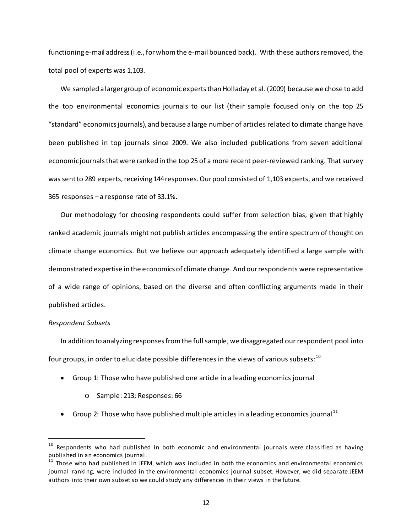functioning e-mail address (i.e., for whom the e-mail bounced back). With these authors removed, the total pool of experts was 1,103.

We sampled a larger group of economic experts than Holladay et al. (2009) because we chose to add the top environmental economics journals to our list (their sample focused only on the top 25 "standard" economics journals), and because a large number of articles related to climate change have been published in top journals since 2009. We also included publications from seven additional economic journals that were ranked in the top 25 of a more recent peer-reviewed ranking. That survey was sent to 289 experts, receiving 144 responses. Our pool consisted of 1,103 experts, and we received 365 responses – a response rate of 33.1%.

Our methodology for choosing respondents could suffer from selection bias, given that highly ranked academic journals might not publish articles encompassing the entire spectrum of thought on climate change economics. But we believe our approach adequately identified a large sample with demonstrated expertise in the economics of climate change. And ourrespondents were representative of a wide range of opinions, based on the diverse and often conflicting arguments made in their published articles.

#### *Respondent Subsets*

In addition to analyzing responses from the full sample, we disaggregated our respondent pool into four groups, in order to elucidate possible differences in the views of various subsets:  $10$ 

- Group 1: Those who have published one article in a leading economics journal
	- o Sample: 213; Responses: 66
- Group 2: Those who have published multiple articles in a leading economics journal  $^{11}$  $^{11}$  $^{11}$

<span id="page-12-0"></span> $10$  Respondents who had published in both economic and environmental journals were classified as having published in an economics journal.

<span id="page-12-1"></span><sup>11</sup> Those who had published in JEEM, which was included in both the economics and environmental economics journal ranking, were included in the environmental economics journal subset. However, we did separate JEEM authors into their own subset so we could study any differences in their views in the future.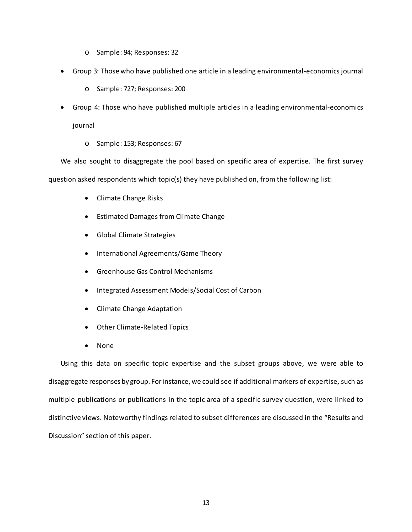- o Sample: 94; Responses: 32
- Group 3: Those who have published one article in a leading environmental-economics journal
	- o Sample: 727; Responses: 200
- Group 4: Those who have published multiple articles in a leading environmental-economics journal
	- o Sample: 153; Responses: 67

We also sought to disaggregate the pool based on specific area of expertise. The first survey question asked respondents which topic(s) they have published on, from the following list:

- Climate Change Risks
- Estimated Damages from Climate Change
- Global Climate Strategies
- International Agreements/Game Theory
- Greenhouse Gas Control Mechanisms
- Integrated Assessment Models/Social Cost of Carbon
- Climate Change Adaptation
- Other Climate-Related Topics
- None

Using this data on specific topic expertise and the subset groups above, we were able to disaggregate responses by group. For instance, we could see if additional markers of expertise, such as multiple publications or publications in the topic area of a specific survey question, were linked to distinctive views. Noteworthy findings related to subset differences are discussed in the "Results and Discussion" section of this paper.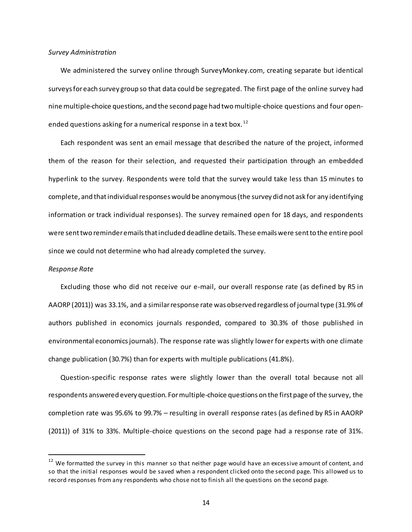#### *Survey Administration*

We administered the survey online through SurveyMonkey.com, creating separate but identical surveys for each survey group so that data could be segregated. The first page of the online survey had nine multiple-choice questions, and the second page had two multiple-choice questions and four open-ended questions asking for a numerical response in a text box.<sup>[12](#page-14-0)</sup>

Each respondent was sent an email message that described the nature of the project, informed them of the reason for their selection, and requested their participation through an embedded hyperlink to the survey. Respondents were told that the survey would take less than 15 minutes to complete, and that individual responses would be anonymous (the survey did not ask for any identifying information or track individual responses). The survey remained open for 18 days, and respondents were sent two reminder emails that included deadline details. These emails were sent to the entire pool since we could not determine who had already completed the survey.

#### *Response Rate*

Excluding those who did not receive our e-mail, our overall response rate (as defined by R5 in AAORP (2011)) was 33.1%, and a similar response rate was observed regardless of journal type (31.9% of authors published in economics journals responded, compared to 30.3% of those published in environmental economics journals). The response rate was slightly lower for experts with one climate change publication (30.7%) than for experts with multiple publications (41.8%).

Question-specific response rates were slightly lower than the overall total because not all respondents answered every question. For multiple-choice questions on the first page of the survey, the completion rate was 95.6% to 99.7% – resulting in overall response rates (as defined by R5 in AAORP (2011)) of 31% to 33%. Multiple-choice questions on the second page had a response rate of 31%.

<span id="page-14-0"></span> $12$  We formatted the survey in this manner so that neither page would have an excessive amount of content, and so that the initial responses would be saved when a respondent clicked onto the second page. This allowed us to record responses from any respondents who chose not to finish all the questions on the second page.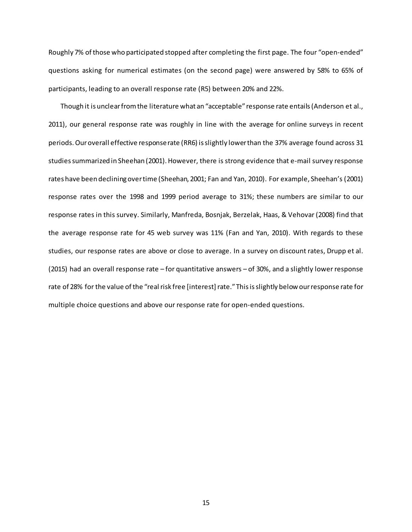Roughly 7% of those who participated stopped after completing the first page. The four "open-ended" questions asking for numerical estimates (on the second page) were answered by 58% to 65% of participants, leading to an overall response rate (R5) between 20% and 22%.

Though it is unclear from the literature what an "acceptable" response rate entails (Anderson et al., 2011), our general response rate was roughly in line with the average for online surveys in recent periods. Our overall effective response rate (RR6) is slightly lower than the 37% average found across 31 studies summarized in Sheehan (2001). However, there is strong evidence that e-mail survey response rates have been declining over time (Sheehan, 2001; Fan and Yan, 2010). For example, Sheehan's (2001) response rates over the 1998 and 1999 period average to 31%; these numbers are similar to our response rates in this survey. Similarly, Manfreda, Bosnjak, Berzelak, Haas, & Vehovar (2008) find that the average response rate for 45 web survey was 11% (Fan and Yan, 2010). With regards to these studies, our response rates are above or close to average. In a survey on discount rates, Drupp et al. (2015) had an overall response rate – for quantitative answers – of 30%, and a slightly lower response rate of 28% for the value of the "real risk free [interest] rate." This is slightly below our response rate for multiple choice questions and above our response rate for open-ended questions.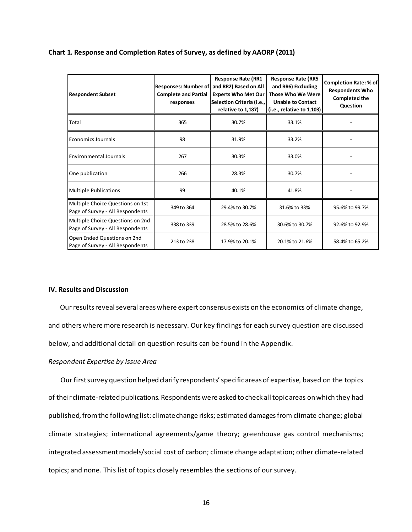## **Chart 1. Response and Completion Rates of Survey, as defined by AAORP (2011)**

| <b>Respondent Subset</b>                                             | <b>Responses: Number of</b><br><b>Complete and Partial</b><br>responses | <b>Response Rate (RR1</b><br>and RR2) Based on All<br><b>Experts Who Met Our</b><br>Selection Criteria (i.e.,<br>relative to 1,187) | <b>Response Rate (RR5</b><br>and RR6) Excluding<br>Those Who We Were<br><b>Unable to Contact</b><br>$(i.e.,$ relative to $1,103$ | <b>Completion Rate: % of</b><br><b>Respondents Who</b><br><b>Completed the</b><br>Question |
|----------------------------------------------------------------------|-------------------------------------------------------------------------|-------------------------------------------------------------------------------------------------------------------------------------|----------------------------------------------------------------------------------------------------------------------------------|--------------------------------------------------------------------------------------------|
| Total                                                                | 365                                                                     | 30.7%                                                                                                                               | 33.1%                                                                                                                            |                                                                                            |
| Economics Journals                                                   | 98                                                                      | 31.9%                                                                                                                               | 33.2%                                                                                                                            |                                                                                            |
| <b>Environmental Journals</b>                                        | 267                                                                     | 30.3%                                                                                                                               | 33.0%                                                                                                                            |                                                                                            |
| One publication                                                      | 266                                                                     | 28.3%                                                                                                                               | 30.7%                                                                                                                            |                                                                                            |
| <b>Multiple Publications</b>                                         | 99                                                                      | 40.1%                                                                                                                               | 41.8%                                                                                                                            |                                                                                            |
| Multiple Choice Questions on 1st<br>Page of Survey - All Respondents | 349 to 364                                                              | 29.4% to 30.7%                                                                                                                      | 31.6% to 33%                                                                                                                     | 95.6% to 99.7%                                                                             |
| Multiple Choice Questions on 2nd<br>Page of Survey - All Respondents | 338 to 339                                                              | 28.5% to 28.6%                                                                                                                      | 30.6% to 30.7%                                                                                                                   | 92.6% to 92.9%                                                                             |
| Open Ended Questions on 2nd<br>Page of Survey - All Respondents      | 213 to 238                                                              | 17.9% to 20.1%                                                                                                                      | 20.1% to 21.6%                                                                                                                   | 58.4% to 65.2%                                                                             |

## **IV. Results and Discussion**

 Our results reveal several areas where expert consensus exists on the economics of climate change, and others where more research is necessary. Our key findings for each survey question are discussed below, and additional detail on question results can be found in the Appendix.

#### *Respondent Expertise by Issue Area*

Our firstsurvey question helped clarify respondents' specific areas of expertise, based on the topics of their climate-related publications. Respondents were asked to check all topic areas on which they had published, from the following list: climate change risks; estimated damages from climate change; global climate strategies; international agreements/game theory; greenhouse gas control mechanisms; integrated assessment models/social cost of carbon; climate change adaptation; other climate-related topics; and none. This list of topics closely resembles the sections of our survey.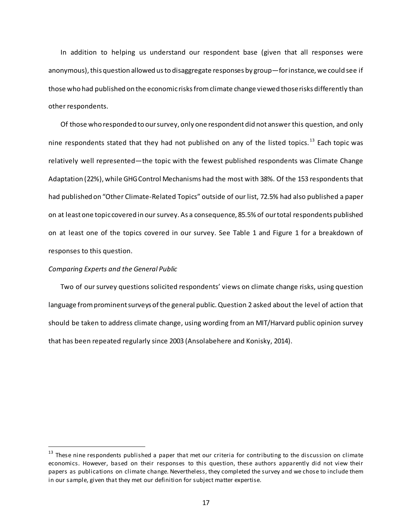In addition to helping us understand our respondent base (given that all responses were anonymous), this question allowed us to disaggregate responses by group—for instance, we could see if those who had published on the economic risks from climate change viewed those risks differently than other respondents.

Of those who responded to our survey, only one respondent did not answer this question, and only nine respondents stated that they had not published on any of the listed topics.<sup>[13](#page-17-0)</sup> Each topic was relatively well represented—the topic with the fewest published respondents was Climate Change Adaptation (22%), while GHG Control Mechanisms had the most with 38%. Of the 153 respondents that had published on "Other Climate-Related Topics" outside of our list, 72.5% had also published a paper on at least one topic covered in our survey. As a consequence, 85.5% of our total respondents published on at least one of the topics covered in our survey. See Table 1 and Figure 1 for a breakdown of responses to this question.

#### *Comparing Experts and the General Public*

Two of our survey questions solicited respondents' views on climate change risks, using question language from prominent surveys of the general public. Question 2 asked about the level of action that should be taken to address climate change, using wording from an MIT/Harvard public opinion survey that has been repeated regularly since 2003 (Ansolabehere and Konisky, 2014).

<span id="page-17-0"></span><sup>&</sup>lt;sup>13</sup> These nine respondents published a paper that met our criteria for contributing to the discussion on climate economics. However, based on their responses to this question, these authors apparently did not view their papers as publications on climate change. Nevertheless, they completed the survey and we chose to include them in our sample, given that they met our definition for subject matter expertise.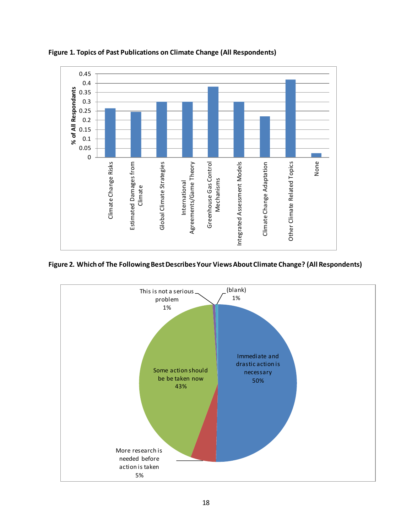

**Figure 1. Topics of Past Publications on Climate Change (All Respondents)**

**Figure 2. Which of The Following Best Describes Your Views About Climate Change? (All Respondents)**

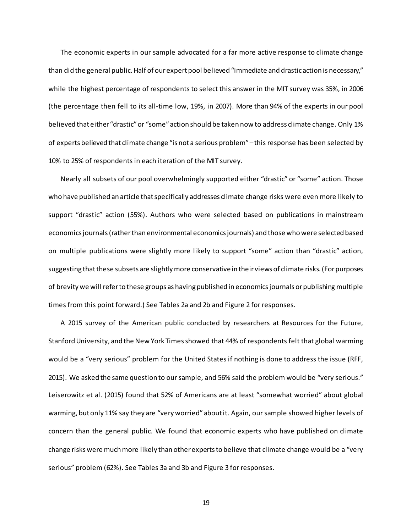The economic experts in our sample advocated for a far more active response to climate change than did the general public. Half of our expert pool believed "immediate and drastic action is necessary," while the highest percentage of respondents to select this answer in the MIT survey was 35%, in 2006 (the percentage then fell to its all-time low, 19%, in 2007). More than 94% of the experts in our pool believed that either "drastic" or "some" action should be taken now to address climate change. Only 1% of experts believed that climate change "is not a serious problem" –this response has been selected by 10% to 25% of respondents in each iteration of the MIT survey.

Nearly all subsets of our pool overwhelmingly supported either "drastic" or "some" action. Those who have published an article that specifically addresses climate change risks were even more likely to support "drastic" action (55%). Authors who were selected based on publications in mainstream economics journals (rather than environmental economics journals) and those who were selected based on multiple publications were slightly more likely to support "some" action than "drastic" action, suggesting that these subsets are slightly more conservative in their views of climate risks. (For purposes of brevity we will refer to these groups as having published in economics journals or publishing multiple times from this point forward.) See Tables 2a and 2b and Figure 2 for responses.

A 2015 survey of the American public conducted by researchers at Resources for the Future, Stanford University, and the New York Times showed that 44% of respondents felt that global warming would be a "very serious" problem for the United States if nothing is done to address the issue (RFF, 2015). We asked the same question to our sample, and 56% said the problem would be "very serious." Leiserowitz et al. (2015) found that 52% of Americans are at least "somewhat worried" about global warming, but only 11% say they are "very worried" about it. Again, our sample showed higher levels of concern than the general public. We found that economic experts who have published on climate change risks were much more likely than other experts to believe that climate change would be a "very serious" problem (62%). See Tables 3a and 3b and Figure 3 for responses.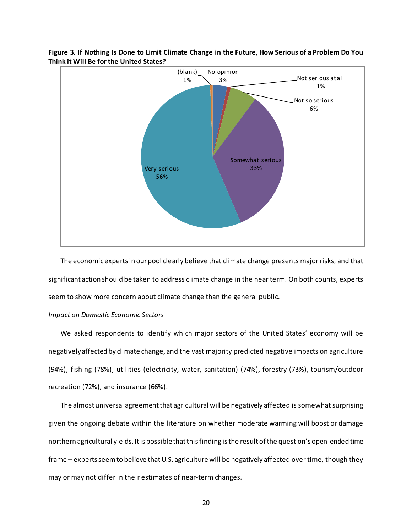

# **Figure 3. If Nothing Is Done to Limit Climate Change in the Future, How Serious of a Problem Do You Think it Will Be for the United States?**

The economic expertsin our pool clearly believe that climate change presents major risks, and that significant action should be taken to address climate change in the near term. On both counts, experts seem to show more concern about climate change than the general public.

#### *Impact on Domestic Economic Sectors*

We asked respondents to identify which major sectors of the United States' economy will be negatively affected by climate change, and the vast majority predicted negative impacts on agriculture (94%), fishing (78%), utilities (electricity, water, sanitation) (74%), forestry (73%), tourism/outdoor recreation (72%), and insurance (66%).

The almost universal agreement that agricultural will be negatively affected is somewhat surprising given the ongoing debate within the literature on whether moderate warming will boost or damage northern agricultural yields. It is possible that this finding is the result of the question's open-ended time frame – experts seem to believe that U.S. agriculture will be negatively affected over time, though they may or may not differ in their estimates of near-term changes.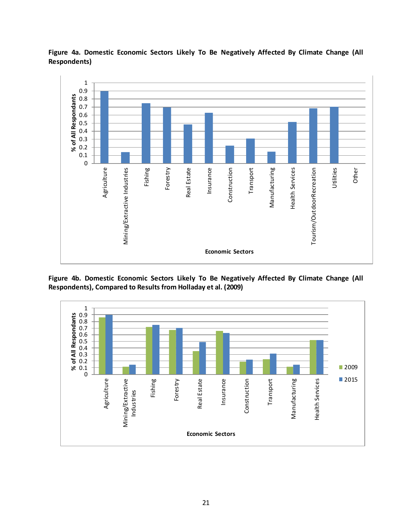

**Figure 4a. Domestic Economic Sectors Likely To Be Negatively Affected By Climate Change (All Respondents)**

**Figure 4b. Domestic Economic Sectors Likely To Be Negatively Affected By Climate Change (All Respondents), Compared to Results from Holladay et al. (2009)**

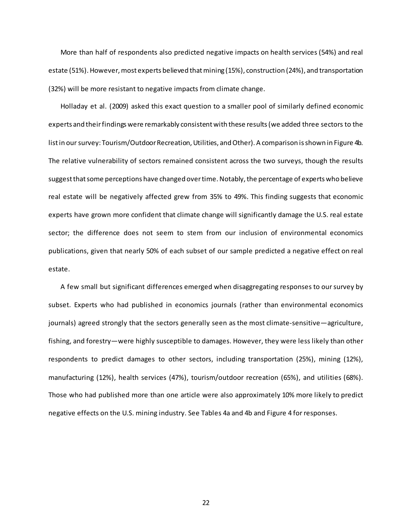More than half of respondents also predicted negative impacts on health services (54%) and real estate (51%). However, most experts believed that mining (15%), construction (24%), and transportation (32%) will be more resistant to negative impacts from climate change.

Holladay et al. (2009) asked this exact question to a smaller pool of similarly defined economic experts and their findings were remarkably consistent with these results(we added three sectors to the list in our survey: Tourism/Outdoor Recreation, Utilities, and Other). A comparison is shown in Figure 4b. The relative vulnerability of sectors remained consistent across the two surveys, though the results suggest that some perceptions have changed over time. Notably, the percentage of experts who believe real estate will be negatively affected grew from 35% to 49%. This finding suggests that economic experts have grown more confident that climate change will significantly damage the U.S. real estate sector; the difference does not seem to stem from our inclusion of environmental economics publications, given that nearly 50% of each subset of our sample predicted a negative effect on real estate.

A few small but significant differences emerged when disaggregating responses to our survey by subset. Experts who had published in economics journals (rather than environmental economics journals) agreed strongly that the sectors generally seen as the most climate-sensitive—agriculture, fishing, and forestry—were highly susceptible to damages. However, they were less likely than other respondents to predict damages to other sectors, including transportation (25%), mining (12%), manufacturing (12%), health services (47%), tourism/outdoor recreation (65%), and utilities (68%). Those who had published more than one article were also approximately 10% more likely to predict negative effects on the U.S. mining industry. See Tables 4a and 4b and Figure 4 for responses.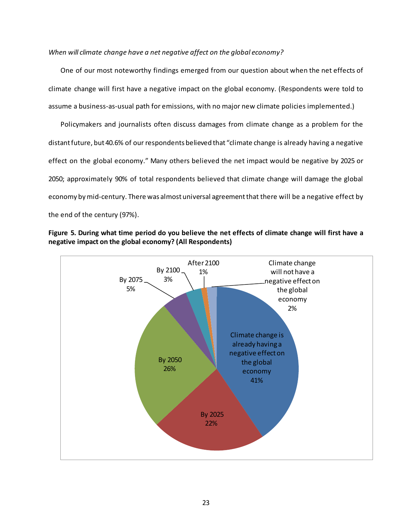## *When will climate change have a net negative affect on the global economy?*

One of our most noteworthy findings emerged from our question about when the net effects of climate change will first have a negative impact on the global economy. (Respondents were told to assume a business-as-usual path for emissions, with no major new climate policies implemented.)

Policymakers and journalists often discuss damages from climate change as a problem for the distant future, but 40.6% of our respondents believed that "climate change is already having a negative effect on the global economy." Many others believed the net impact would be negative by 2025 or 2050; approximately 90% of total respondents believed that climate change will damage the global economy by mid-century. There was almost universal agreement that there will be a negative effect by the end of the century (97%).



**Figure 5. During what time period do you believe the net effects of climate change will first have a negative impact on the global economy? (All Respondents)**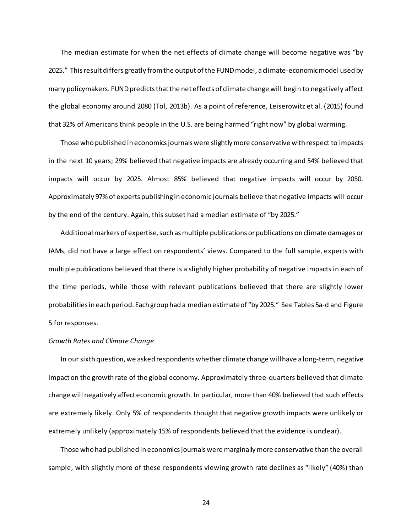The median estimate for when the net effects of climate change will become negative was "by 2025." This result differs greatly from the output of the FUND model, a climate-economic model used by many policymakers. FUND predicts that the net effects of climate change will begin to negatively affect the global economy around 2080 (Tol, 2013b). As a point of reference, Leiserowitz et al. (2015) found that 32% of Americans think people in the U.S. are being harmed "right now" by global warming.

Those who published in economics journals were slightly more conservative with respect to impacts in the next 10 years; 29% believed that negative impacts are already occurring and 54% believed that impacts will occur by 2025. Almost 85% believed that negative impacts will occur by 2050. Approximately 97% of experts publishing in economic journals believe that negative impacts will occur by the end of the century. Again, this subset had a median estimate of "by 2025."

Additional markers of expertise, such as multiple publications or publications on climate damages or IAMs, did not have a large effect on respondents' views. Compared to the full sample, experts with multiple publications believed that there is a slightly higher probability of negative impacts in each of the time periods, while those with relevant publications believed that there are slightly lower probabilities in each period. Each group had a median estimate of "by 2025." See Tables 5a-d and Figure 5 for responses.

## *Growth Rates and Climate Change*

In our sixth question, we asked respondents whether climate change will have a long-term, negative impact on the growth rate of the global economy. Approximately three-quarters believed that climate change will negatively affect economic growth. In particular, more than 40% believed that such effects are extremely likely. Only 5% of respondents thought that negative growth impacts were unlikely or extremely unlikely (approximately 15% of respondents believed that the evidence is unclear).

Those who had published in economics journals were marginallymore conservative than the overall sample, with slightly more of these respondents viewing growth rate declines as "likely" (40%) than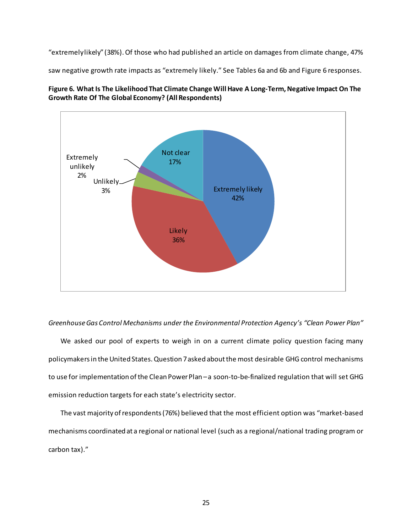"extremely likely" (38%). Of those who had published an article on damages from climate change, 47%

saw negative growth rate impacts as "extremely likely." See Tables 6a and 6b and Figure 6 responses.





*Greenhouse Gas Control Mechanisms under the Environmental Protection Agency's "Clean Power Plan"*

We asked our pool of experts to weigh in on a current climate policy question facing many policymakers in the United States. Question 7 asked about the most desirable GHG control mechanisms to use for implementation of the Clean Power Plan - a soon-to-be-finalized regulation that will set GHG emission reduction targets for each state's electricity sector.

The vast majority of respondents (76%) believed that the most efficient option was "market-based mechanisms coordinated at a regional or national level (such as a regional/national trading program or carbon tax)."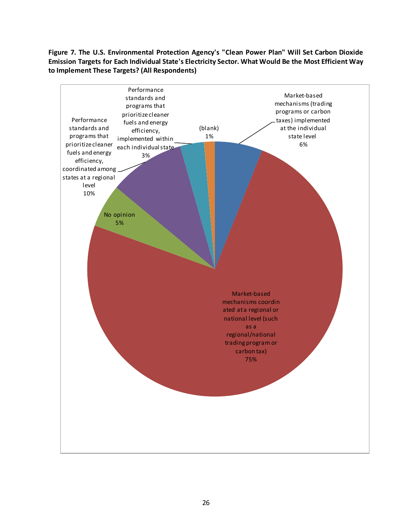# **Figure 7. The U.S. Environmental Protection Agency's "Clean Power Plan" Will Set Carbon Dioxide Emission Targets for Each Individual State's Electricity Sector. What Would Be the Most Efficient Way to Implement These Targets? (All Respondents)**

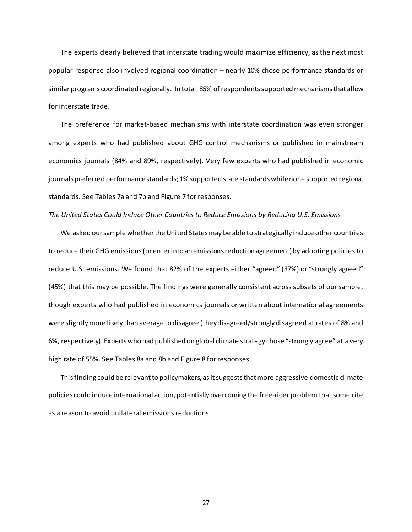The experts clearly believed that interstate trading would maximize efficiency, as the next most popular response also involved regional coordination – nearly 10% chose performance standards or similar programs coordinated regionally. In total, 85% of respondents supported mechanisms that allow for interstate trade.

The preference for market-based mechanisms with interstate coordination was even stronger among experts who had published about GHG control mechanisms or published in mainstream economics journals (84% and 89%, respectively). Very few experts who had published in economic journals preferred performance standards; 1% supported state standards while none supported regional standards. See Tables 7a and 7b and Figure 7 for responses.

#### *The United States Could Induce Other Countries to Reduce Emissions by Reducing U.S. Emissions*

We asked our sample whether the United States may be able to strategically induce other countries to reduce their GHG emissions (or enter into an emissions reduction agreement) by adopting policies to reduce U.S. emissions. We found that 82% of the experts either "agreed" (37%) or "strongly agreed" (45%) that this may be possible. The findings were generally consistent across subsets of our sample, though experts who had published in economics journals or written about international agreements were slightlymore likely than average to disagree (they disagreed/strongly disagreed at rates of 8% and 6%, respectively). Experts who had published on global climate strategy chose "strongly agree" at a very high rate of 55%. See Tables 8a and 8b and Figure 8 for responses.

This finding could be relevant to policymakers, as it suggests that more aggressive domestic climate policies could induce international action, potentially overcoming the free-rider problem that some cite as a reason to avoid unilateral emissions reductions.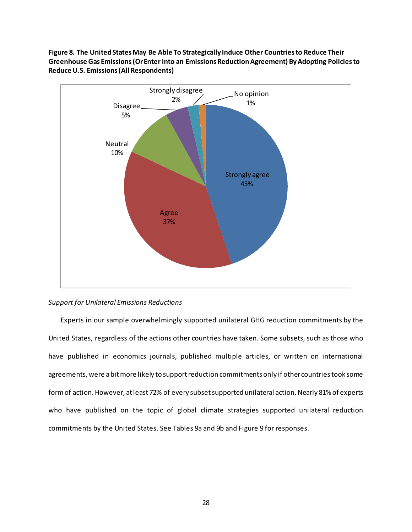# **Figure 8. The United States May Be Able To Strategically Induce Other Countries to Reduce Their Greenhouse Gas Emissions (Or Enter Into an Emissions Reduction Agreement) By Adopting Policies to Reduce U.S. Emissions (All Respondents)**



# *Support for Unilateral Emissions Reductions*

Experts in our sample overwhelmingly supported unilateral GHG reduction commitments by the United States, regardless of the actions other countries have taken. Some subsets, such as those who have published in economics journals, published multiple articles, or written on international agreements, were a bit more likely to support reduction commitments only if other countries took some form of action. However, at least 72% of every subset supported unilateral action. Nearly 81% of experts who have published on the topic of global climate strategies supported unilateral reduction commitments by the United States. See Tables 9a and 9b and Figure 9 for responses.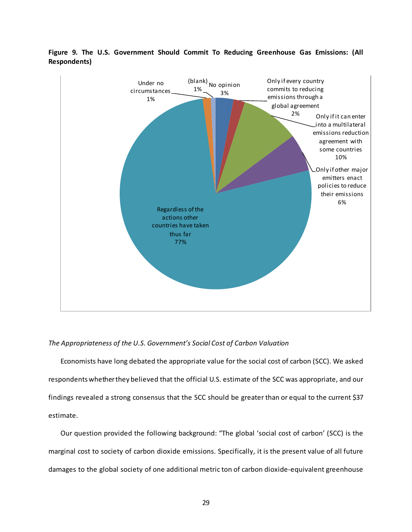

# **Figure 9. The U.S. Government Should Commit To Reducing Greenhouse Gas Emissions: (All Respondents)**

# *The Appropriateness of the U.S. Government's Social Cost of Carbon Valuation*

Economists have long debated the appropriate value for the social cost of carbon (SCC). We asked respondents whether they believed that the official U.S. estimate of the SCC was appropriate, and our findings revealed a strong consensus that the SCC should be greater than or equal to the current \$37 estimate.

Our question provided the following background: "The global 'social cost of carbon' (SCC) is the marginal cost to society of carbon dioxide emissions. Specifically, it is the present value of all future damages to the global society of one additional metric ton of carbon dioxide-equivalent greenhouse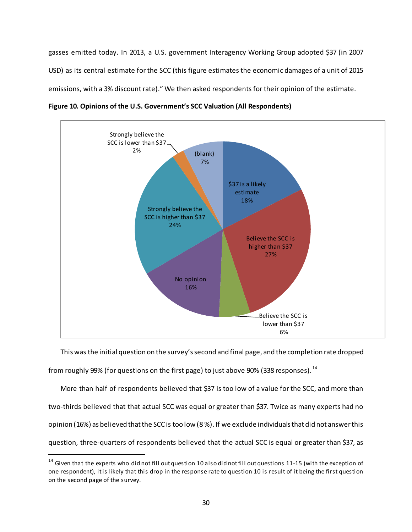gasses emitted today. In 2013, a U.S. government Interagency Working Group adopted \$37 (in 2007 USD) as its central estimate for the SCC (this figure estimates the economic damages of a unit of 2015 emissions, with a 3% discount rate)." We then asked respondents for their opinion of the estimate.



**Figure 10. Opinions of the U.S. Government's SCC Valuation (All Respondents)**

This was the initial question on the survey's second and final page, and the completion rate dropped from roughly 99% (for questions on the first page) to just above 90% (338 responses).  $^{14}$ 

More than half of respondents believed that \$37 is too low of a value for the SCC, and more than two-thirds believed that that actual SCC was equal or greater than \$37. Twice as many experts had no opinion (16%) as believed that the SCC is too low (8 %). If we exclude individuals that did not answer this question, three-quarters of respondents believed that the actual SCC is equal or greater than \$37, as

<span id="page-30-0"></span> $14$  Given that the experts who did not fill out question 10 also did not fill out questions 11-15 (with the exception of one respondent), it is likely that this drop in the response rate to question 10 is result of it being the first question on the second page of the survey.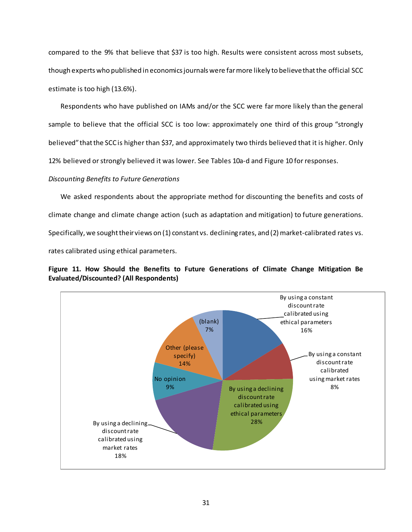compared to the 9% that believe that \$37 is too high. Results were consistent across most subsets, though experts who published in economics journals were far more likely to believe that the official SCC estimate is too high (13.6%).

Respondents who have published on IAMs and/or the SCC were far more likely than the general sample to believe that the official SCC is too low: approximately one third of this group "strongly believed" that the SCC is higher than \$37, and approximately two thirds believed that it is higher. Only 12% believed or strongly believed it was lower. See Tables 10a-d and Figure 10 for responses.

# *Discounting Benefits to Future Generations*

We asked respondents about the appropriate method for discounting the benefits and costs of climate change and climate change action (such as adaptation and mitigation) to future generations. Specifically, we sought their views on (1) constant vs. declining rates, and (2) market-calibrated rates vs. rates calibrated using ethical parameters.



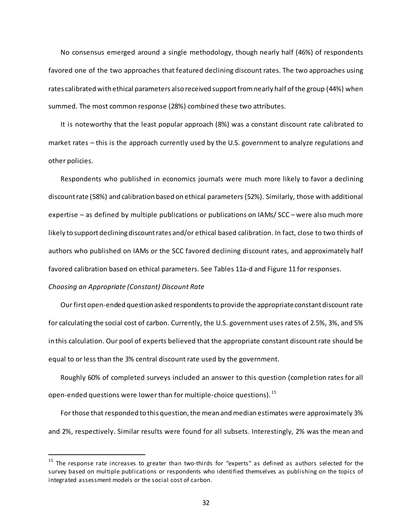No consensus emerged around a single methodology, though nearly half (46%) of respondents favored one of the two approaches that featured declining discount rates. The two approaches using rates calibrated with ethical parameters also received support from nearly half of the group (44%) when summed. The most common response (28%) combined these two attributes.

It is noteworthy that the least popular approach (8%) was a constant discount rate calibrated to market rates – this is the approach currently used by the U.S. government to analyze regulations and other policies.

Respondents who published in economics journals were much more likely to favor a declining discount rate (58%) and calibration based on ethical parameters (52%). Similarly, those with additional expertise – as defined by multiple publications or publications on IAMs/ SCC – were also much more likely to support declining discount rates and/or ethical based calibration. In fact, close to two thirds of authors who published on IAMs or the SCC favored declining discount rates, and approximately half favored calibration based on ethical parameters. See Tables 11a-d and Figure 11 for responses.

#### *Choosing an Appropriate (Constant) Discount Rate*

Our first open-ended question asked respondents to provide the appropriate constant discount rate for calculating the social cost of carbon. Currently, the U.S. government uses rates of 2.5%, 3%, and 5% in this calculation. Our pool of experts believed that the appropriate constant discount rate should be equal to or less than the 3% central discount rate used by the government.

Roughly 60% of completed surveys included an answer to this question (completion rates for all open-ended questions were lower than for multiple-choice questions). [15](#page-32-0)

For those that responded to this question, the mean and median estimates were approximately 3% and 2%, respectively. Similar results were found for all subsets. Interestingly, 2% was the mean and

<span id="page-32-0"></span> $15$  The response rate increases to greater than two-thirds for "experts" as defined as authors selected for the survey based on multiple publications or respondents who identified themselves as publishing on the topics of integrated assessment models or the social cost of carbon.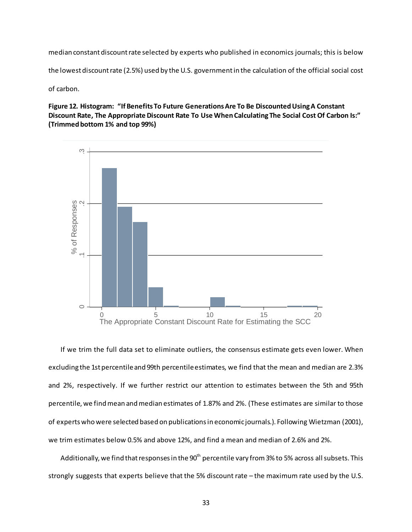median constant discount rate selected by experts who published in economics journals; this is below

the lowest discount rate (2.5%) used by the U.S. government in the calculation of the official social cost

of carbon.

**Figure 12. Histogram: "If Benefits To Future Generations Are To Be Discounted Using A Constant Discount Rate, The Appropriate Discount Rate To Use When Calculating The Social Cost Of Carbon Is:" (Trimmed bottom 1% and top 99%)**



If we trim the full data set to eliminate outliers, the consensus estimate gets even lower. When excluding the 1st percentile and 99th percentile estimates, we find that the mean and median are 2.3% and 2%, respectively. If we further restrict our attention to estimates between the 5th and 95th percentile, we find mean and median estimates of 1.87% and 2%. (These estimates are similar to those of experts who were selected based on publications in economic journals.). Following Wietzman (2001), we trim estimates below 0.5% and above 12%, and find a mean and median of 2.6% and 2%.

Additionally, we find that responses in the  $90<sup>th</sup>$  percentile vary from 3% to 5% across all subsets. This strongly suggests that experts believe that the 5% discount rate – the maximum rate used by the U.S.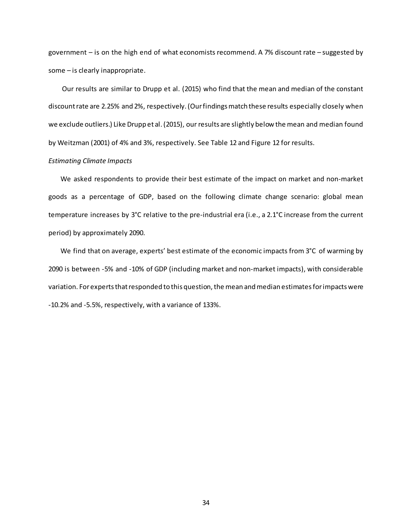government – is on the high end of what economists recommend. A 7% discount rate – suggested by some – is clearly inappropriate.

Our results are similar to Drupp et al. (2015) who find that the mean and median of the constant discount rate are 2.25% and 2%, respectively. (Our findings match these results especially closely when we exclude outliers.) Like Drupp et al. (2015), our results are slightly below the mean and median found by Weitzman (2001) of 4% and 3%, respectively. See Table 12 and Figure 12 for results.

#### *Estimating Climate Impacts*

We asked respondents to provide their best estimate of the impact on market and non-market goods as a percentage of GDP, based on the following climate change scenario: global mean temperature increases by 3°C relative to the pre-industrial era (i.e., a 2.1°C increase from the current period) by approximately 2090.

We find that on average, experts' best estimate of the economic impacts from 3°C of warming by 2090 is between -5% and -10% of GDP (including market and non-market impacts), with considerable variation. For experts that responded to this question, the mean and median estimates for impacts were -10.2% and -5.5%, respectively, with a variance of 133%.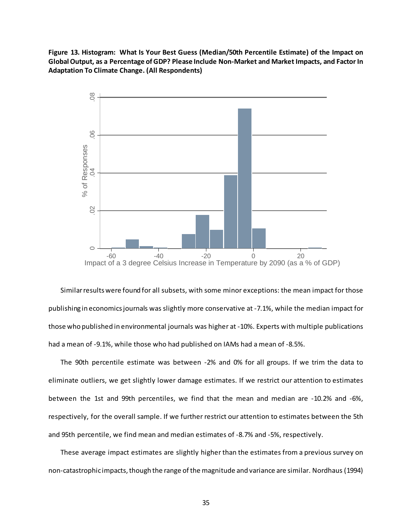**Figure 13. Histogram: What Is Your Best Guess (Median/50th Percentile Estimate) of the Impact on Global Output, as a Percentage of GDP? Please Include Non-Market and Market Impacts, and Factor In Adaptation To Climate Change. (All Respondents)**



Similar results were found for all subsets, with some minor exceptions: the mean impact for those publishing in economics journals was slightly more conservative at -7.1%, while the median impact for those who published in environmental journals was higher at -10%. Experts with multiple publications had a mean of -9.1%, while those who had published on IAMs had a mean of -8.5%.

The 90th percentile estimate was between -2% and 0% for all groups. If we trim the data to eliminate outliers, we get slightly lower damage estimates. If we restrict our attention to estimates between the 1st and 99th percentiles, we find that the mean and median are -10.2% and -6%, respectively, for the overall sample. If we further restrict our attention to estimates between the 5th and 95th percentile, we find mean and median estimates of -8.7% and -5%, respectively.

These average impact estimates are slightly higher than the estimates from a previous survey on non-catastrophic impacts, though the range of the magnitude and variance are similar. Nordhaus (1994)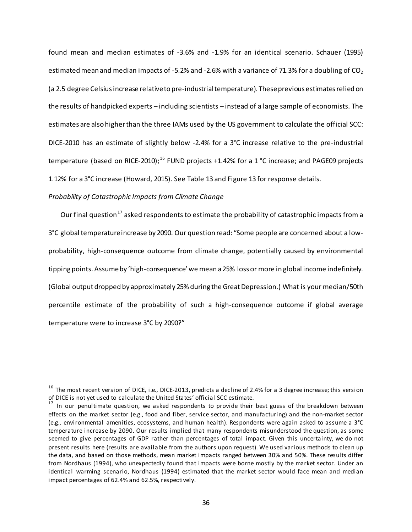found mean and median estimates of -3.6% and -1.9% for an identical scenario. Schauer (1995) estimated mean and median impacts of -5.2% and -2.6% with a variance of 71.3% for a doubling of  $CO<sub>2</sub>$ (a 2.5 degree Celsius increase relative to pre-industrial temperature). These previous estimates relied on the results of handpicked experts – including scientists – instead of a large sample of economists. The estimates are also higher than the three IAMs used by the US government to calculate the official SCC: DICE-2010 has an estimate of slightly below -2.4% for a 3°C increase relative to the pre-industrial temperature (based on RICE-2010);<sup>[16](#page-36-0)</sup> FUND projects +1.42% for a 1 °C increase; and PAGE09 projects 1.12% for a 3°C increase (Howard, 2015). See Table 13 and Figure 13 for response details.

### *Probability of Catastrophic Impacts from Climate Change*

Our final question<sup>[17](#page-36-1)</sup> asked respondents to estimate the probability of catastrophic impacts from a 3°C global temperature increase by 2090. Our question read: "Some people are concerned about a lowprobability, high-consequence outcome from climate change, potentially caused by environmental tipping points. Assume by 'high-consequence' we mean a 25% loss or more in global income indefinitely. (Global output dropped by approximately 25% during the Great Depression.) What is your median/50th percentile estimate of the probability of such a high-consequence outcome if global average temperature were to increase 3°C by 2090?"

<span id="page-36-0"></span> $16$  The most recent version of DICE, i.e., DICE-2013, predicts a decline of 2.4% for a 3 degree increase; this version of DICE is not yet used to calculate the United States' official SCC estimate.

<span id="page-36-1"></span><sup>&</sup>lt;sup>17</sup> In our penultimate question, we asked respondents to provide their best guess of the breakdown between effects on the market sector (e.g., food and fiber, service sector, and manufacturing) and the non-market sector (e.g., environmental amenities, ecosystems, and human health). Respondents were again asked to assume a 3°C temperature increase by 2090. Our results implied that many respondents misunderstood the question, as some seemed to give percentages of GDP rather than percentages of total impact. Given this uncertainty, we do not present results here (results are available from the authors upon request). We used various methods to clean up the data, and based on those methods, mean market impacts ranged between 30% and 50%. These results differ from Nordhaus (1994), who unexpectedly found that impacts were borne mostly by the market sector. Under an identical warming scenario, Nordhaus (1994) estimated that the market sector would face mean and median impact percentages of 62.4% and 62.5%, respectively.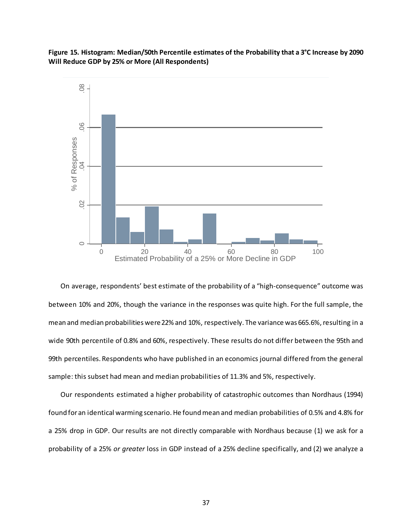**Figure 15. Histogram: Median/50th Percentile estimates of the Probability that a 3°C Increase by 2090 Will Reduce GDP by 25% or More (All Respondents)**



On average, respondents' best estimate of the probability of a "high-consequence" outcome was between 10% and 20%, though the variance in the responses was quite high. For the full sample, the mean and median probabilities were 22% and 10%, respectively. The variance was 665.6%, resulting in a wide 90th percentile of 0.8% and 60%, respectively. These results do not differ between the 95th and 99th percentiles. Respondents who have published in an economics journal differed from the general sample: this subset had mean and median probabilities of 11.3% and 5%, respectively.

Our respondents estimated a higher probability of catastrophic outcomes than Nordhaus (1994) found for an identical warming scenario. He found mean and median probabilities of 0.5% and 4.8% for a 25% drop in GDP. Our results are not directly comparable with Nordhaus because (1) we ask for a probability of a 25% *or greater* loss in GDP instead of a 25% decline specifically, and (2) we analyze a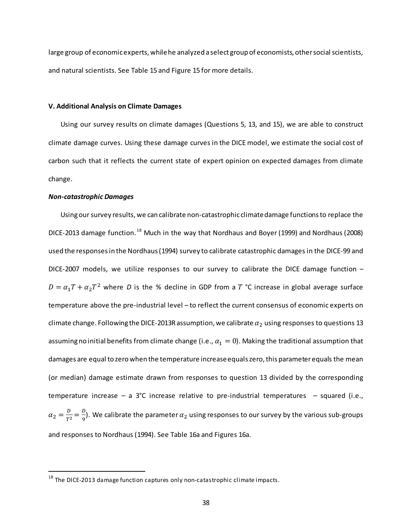large group of economic experts, while he analyzed a select group of economists, other social scientists, and natural scientists. See Table 15 and Figure 15 for more details.

#### **V. Additional Analysis on Climate Damages**

Using our survey results on climate damages (Questions 5, 13, and 15), we are able to construct climate damage curves. Using these damage curves in the DICE model, we estimate the social cost of carbon such that it reflects the current state of expert opinion on expected damages from climate change.

### *Non-catastrophic Damages*

Using our survey results, we can calibrate non-catastrophic climate damage functions to replace the DICE-2013 damage function.<sup>[18](#page-38-0)</sup> Much in the way that Nordhaus and Boyer (1999) and Nordhaus (2008) used the responses in the Nordhaus (1994) survey to calibrate catastrophic damages in the DICE-99 and DICE-2007 models, we utilize responses to our survey to calibrate the DICE damage function –  $D = \alpha_1 T + \alpha_2 T^2$  where *D* is the % decline in GDP from a *T* °C increase in global average surface temperature above the pre-industrial level – to reflect the current consensus of economic experts on climate change. Following the DICE-2013R assumption, we calibrate  $\alpha_2$  using responses to questions 13 assuming no initial benefits from climate change (i.e.,  $\alpha_1 = 0$ ). Making the traditional assumption that damages are equal to zero when the temperature increase equals zero, this parameter equals the mean (or median) damage estimate drawn from responses to question 13 divided by the corresponding temperature increase – a 3°C increase relative to pre-industrial temperatures – squared (i.e.,  $\alpha_2 = \frac{D}{T^2} = \frac{D}{9}$ ). We calibrate the parameter  $\alpha_2$  using responses to our survey by the various sub-groups and responses to Nordhaus (1994). See Table 16a and Figures 16a.

<span id="page-38-0"></span> $18$  The DICE-2013 damage function captures only non-catastrophic climate impacts.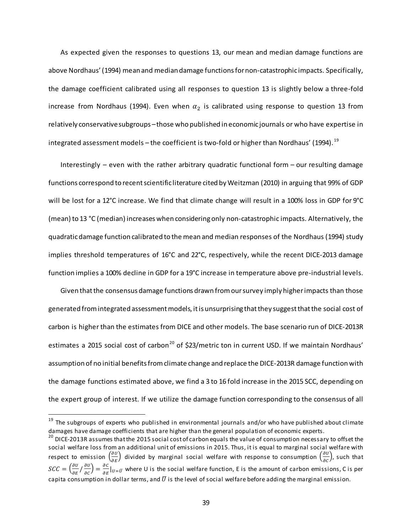As expected given the responses to questions 13, our mean and median damage functions are above Nordhaus' (1994) mean and median damage functions for non-catastrophic impacts. Specifically, the damage coefficient calibrated using all responses to question 13 is slightly below a three-fold increase from Nordhaus (1994). Even when  $\alpha_2$  is calibrated using response to question 13 from relatively conservative subgroups – those who published in economic journals or who have expertise in integrated assessment models – the coefficient is two-fold or higher than Nordhaus' ([19](#page-39-0)94).  $^{\rm 19}$ 

Interestingly – even with the rather arbitrary quadratic functional form – our resulting damage functions correspond to recent scientific literature cited by Weitzman (2010) in arguing that 99% of GDP will be lost for a 12°C increase. We find that climate change will result in a 100% loss in GDP for 9°C (mean) to 13 °C (median) increases when considering only non-catastrophic impacts. Alternatively, the quadratic damage function calibrated to the mean and median responses of the Nordhaus (1994) study implies threshold temperatures of 16°C and 22°C, respectively, while the recent DICE-2013 damage function implies a 100% decline in GDP for a 19°C increase in temperature above pre-industrial levels.

Given that the consensus damage functions drawn from our survey imply higher impacts than those generated from integrated assessment models, it is unsurprising that they suggest that the social cost of carbon is higher than the estimates from DICE and other models. The base scenario run of DICE-2013R estimates a [20](#page-39-1)15 social cost of carbon<sup>20</sup> of \$23/metric ton in current USD. If we maintain Nordhaus' assumption of no initial benefits from climate change and replace the DICE-2013R damage function with the damage functions estimated above, we find a 3 to 16 fold increase in the 2015 SCC, depending on the expert group of interest. If we utilize the damage function corresponding to the consensus of all

<span id="page-39-0"></span><sup>&</sup>lt;sup>19</sup> The subgroups of experts who published in environmental journals and/or who have published about climate damages have damage coefficients that are higher than the general population of economic experts.

<span id="page-39-1"></span><sup>&</sup>lt;sup>20</sup> DICE-2013R assumes that the 2015 social cost of carbon equals the value of consumption necessary to offset the social welfare loss from an additional unit of emissions in 2015. Thus, it is equal to marginal social welfare with respect to emission  $\left(\frac{\partial U}{\partial E}\right)$  divided by marginal social welfare with response to consumption  $\left(\frac{\partial U}{\partial C}\right)$ , such that  $SCC = \left(\frac{\partial U}{\partial E}/\frac{\partial U}{\partial C}\right) = \frac{\partial C}{\partial E}\big|_{U=\bar{U}}$  where U is the social welfare function, E is the amount of carbon emissions, C is per capita consumption in dollar terms, and  $\bar{U}$  is the level of social welfare before adding the marginal emission.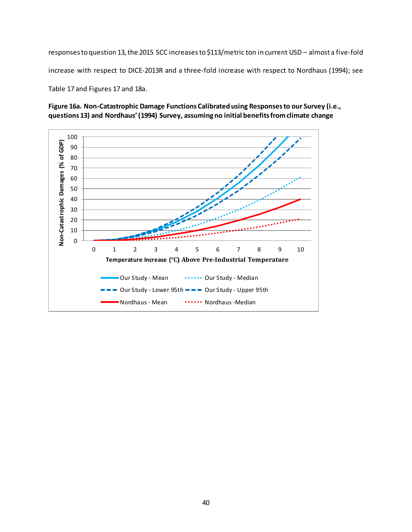responses to question 13, the 2015 SCC increases to \$113/metric ton in current USD – almost a five-fold increase with respect to DICE-2013R and a three-fold increase with respect to Nordhaus (1994); see Table 17 and Figures 17 and 18a.

**Figure 16a. Non-Catastrophic Damage Functions Calibrated using Responses to our Survey (i.e., questions 13) and Nordhaus' (1994) Survey, assuming no initial benefits from climate change**

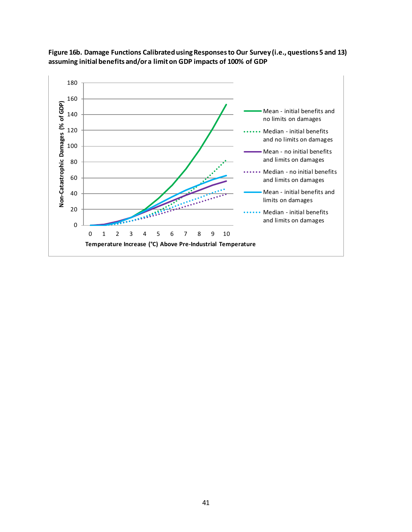

**Figure 16b. Damage Functions Calibrated using Responses to Our Survey (i.e., questions 5 and 13) assuming initial benefits and/or a limit on GDP impacts of 100% of GDP**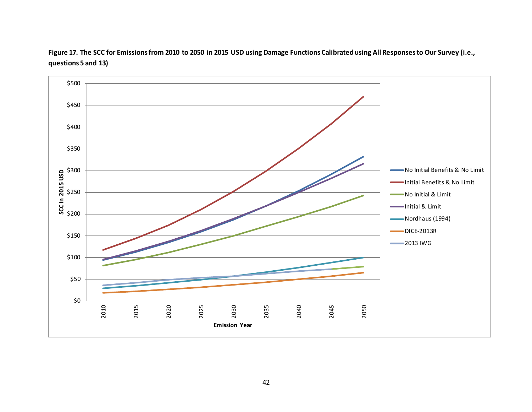

**Figure 17. The SCC for Emissions from 2010 to 2050 in 2015 USD using Damage Functions Calibrated using All Responses to Our Survey (i.e., questions 5 and 13)**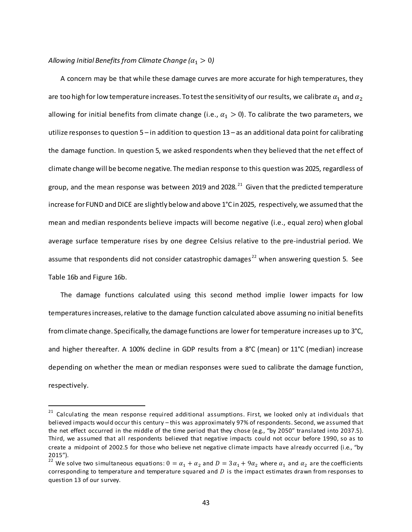### *Allowing Initial Benefits from Climate Change*  $(a_1 > 0)$

A concern may be that while these damage curves are more accurate for high temperatures, they are too high for low temperature increases. To test the sensitivity of our results, we calibrate  $\alpha_1$  and  $\alpha_2$ allowing for initial benefits from climate change (i.e.,  $\alpha_1 > 0$ ). To calibrate the two parameters, we utilize responses to question 5 – in addition to question 13 – as an additional data point for calibrating the damage function. In question 5, we asked respondents when they believed that the net effect of climate change will be become negative. The median response to this question was 2025, regardless of group, and the mean response was between 2019 and 2028.<sup>21</sup> Given that the predicted temperature increase for FUND and DICE are slightly below and above 1°C in 2025, respectively, we assumed that the mean and median respondents believe impacts will become negative (i.e., equal zero) when global average surface temperature rises by one degree Celsius relative to the pre-industrial period. We assume that respondents did not consider catastrophic damages<sup>[22](#page-43-1)</sup> when answering question 5. See Table 16b and Figure 16b.

The damage functions calculated using this second method implie lower impacts for low temperatures increases, relative to the damage function calculated above assuming no initial benefits from climate change. Specifically, the damage functions are lower for temperature increases up to 3°C, and higher thereafter. A 100% decline in GDP results from a 8°C (mean) or 11°C (median) increase depending on whether the mean or median responses were sued to calibrate the damage function, respectively.

<span id="page-43-0"></span> $21$  Calculating the mean response required additional assumptions. First, we looked only at individuals that believed impacts would occur this century – this was approximately 97% of respondents. Second, we assumed that the net effect occurred in the middle of the time period that they chose (e.g., "by 2050" translated into 2037.5). Third, we assumed that all respondents believed that negative impacts could not occur before 1990, so as to create a midpoint of 2002.5 for those who believe net negative climate impacts have already occurred (i.e., "by

<span id="page-43-1"></span><sup>2015&</sup>quot;).<br><sup>22</sup> We solve two simultaneous equations:  $0 = \alpha_1 + \alpha_2$  and  $D = 3\alpha_1 + 9\alpha_2$  where  $\alpha_1$  and  $\alpha_2$  are the coefficients corresponding to temperature and temperature squared and  $D$  is the impact estimates drawn from responses to question 13 of our survey.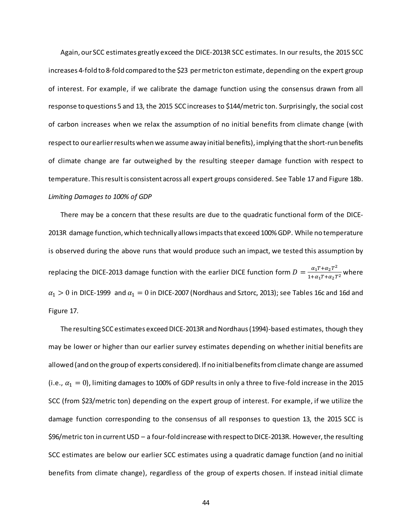Again, our SCC estimates greatly exceed the DICE-2013R SCC estimates. In our results, the 2015 SCC increases 4-fold to 8-fold compared to the \$23 per metric ton estimate, depending on the expert group of interest. For example, if we calibrate the damage function using the consensus drawn from all response to questions 5 and 13, the 2015 SCC increases to \$144/metric ton. Surprisingly, the social cost of carbon increases when we relax the assumption of no initial benefits from climate change (with respect to our earlier results when we assume away initial benefits), implying that the short-run benefits of climate change are far outweighed by the resulting steeper damage function with respect to temperature. This result is consistent across all expert groups considered. See Table 17 and Figure 18b. *Limiting Damages to 100% of GDP*

There may be a concern that these results are due to the quadratic functional form of the DICE-2013R damage function, which technically allows impacts that exceed 100% GDP. While no temperature is observed during the above runs that would produce such an impact, we tested this assumption by replacing the DICE-2013 damage function with the earlier DICE function form  $D = \frac{\alpha_1 T + \alpha_2 T^2}{1 + \alpha_1 T + \alpha_2 T^2}$  where  $\alpha_1 > 0$  in DICE-1999 and  $\alpha_1 = 0$  in DICE-2007 (Nordhaus and Sztorc, 2013); see Tables 16c and 16d and Figure 17.

The resulting SCC estimates exceed DICE-2013R and Nordhaus (1994)-based estimates, though they may be lower or higher than our earlier survey estimates depending on whether initial benefits are allowed (and on the group of experts considered). If no initial benefits from climate change are assumed (i.e.,  $\alpha_1 = 0$ ), limiting damages to 100% of GDP results in only a three to five-fold increase in the 2015 SCC (from \$23/metric ton) depending on the expert group of interest. For example, if we utilize the damage function corresponding to the consensus of all responses to question 13, the 2015 SCC is \$96/metric ton in current USD – a four-fold increase with respect to DICE-2013R. However, the resulting SCC estimates are below our earlier SCC estimates using a quadratic damage function (and no initial benefits from climate change), regardless of the group of experts chosen. If instead initial climate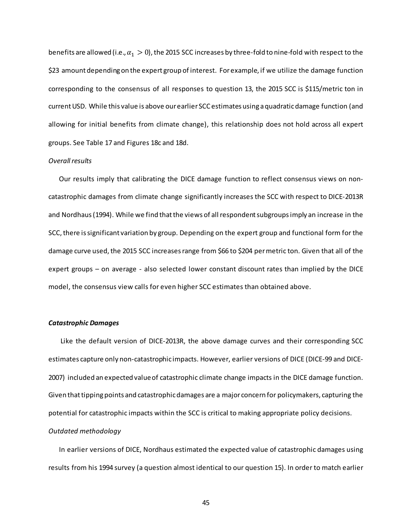benefits are allowed (i.e.,  $\alpha_1 > 0$ ), the 2015 SCC increases by three-fold to nine-fold with respect to the \$23 amount depending on the expert group of interest. For example, if we utilize the damage function corresponding to the consensus of all responses to question 13, the 2015 SCC is \$115/metric ton in current USD. While this value is above our earlier SCC estimates using a quadratic damage function (and allowing for initial benefits from climate change), this relationship does not hold across all expert groups. See Table 17 and Figures 18c and 18d.

### *Overall results*

 Our results imply that calibrating the DICE damage function to reflect consensus views on noncatastrophic damages from climate change significantly increases the SCC with respect to DICE-2013R and Nordhaus (1994). While we find that the views of all respondent subgroups imply an increase in the SCC, there issignificant variation by group. Depending on the expert group and functional form for the damage curve used, the 2015 SCC increases range from \$66 to \$204 per metric ton. Given that all of the expert groups – on average - also selected lower constant discount rates than implied by the DICE model, the consensus view calls for even higher SCC estimates than obtained above.

### *Catastrophic Damages*

Like the default version of DICE-2013R, the above damage curves and their corresponding SCC estimates capture only non-catastrophic impacts. However, earlier versions of DICE (DICE-99 and DICE-2007) included an expected value of catastrophic climate change impacts in the DICE damage function. Given that tipping points and catastrophic damages are a major concern for policymakers, capturing the potential for catastrophic impacts within the SCC is critical to making appropriate policy decisions. *Outdated methodology*

 In earlier versions of DICE, Nordhaus estimated the expected value of catastrophic damages using results from his 1994 survey (a question almost identical to our question 15). In order to match earlier

45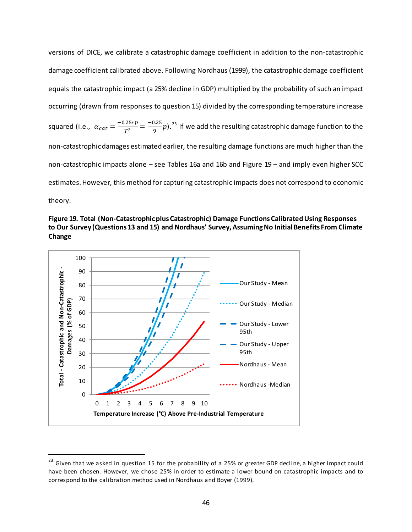versions of DICE, we calibrate a catastrophic damage coefficient in addition to the non-catastrophic damage coefficient calibrated above. Following Nordhaus (1999), the catastrophic damage coefficient equals the catastrophic impact (a 25% decline in GDP) multiplied by the probability of such an impact occurring (drawn from responses to question 15) divided by the corresponding temperature increase squared (i.e.,  $\alpha_{cat} = \frac{-0.25*p}{T^2} = \frac{-0.25}{9}p$ ).<sup>[23](#page-46-0)</sup> If we add the resulting catastrophic damage function to the non-catastrophic damages estimated earlier, the resulting damage functions are much higher than the non-catastrophic impacts alone – see Tables 16a and 16b and Figure 19 – and imply even higher SCC estimates. However, this method for capturing catastrophic impacts does not correspond to economic theory.





<span id="page-46-0"></span> $23$  Given that we asked in question 15 for the probability of a 25% or greater GDP decline, a higher impact could have been chosen. However, we chose 25% in order to estimate a lower bound on catastrophic impacts and to correspond to the calibration method used in Nordhaus and Boyer (1999).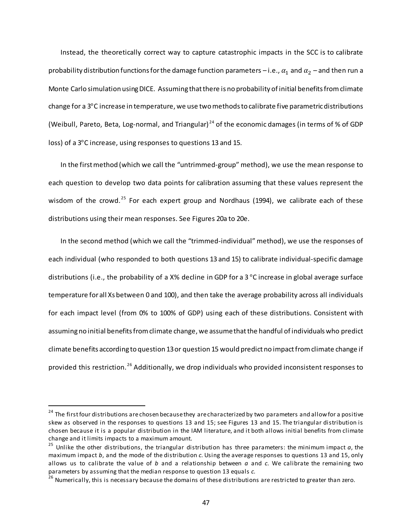Instead, the theoretically correct way to capture catastrophic impacts in the SCC is to calibrate probability distribution functions for the damage function parameters - i.e.,  $\alpha_1$  and  $\alpha_2$  - and then run a Monte Carlo simulation using DICE. Assuming that there is no probability of initial benefits from climate change for a 3°C increase in temperature, we use two methods to calibrate five parametric distributions (Weibull, Pareto, Beta, Log-normal, and Triangular) [24](#page-47-0) of the economic damages (in terms of % of GDP loss) of a 3°C increase, using responses to questions 13 and 15.

In the first method (which we call the "untrimmed-group" method), we use the mean response to each question to develop two data points for calibration assuming that these values represent the wisdom of the crowd.<sup>[25](#page-47-1)</sup> For each expert group and Nordhaus (1994), we calibrate each of these distributions using their mean responses. See Figures 20a to 20e.

In the second method (which we call the "trimmed-individual" method), we use the responses of each individual (who responded to both questions 13 and 15) to calibrate individual-specific damage distributions (i.e., the probability of a X% decline in GDP for a 3 °C increase in global average surface temperature for all Xs between 0 and 100), and then take the average probability across all individuals for each impact level (from 0% to 100% of GDP) using each of these distributions. Consistent with assuming no initial benefits from climate change, we assume that the handful of individuals who predict climate benefits according to question 13 or question 15 would predict no impact from climate change if provided this restriction. [26](#page-47-2) Additionally, we drop individuals who provided inconsistent responses to

<span id="page-47-0"></span><sup>&</sup>lt;sup>24</sup> The first four distributions are chosen because they are characterized by two parameters and allow for a positive skew as observed in the responses to questions 13 and 15; see Figures 13 and 15. The triangular distribution is chosen because it is a popular distribution in the IAM literature, and it both allows initial benefits from climate change and it limits impacts to a maximum amount.

<span id="page-47-1"></span><sup>&</sup>lt;sup>25</sup> Unlike the other distributions, the triangular distribution has three parameters: the minimum impact  $a$ , the maximum impact *b*, and the mode of the distribution *c*. Using the average responses to questions 13 and 15, only allows us to calibrate the value of *b* and a relationship between *a* and *c*. We calibrate the remaining two parameters by assuming that the median response to question 13 equals *c*.

<span id="page-47-2"></span><sup>&</sup>lt;sup>26</sup> Numerically, this is necessary because the domains of these distributions are restricted to greater than zero.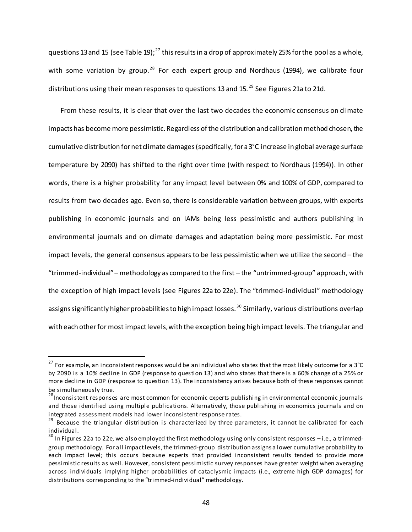questions 13 and 15 (see Table 19);<sup>[27](#page-48-0)</sup> this results in a drop of approximately 25% for the pool as a whole, with some variation by group.<sup>[28](#page-48-1)</sup> For each expert group and Nordhaus (1994), we calibrate four distributions using their mean responses to questions 13 and 15.<sup>[29](#page-48-2)</sup> See Figures 21a to 21d.

From these results, it is clear that over the last two decades the economic consensus on climate impacts has become more pessimistic. Regardless of the distribution and calibration method chosen, the cumulative distribution for net climate damages (specifically, for a 3°C increase in global average surface temperature by 2090) has shifted to the right over time (with respect to Nordhaus (1994)). In other words, there is a higher probability for any impact level between 0% and 100% of GDP, compared to results from two decades ago. Even so, there is considerable variation between groups, with experts publishing in economic journals and on IAMs being less pessimistic and authors publishing in environmental journals and on climate damages and adaptation being more pessimistic. For most impact levels, the general consensus appears to be less pessimistic when we utilize the second – the "trimmed-individual" – methodology as compared to the first – the "untrimmed-group" approach, with the exception of high impact levels (see Figures 22a to 22e). The "trimmed-individual" methodology assigns significantly higher probabilities to high impact losses.<sup>[30](#page-48-3)</sup> Similarly, various distributions overlap with each other for most impact levels, with the exception being high impact levels. The triangular and

<span id="page-48-0"></span> $27$  For example, an inconsistent responses would be an individual who states that the most likely outcome for a 3°C by 2090 is a 10% decline in GDP (response to question 13) and who states that there is a 60% change of a 25% or more decline in GDP (response to question 13). The inconsistency arises because both of these responses cannot be simultaneously true.

<span id="page-48-1"></span><sup>&</sup>lt;sup>28</sup>Inconsistent responses are most common for economic experts publishing in environmental economic journals and those identified using multiple publications. Alternatively, those publishing in economics journals and on integrated assessment models had lower inconsistent response rates.

<span id="page-48-2"></span><sup>&</sup>lt;sup>29</sup> Because the triangular distribution is characterized by three parameters, it cannot be calibrated for each individual.

<span id="page-48-3"></span> $30$  In Figures 22a to 22e, we also employed the first methodology using only consistent responses – i.e., a trimmedgroup methodology. For all impact levels, the trimmed-group distribution assigns a lower cumulative probability to each impact level; this occurs because experts that provided inconsistent results tended to provide more pessimistic results as well. However, consistent pessimistic survey responses have greater weight when averaging across individuals implying higher probabilities of cataclysmic impacts (i.e., extreme high GDP damages) for distributions corresponding to the "trimmed-individual" methodology.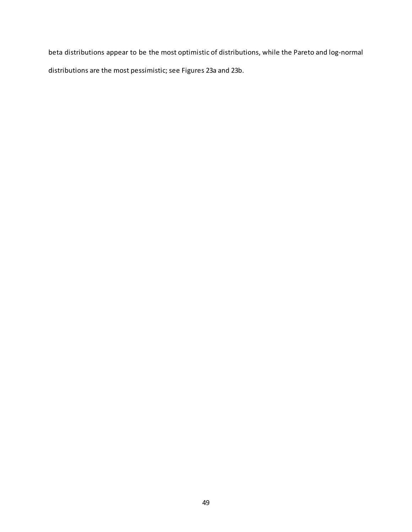beta distributions appear to be the most optimistic of distributions, while the Pareto and log-normal distributions are the most pessimistic; see Figures 23a and 23b.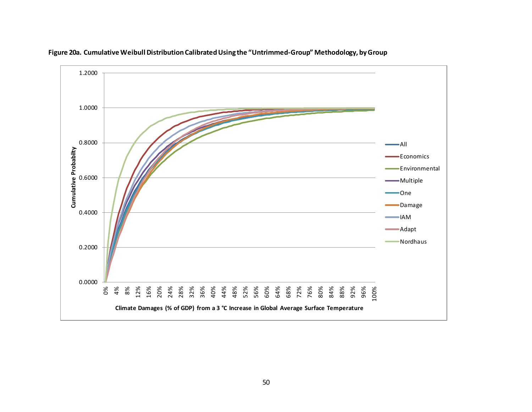

**Figure 20a. Cumulative Weibull Distribution Calibrated Using the "Untrimmed-Group" Methodology, by Group**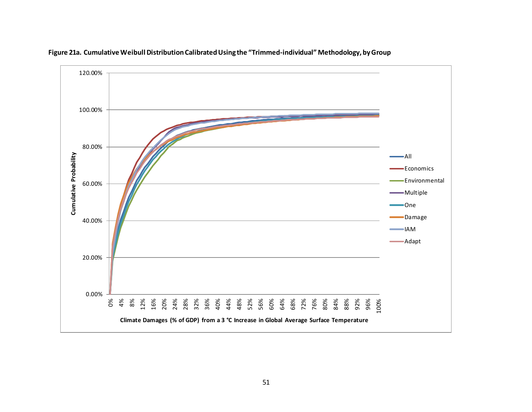

**Figure 21a. Cumulative Weibull Distribution Calibrated Using the "Trimmed-individual" Methodology, by Group**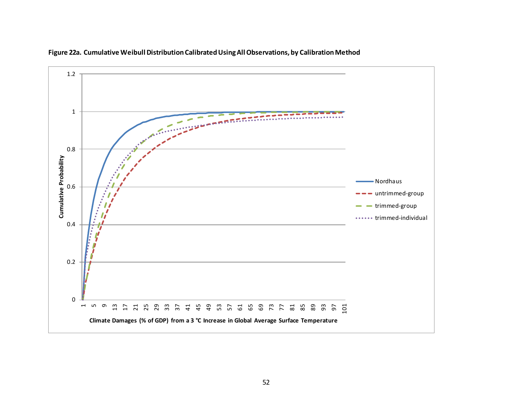

**Figure 22a. Cumulative Weibull Distribution Calibrated Using All Observations, by Calibration Method**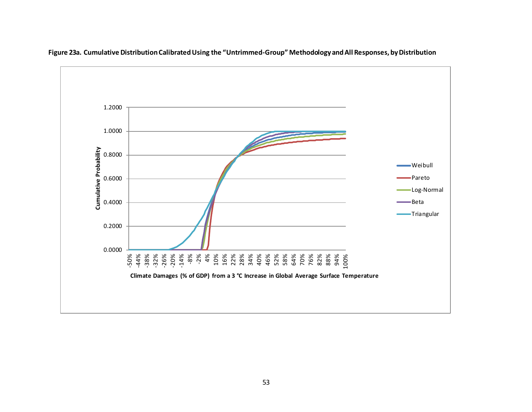

**Figure 23a. Cumulative Distribution Calibrated Using the "Untrimmed-Group" Methodology and All Responses, by Distribution**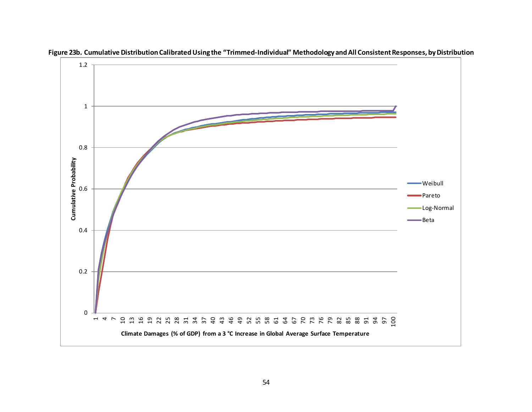

**Figure 23b. Cumulative Distribution CalibratedUsing the "Trimmed-Individual" Methodology and All Consistent Responses, by Distribution**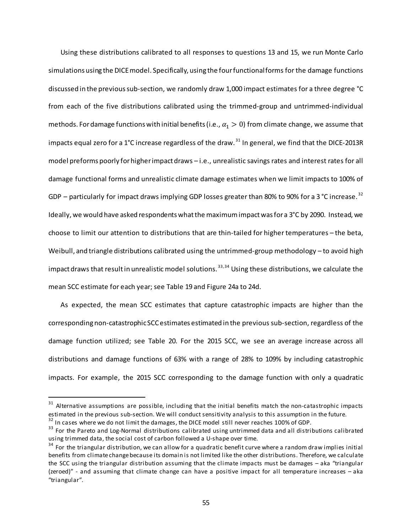Using these distributions calibrated to all responses to questions 13 and 15, we run Monte Carlo simulations using the DICE model. Specifically, using the four functional forms for the damage functions discussed in the previous sub-section, we randomly draw 1,000 impact estimates for a three degree °C from each of the five distributions calibrated using the trimmed-group and untrimmed-individual methods. For damage functions with initial benefits (i.e.,  $\alpha_1 > 0$ ) from climate change, we assume that impacts equal zero for a 1°C increase regardless of the draw.<sup>[31](#page-55-0)</sup> In general, we find that the DICE-2013R model preforms poorly for higher impact draws – i.e., unrealistic savings rates and interest rates for all damage functional forms and unrealistic climate damage estimates when we limit impacts to 100% of GDP – particularly for impact draws implying GDP losses greater than 80% to 90% for a 3 °C increase.  $32$ Ideally, we would have asked respondents what the maximum impact was for a 3°C by 2090. Instead, we choose to limit our attention to distributions that are thin-tailed for higher temperatures – the beta, Weibull, and triangle distributions calibrated using the untrimmed-group methodology – to avoid high impact draws that result in unrealistic model solutions.<sup>[33,](#page-55-2)[34](#page-55-3)</sup> Using these distributions, we calculate the mean SCC estimate for each year; see Table 19 and Figure 24a to 24d.

As expected, the mean SCC estimates that capture catastrophic impacts are higher than the corresponding non-catastrophic SCC estimates estimated in the previous sub-section, regardless of the damage function utilized; see Table 20. For the 2015 SCC, we see an average increase across all distributions and damage functions of 63% with a range of 28% to 109% by including catastrophic impacts. For example, the 2015 SCC corresponding to the damage function with only a quadratic

<span id="page-55-0"></span> $31$  Alternative assumptions are possible, including that the initial benefits match the non-catastrophic impacts estimated in the previous sub-section. We will conduct sensitivity analysis to this assumption in the future.<br><sup>32</sup> In cases where we do not limit the damages, the DICE model still never reaches 100% of GDP.<br><sup>33</sup> For the Pa

<span id="page-55-1"></span>

<span id="page-55-2"></span>using trimmed data, the social cost of carbon followed a U-shape over time.<br> $34$  For the triangular distribution, we can allow for a quadratic benefit curve where a random draw implies initial

<span id="page-55-3"></span>benefits from climate changebecause its domain is not limited like the other distributions. Therefore, we calculate the SCC using the triangular distribution assuming that the climate impacts must be damages – aka "triangular (zeroed)" - and assuming that climate change can have a positive impact for all temperature increases – aka "triangular".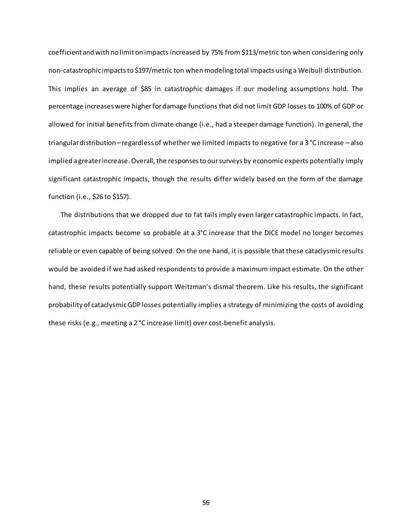coefficient and with no limit on impacts increased by 75% from \$113/metric ton when considering only non-catastrophic impacts to \$197/metric ton when modeling total impacts using a Weibull distribution. This implies an average of \$85 in catastrophic damages if our modeling assumptions hold. The percentage increases were higher for damage functions that did not limit GDP losses to 100% of GDP or allowed for initial benefits from climate change (i.e., had a steeper damage function). In general, the triangular distribution –regardless of whether we limited impacts to negative for a 3 °C increase – also implied a greater increase. Overall, the responses to our surveys by economic experts potentially imply significant catastrophic impacts, though the results differ widely based on the form of the damage function (i.e., \$26 to \$157).

The distributions that we dropped due to fat tails imply even larger catastrophic impacts. In fact, catastrophic impacts become so probable at a 3°C increase that the DICE model no longer becomes reliable or even capable of being solved. On the one hand, it is possible that these cataclysmic results would be avoided if we had asked respondents to provide a maximum impact estimate. On the other hand, these results potentially support Weitzman's dismal theorem. Like his results, the significant probability of cataclysmic GDP losses potentially implies a strategy of minimizing the costs of avoiding these risks (e.g., meeting a 2 °C increase limit) over cost-benefit analysis.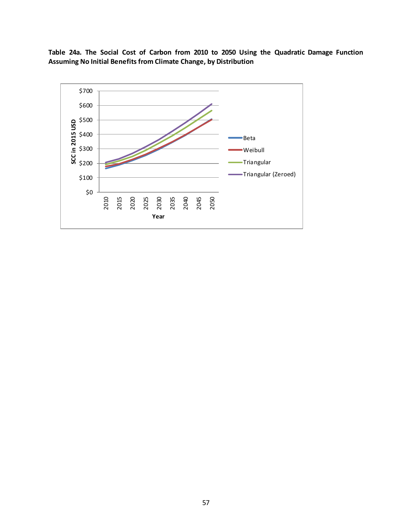**Table 24a. The Social Cost of Carbon from 2010 to 2050 Using the Quadratic Damage Function Assuming No Initial Benefits from Climate Change, by Distribution**

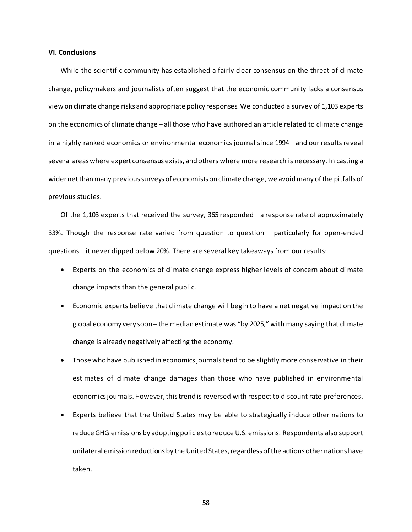### **VI. Conclusions**

While the scientific community has established a fairly clear consensus on the threat of climate change, policymakers and journalists often suggest that the economic community lacks a consensus view on climate change risks and appropriate policy responses. We conducted a survey of 1,103 experts on the economics of climate change – all those who have authored an article related to climate change in a highly ranked economics or environmental economics journal since 1994 – and our results reveal several areas where expert consensus exists, and others where more research is necessary. In casting a wider net than many previous surveys of economists on climate change, we avoid many of the pitfalls of previous studies.

Of the 1,103 experts that received the survey, 365 responded – a response rate of approximately 33%. Though the response rate varied from question to question – particularly for open-ended questions – it never dipped below 20%. There are several key takeaways from our results:

- Experts on the economics of climate change express higher levels of concern about climate change impacts than the general public.
- Economic experts believe that climate change will begin to have a net negative impact on the global economy very soon – the median estimate was "by 2025," with many saying that climate change is already negatively affecting the economy.
- Those who have published in economics journals tend to be slightly more conservative in their estimates of climate change damages than those who have published in environmental economics journals. However, this trend is reversed with respect to discount rate preferences.
- Experts believe that the United States may be able to strategically induce other nations to reduce GHG emissions by adopting policies to reduce U.S. emissions. Respondents also support unilateral emission reductions by the United States, regardless of the actions other nations have taken.

58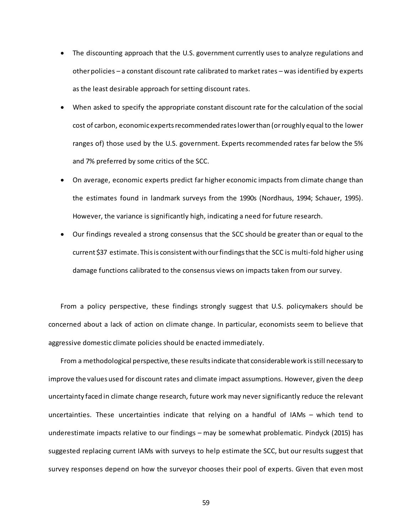- The discounting approach that the U.S. government currently uses to analyze regulations and other policies – a constant discount rate calibrated to market rates – was identified by experts as the least desirable approach for setting discount rates.
- When asked to specify the appropriate constant discount rate for the calculation of the social cost of carbon, economicexperts recommended rates lower than (or roughly equal to the lower ranges of) those used by the U.S. government. Experts recommended rates far below the 5% and 7% preferred by some critics of the SCC.
- On average, economic experts predict far higher economic impacts from climate change than the estimates found in landmark surveys from the 1990s (Nordhaus, 1994; Schauer, 1995). However, the variance is significantly high, indicating a need for future research.
- Our findings revealed a strong consensus that the SCC should be greater than or equal to the current \$37 estimate. This is consistent with our findings that the SCC is multi-fold higher using damage functions calibrated to the consensus views on impacts taken from our survey.

From a policy perspective, these findings strongly suggest that U.S. policymakers should be concerned about a lack of action on climate change. In particular, economists seem to believe that aggressive domestic climate policies should be enacted immediately.

From a methodological perspective, these results indicate that considerable work is still necessary to improve the values used for discount rates and climate impact assumptions. However, given the deep uncertainty faced in climate change research, future work may never significantly reduce the relevant uncertainties. These uncertainties indicate that relying on a handful of IAMs – which tend to underestimate impacts relative to our findings – may be somewhat problematic. Pindyck (2015) has suggested replacing current IAMs with surveys to help estimate the SCC, but our results suggest that survey responses depend on how the surveyor chooses their pool of experts. Given that even most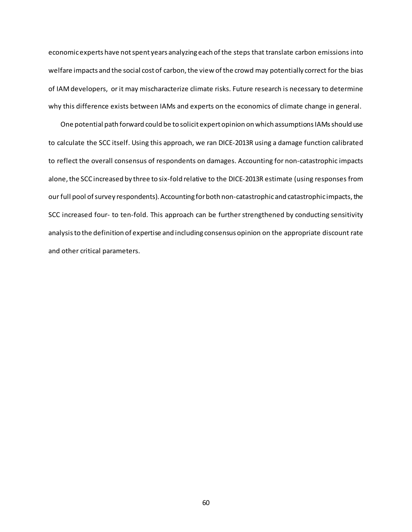economic experts have not spent years analyzing each of the steps that translate carbon emissions into welfare impacts and the social cost of carbon, the view of the crowd may potentially correct for the bias of IAM developers, or it may mischaracterize climate risks. Future research is necessary to determine why this difference exists between IAMs and experts on the economics of climate change in general.

One potential path forward could be to solicit expert opinion on which assumptions IAMs should use to calculate the SCC itself. Using this approach, we ran DICE-2013R using a damage function calibrated to reflect the overall consensus of respondents on damages. Accounting for non-catastrophic impacts alone, the SCC increased by three to six-fold relative to the DICE-2013R estimate (using responses from our full pool of survey respondents). Accounting for both non-catastrophic and catastrophic impacts, the SCC increased four- to ten-fold. This approach can be further strengthened by conducting sensitivity analysis to the definition of expertise and including consensus opinion on the appropriate discount rate and other critical parameters.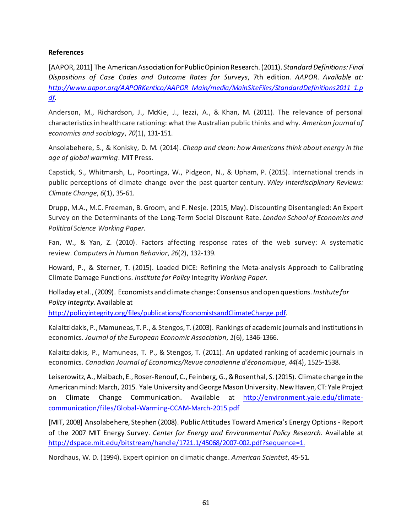### **References**

[AAPOR, 2011] The American Association for Public Opinion Research. (2011). *Standard Definitions: Final Dispositions of Case Codes and Outcome Rates for Surveys*, 7th edition*. AAPOR*. *Available at: [http://www.aapor.org/AAPORKentico/AAPOR\\_Main/media/MainSiteFiles/StandardDefinitions2011\\_1.p](http://www.aapor.org/AAPORKentico/AAPOR_Main/media/MainSiteFiles/StandardDefinitions2011_1.pdf) [df.](http://www.aapor.org/AAPORKentico/AAPOR_Main/media/MainSiteFiles/StandardDefinitions2011_1.pdf)*

Anderson, M., Richardson, J., McKie, J., Iezzi, A., & Khan, M. (2011). The relevance of personal characteristics in health care rationing: what the Australian public thinks and why. *American journal of economics and sociology*, *70*(1), 131-151.

Ansolabehere, S., & Konisky, D. M. (2014). *Cheap and clean: how Americans think about energy in the age of global warming*. MIT Press.

Capstick, S., Whitmarsh, L., Poortinga, W., Pidgeon, N., & Upham, P. (2015). International trends in public perceptions of climate change over the past quarter century. *Wiley Interdisciplinary Reviews: Climate Change*, *6*(1), 35-61.

Drupp, M.A., M.C. Freeman, B. Groom, and F. Nesje. (2015, May). Discounting Disentangled: An Expert Survey on the Determinants of the Long-Term Social Discount Rate. *London School of Economics and Political Science Working Paper.*

Fan, W., & Yan, Z. (2010). Factors affecting response rates of the web survey: A systematic review. *Computers in Human Behavior*, *26*(2), 132-139.

Howard, P., & Sterner, T. (2015). Loaded DICE: Refining the Meta-analysis Approach to Calibrating Climate Damage Functions. *Institute for Policy* Integrity *Working Paper.*

Holladay et al., (2009). Economists and climate change: Consensus and open questions. *Institute for Policy Integrity*. Available at

<http://policyintegrity.org/files/publications/EconomistsandClimateChange.pdf>.

Kalaitzidakis, P., Mamuneas, T. P., & Stengos, T. (2003). Rankings of academic journals and institutions in economics. *Journal of the European Economic Association*, *1*(6), 1346-1366.

Kalaitzidakis, P., Mamuneas, T. P., & Stengos, T. (2011). An updated ranking of academic journals in economics. *Canadian Journal of Economics/Revue canadienne d'économique*, *44*(4), 1525-1538.

Leiserowitz, A., Maibach, E., Roser-Renouf, C., Feinberg, G., & Rosenthal, S. (2015). Climate change in the American mind: March, 2015. Yale University and George Mason University. New Haven, CT: Yale Project on Climate Change Communication. Available at h[ttp://environment.yale.edu/climate](http://environment.yale.edu/climate-communication/files/Global-Warming-CCAM-March-2015.pdf)[communication/files/Global-Warming-CCAM-March-2015.pd](http://environment.yale.edu/climate-communication/files/Global-Warming-CCAM-March-2015.pdf)f

[MIT, 2008] Ansolabehere, Stephen (2008). Public Attitudes Toward America's Energy Options - Report of the 2007 MIT Energy Survey. *Center for Energy and Environmental Policy Research.* Available at <http://dspace.mit.edu/bitstream/handle/1721.1/45068/2007-002.pdf?sequence=1>.

Nordhaus, W. D. (1994). Expert opinion on climatic change. *American Scientist*, 45-51.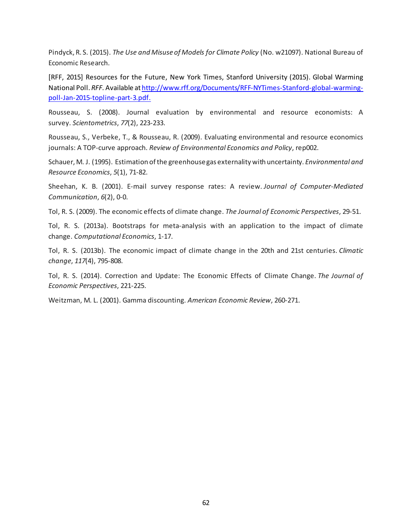Pindyck, R. S. (2015). *The Use and Misuse of Models for Climate Policy* (No. w21097). National Bureau of Economic Research.

[RFF, 2015] Resources for the Future, New York Times, Stanford University (2015). Global Warming National Poll. *RFF.* Available at h[ttp://www.rff.org/Documents/RFF-NYTimes-Stanford-global-warming](http://www.rff.org/Documents/RFF-NYTimes-Stanford-global-warming-poll-Jan-2015-topline-part-3.pdf)[poll-Jan-2015-topline-part-3.pdf](http://www.rff.org/Documents/RFF-NYTimes-Stanford-global-warming-poll-Jan-2015-topline-part-3.pdf).

Rousseau, S. (2008). Journal evaluation by environmental and resource economists: A survey. *Scientometrics*, *77*(2), 223-233.

Rousseau, S., Verbeke, T., & Rousseau, R. (2009). Evaluating environmental and resource economics journals: A TOP-curve approach. *Review of Environmental Economics and Policy*, rep002.

Schauer, M. J. (1995). Estimation of the greenhouse gas externality with uncertainty. *Environmental and Resource Economics*, *5*(1), 71-82.

Sheehan, K. B. (2001). E-mail survey response rates: A review. *Journal of Computer‐Mediated Communication*, *6*(2), 0-0.

Tol, R. S. (2009). The economic effects of climate change. *The Journal of Economic Perspectives*, 29-51.

Tol, R. S. (2013a). Bootstraps for meta-analysis with an application to the impact of climate change. *Computational Economics*, 1-17.

Tol, R. S. (2013b). The economic impact of climate change in the 20th and 21st centuries. *Climatic change*, *117*(4), 795-808.

Tol, R. S. (2014). Correction and Update: The Economic Effects of Climate Change. *The Journal of Economic Perspectives*, 221-225.

Weitzman, M. L. (2001). Gamma discounting. *American Economic Review*, 260-271.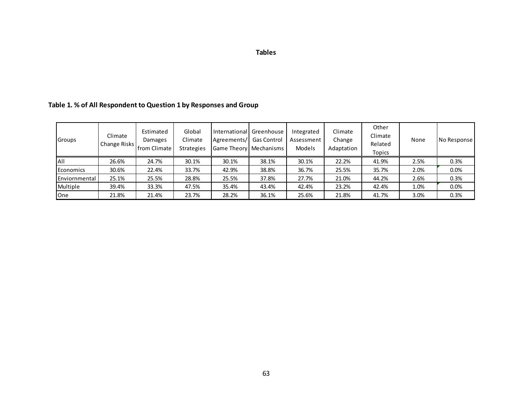| . .<br>× | ۰. | ×<br>۰.<br>٠<br>۰. |
|----------|----|--------------------|
|          |    |                    |

# **Table 1. % of All Respondent to Question 1 by Responses and Group**

| Groups        | Climate<br>Change Risks | Estimated<br>Damages<br>from Climate | Global<br>Climate<br><b>Strategies</b> | International<br>Agreements/ | Greenhouse<br><b>Gas Control</b><br>Game Theory   Mechanisms | Integrated<br>Assessment<br>Models | Climate<br>Change<br>Adaptation | Other<br>Climate<br>Related<br><b>Topics</b> | None | No Response |
|---------------|-------------------------|--------------------------------------|----------------------------------------|------------------------------|--------------------------------------------------------------|------------------------------------|---------------------------------|----------------------------------------------|------|-------------|
| All           | 26.6%                   | 24.7%                                | 30.1%                                  | 30.1%                        | 38.1%                                                        | 30.1%                              | 22.2%                           | 41.9%                                        | 2.5% | 0.3%        |
| Economics     | 30.6%                   | 22.4%                                | 33.7%                                  | 42.9%                        | 38.8%                                                        | 36.7%                              | 25.5%                           | 35.7%                                        | 2.0% | 0.0%        |
| Enviornmental | 25.1%                   | 25.5%                                | 28.8%                                  | 25.5%                        | 37.8%                                                        | 27.7%                              | 21.0%                           | 44.2%                                        | 2.6% | 0.3%        |
| Multiple      | 39.4%                   | 33.3%                                | 47.5%                                  | 35.4%                        | 43.4%                                                        | 42.4%                              | 23.2%                           | 42.4%                                        | 1.0% | 0.0%        |
| <b>One</b>    | 21.8%                   | 21.4%                                | 23.7%                                  | 28.2%                        | 36.1%                                                        | 25.6%                              | 21.8%                           | 41.7%                                        | 3.0% | 0.3%        |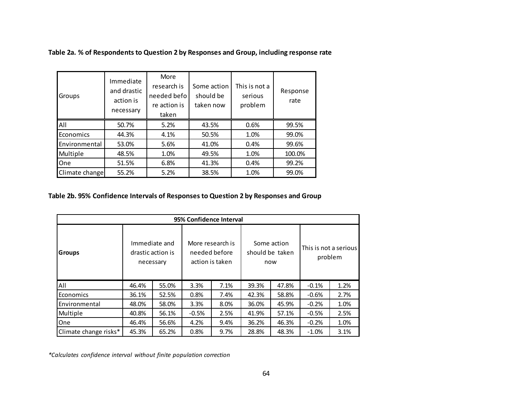| Table 2a. % of Respondents to Question 2 by Responses and Group, including response rate |  |  |
|------------------------------------------------------------------------------------------|--|--|
|                                                                                          |  |  |

| Groups         | Immediate<br>and drastic<br>action is<br>necessary | More<br>research is<br>needed befo<br>re action is<br>taken | Some action<br>should be<br>taken now | This is not a<br>serious<br>problem | Response<br>rate |
|----------------|----------------------------------------------------|-------------------------------------------------------------|---------------------------------------|-------------------------------------|------------------|
| All            | 50.7%                                              | 5.2%                                                        | 43.5%                                 | 0.6%                                | 99.5%            |
| Economics      | 44.3%                                              | 4.1%                                                        | 50.5%                                 | 1.0%                                | 99.0%            |
| Environmental  | 53.0%                                              | 5.6%                                                        | 41.0%                                 | 0.4%                                | 99.6%            |
| Multiple       | 48.5%                                              | 1.0%                                                        | 49.5%                                 | 1.0%                                | 100.0%           |
| One            | 51.5%                                              | 6.8%                                                        | 41.3%                                 | 0.4%                                | 99.2%            |
| Climate change | 55.2%                                              | 5.2%                                                        | 38.5%                                 | 1.0%                                | 99.0%            |

## **Table 2b. 95% Confidence Intervals of Responses to Question 2 by Responses and Group**

| 95% Confidence Interval |       |                                                 |         |                                                      |       |                                       |                                  |      |  |  |  |  |  |
|-------------------------|-------|-------------------------------------------------|---------|------------------------------------------------------|-------|---------------------------------------|----------------------------------|------|--|--|--|--|--|
| <b>Groups</b>           |       | Immediate and<br>drastic action is<br>necessary |         | More research is<br>needed before<br>action is taken |       | Some action<br>should be taken<br>now | This is not a serious<br>problem |      |  |  |  |  |  |
| All                     | 46.4% | 55.0%                                           | 3.3%    | 7.1%                                                 | 39.3% | 47.8%                                 | $-0.1%$                          | 1.2% |  |  |  |  |  |
| Economics               | 36.1% | 52.5%                                           | 0.8%    | 7.4%                                                 | 42.3% | 58.8%                                 | $-0.6%$                          | 2.7% |  |  |  |  |  |
| Environmental           | 48.0% | 58.0%                                           | 3.3%    | 8.0%                                                 | 36.0% | 45.9%                                 | $-0.2%$                          | 1.0% |  |  |  |  |  |
| Multiple                | 40.8% | 56.1%                                           | $-0.5%$ | 2.5%                                                 | 41.9% | 57.1%                                 | $-0.5%$                          | 2.5% |  |  |  |  |  |
| One                     | 46.4% | 56.6%                                           | 4.2%    | 9.4%                                                 | 36.2% | 46.3%                                 | $-0.2%$                          | 1.0% |  |  |  |  |  |
| Climate change risks*   | 45.3% | 65.2%                                           | 0.8%    | 9.7%                                                 | 28.8% | 48.3%                                 | $-1.0%$                          | 3.1% |  |  |  |  |  |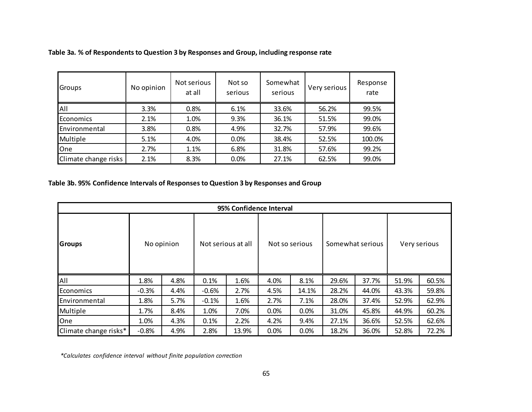| <b>Groups</b>        | No opinion | Not serious<br>at all | Not so<br>serious | Somewhat<br>serious | Very serious | Response<br>rate |
|----------------------|------------|-----------------------|-------------------|---------------------|--------------|------------------|
| <b>AII</b>           | 3.3%       | 0.8%                  | 6.1%              | 33.6%               | 56.2%        | 99.5%            |
| Economics            | 2.1%       | 1.0%                  | 9.3%              | 36.1%               | 51.5%        | 99.0%            |
| Environmental        | 3.8%       | 0.8%                  | 4.9%              | 32.7%               | 57.9%        | 99.6%            |
| Multiple             | 5.1%       | 4.0%                  | 0.0%              | 38.4%               | 52.5%        | 100.0%           |
| One                  | 2.7%       | 1.1%                  | 6.8%              | 31.8%               | 57.6%        | 99.2%            |
| Climate change risks | 2.1%       | 8.3%                  | 0.0%              | 27.1%               | 62.5%        | 99.0%            |

**Table 3a. % of Respondents to Question 3 by Responses and Group, including response rate**

## **Table 3b. 95% Confidence Intervals of Responses to Question 3 by Responses and Group**

|                       |         |            |                    | 95% Confidence Interval |      |                |       |                  |              |       |  |
|-----------------------|---------|------------|--------------------|-------------------------|------|----------------|-------|------------------|--------------|-------|--|
| <b>Groups</b>         |         | No opinion | Not serious at all |                         |      | Not so serious |       | Somewhat serious | Very serious |       |  |
| All                   | 1.8%    | 4.8%       | 0.1%               | 1.6%                    | 4.0% | 8.1%           | 29.6% | 37.7%            | 51.9%        | 60.5% |  |
| Economics             | $-0.3%$ | 4.4%       | $-0.6%$            | 2.7%                    | 4.5% | 14.1%          | 28.2% | 44.0%            | 43.3%        | 59.8% |  |
| Environmental         | 1.8%    | 5.7%       | $-0.1%$            | 1.6%                    | 2.7% | 7.1%           | 28.0% | 37.4%            | 52.9%        | 62.9% |  |
| Multiple              | 1.7%    | 8.4%       | 1.0%               | 7.0%                    | 0.0% | 0.0%           | 31.0% | 45.8%            | 44.9%        | 60.2% |  |
| One                   | 1.0%    | 4.3%       | 0.1%               | 2.2%                    | 4.2% | 9.4%           | 27.1% | 36.6%            | 52.5%        | 62.6% |  |
| Climate change risks* | $-0.8%$ | 4.9%       | 2.8%               | 13.9%                   | 0.0% | 0.0%           | 18.2% | 36.0%            | 52.8%        | 72.2% |  |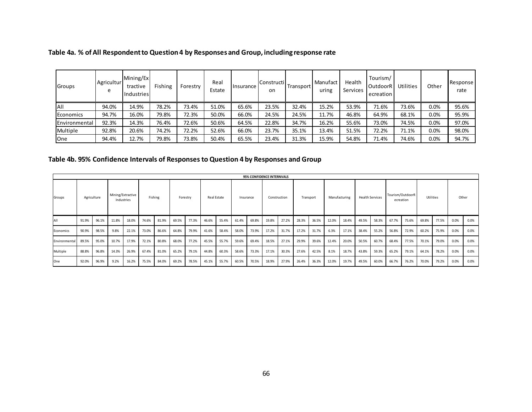| Groups        | Agricultur<br>e | Mining/Ex<br>tractive<br>Industries | Fishing | Forestry | Real<br>Estate | <b>Insurance</b> | <b>Constructi</b><br>on | Transport | Manufact<br>uring | Health<br>Services | Tourism/<br>OutdoorR<br>ecreation | Utilities | Other   | Response<br>rate |
|---------------|-----------------|-------------------------------------|---------|----------|----------------|------------------|-------------------------|-----------|-------------------|--------------------|-----------------------------------|-----------|---------|------------------|
| All           | 94.0%           | 14.9%                               | 78.2%   | 73.4%    | 51.0%          | 65.6%            | 23.5%                   | 32.4%     | 15.2%             | 53.9%              | 71.6%                             | 73.6%     | 0.0%    | 95.6%            |
| Economics     | 94.7%           | 16.0%                               | 79.8%   | 72.3%    | 50.0%          | 66.0%            | 24.5%                   | 24.5%     | 11.7%             | 46.8%              | 64.9%                             | 68.1%     | 0.0%    | 95.9%            |
| Environmental | 92.3%           | 14.3%                               | 76.4%   | 72.6%    | 50.6%          | 64.5%            | 22.8%                   | 34.7%     | 16.2%             | 55.6%              | 73.0%                             | 74.5%     | 0.0%    | 97.0%            |
| Multiple      | 92.8%           | 20.6%                               | 74.2%   | 72.2%    | 52.6%          | 66.0%            | 23.7%                   | 35.1%     | 13.4%             | 51.5%              | 72.2%                             | 71.1%     | 0.0%    | 98.0%            |
| <b>One</b>    | 94.4%           | 12.7%                               | 79.8%   | 73.8%    | 50.4%          | 65.5%            | 23.4%                   | 31.3%     | 15.9%             | 54.8%              | 71.4%                             | 74.6%     | $0.0\%$ | 94.7%            |

# **Table 4b. 95% Confidence Intervals of Responses to Question 4 by Responses and Group**

|               |       |             |                   |            |       |         |          |       |                          |       |                           |       | 95% CONFIDENCE INTERNVALS |       |                        |       |                               |       |           |       |       |       |       |       |      |      |
|---------------|-------|-------------|-------------------|------------|-------|---------|----------|-------|--------------------------|-------|---------------------------|-------|---------------------------|-------|------------------------|-------|-------------------------------|-------|-----------|-------|-------|-------|-------|-------|------|------|
| Groups        |       | Agriculture | Mining/Extractive | Industries |       | Fishing | Forestry |       | Real Estate<br>Insurance |       | Construction<br>Transport |       | Manufacturing             |       | <b>Health Services</b> |       | Tourism/OutdoorR<br>ecreation |       | Utilities |       | Other |       |       |       |      |      |
| All           | 91.9% | 96.1%       | 11.8%             | 18.0%      | 74.6% | 81.9%   | 69.5%    | 77.3% | 46.6%                    | 55.4% | 61.4%                     | 69.8% | 19.8%                     | 27.2% | 28.3%                  | 36.5% | 12.0%                         | 18.4% | 49.5%     | 58.3% | 67.7% | 75.6% | 69.8% | 77.5% | 0.0% | 0.0% |
| Economics     | 90.9% | 98.5%       | 9.8%              | 22.1%      | 73.0% | 86.6%   | 64.8%    | 79.9% | 41.6%                    | 58.4% | 58.0%                     | 73.9% | 17.2%                     | 31.7% | 17.2%                  | 31.7% | 6.3%                          | 17.1% | 38.4%     | 55.2% | 56.8% | 72.9% | 60.2% | 75.9% | 0.0% | 0.0% |
| Environmental | 89.5% | 95.0%       | 10.7%             | 17.9%      | 72.1% | 80.8%   | 68.0%    | 77.2% | 45.5%                    | 55.7% | 59.6%                     | 69.4% | 18.5%                     | 27.1% | 29.9%                  | 39.6% | 12.4%                         | 20.0% | 50.5%     | 60.7% | 68.4% | 77.5% | 70.1% | 79.0% | 0.0% | 0.0% |
| Multiple      | 88.8% | 96.8%       | 14.3%             | 26.9%      | 67.4% | 81.0%   | 65.2%    | 79.1% | 44.8%                    | 60.3% | 58.6%                     | 73.3% | 17.1%                     | 30.3% | 27.6%                  | 42.5% | 8.1%                          | 18.7% | 43.8%     | 59.3% | 65.2% | 79.1% | 64.1% | 78.2% | 0.0% | 0.0% |
| One           | 92.0% | 96.9%       | 9.2%              | 16.2%      | 75.5% | 84.0%   | 69.2%    | 78.5% | 45.1%                    | 55.7% | 60.5%                     | 70.5% | 18.9%                     | 27.9% | 26.4%                  | 36.3% | 12.0%                         | 19.7% | 49.5%     | 60.0% | 66.7% | 76.2% | 70.0% | 79.2% | 0.0% | 0.0% |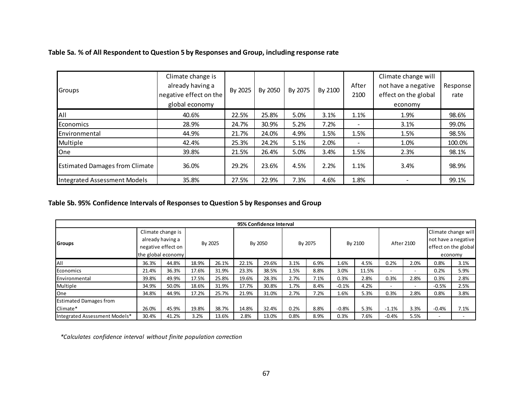| Groups                                | Climate change is<br>already having a<br>negative effect on the<br>global economy | By 2025 | By 2050 | By 2075 | By 2100 | After<br>2100  | Climate change will<br>not have a negative<br>effect on the global<br>economy | Response<br>rate |
|---------------------------------------|-----------------------------------------------------------------------------------|---------|---------|---------|---------|----------------|-------------------------------------------------------------------------------|------------------|
| All                                   | 40.6%                                                                             | 22.5%   | 25.8%   | 5.0%    | 3.1%    | 1.1%           | 1.9%                                                                          | 98.6%            |
| Economics                             | 28.9%                                                                             | 24.7%   | 30.9%   | 5.2%    | 7.2%    | $\overline{a}$ | 3.1%                                                                          | 99.0%            |
| Environmental                         | 44.9%                                                                             | 21.7%   | 24.0%   | 4.9%    | 1.5%    | 1.5%           | 1.5%                                                                          | 98.5%            |
| Multiple                              | 42.4%                                                                             | 25.3%   | 24.2%   | 5.1%    | 2.0%    |                | 1.0%                                                                          | 100.0%           |
| <b>One</b>                            | 39.8%                                                                             | 21.5%   | 26.4%   | 5.0%    | 3.4%    | 1.5%           | 2.3%                                                                          | 98.1%            |
| <b>Estimated Damages from Climate</b> | 36.0%                                                                             | 29.2%   | 23.6%   | 4.5%    | 2.2%    | 1.1%           | 3.4%                                                                          | 98.9%            |
| Integrated Assessment Models          | 35.8%                                                                             | 27.5%   | 22.9%   | 7.3%    | 4.6%    | 1.8%           |                                                                               | 99.1%            |

## **Table 5a. % of All Respondent to Question 5 by Responses and Group, including response rate**

## **Table 5b. 95% Confidence Intervals of Responses to Question 5 by Responses and Group**

|                               |       |                                          |       |         |       | 95% Confidence Interval |      |         |         |         |                                 |                |                                            |                          |  |
|-------------------------------|-------|------------------------------------------|-------|---------|-------|-------------------------|------|---------|---------|---------|---------------------------------|----------------|--------------------------------------------|--------------------------|--|
| Groups                        |       | Climate change is<br>already having a    |       | By 2025 |       | By 2050                 |      | By 2075 |         | By 2100 | <b>After 2100</b>               |                | Climate change will<br>not have a negative |                          |  |
|                               |       | negative effect on<br>the global economy |       |         |       |                         |      |         |         |         | effect on the global<br>economy |                |                                            |                          |  |
| All                           | 36.3% | 44.8%                                    | 18.9% | 26.1%   | 22.1% | 29.6%                   | 3.1% | 6.9%    | 1.6%    | 4.5%    | 0.2%                            | 2.0%           | 0.8%                                       | 3.1%                     |  |
| Economics                     | 21.4% | 36.3%                                    | 17.6% | 31.9%   | 23.3% | 38.5%                   | 1.5% | 8.8%    | 3.0%    | 11.5%   | $\overline{\phantom{a}}$        | $\overline{a}$ | 0.2%                                       | 5.9%                     |  |
| Environmental                 | 39.8% | 49.9%                                    | 17.5% | 25.8%   | 19.6% | 28.3%                   | 2.7% | 7.1%    | 0.3%    | 2.8%    | 0.3%                            | 2.8%           | 0.3%                                       | 2.8%                     |  |
| Multiple                      | 34.9% | 50.0%                                    | 18.6% | 31.9%   | 17.7% | 30.8%                   | 1.7% | 8.4%    | $-0.1%$ | 4.2%    | $\overline{\phantom{a}}$        | -              | $-0.5%$                                    | 2.5%                     |  |
| One                           | 34.8% | 44.9%                                    | 17.2% | 25.7%   | 21.9% | 31.0%                   | 2.7% | 7.2%    | 1.6%    | 5.3%    | 0.3%                            | 2.8%           | 0.8%                                       | 3.8%                     |  |
| <b>Estimated Damages from</b> |       |                                          |       |         |       |                         |      |         |         |         |                                 |                |                                            |                          |  |
| Climate*                      | 26.0% | 45.9%                                    | 19.8% | 38.7%   | 14.8% | 32.4%                   | 0.2% | 8.8%    | $-0.8%$ | 5.3%    | $-1.1%$                         | 3.3%           | $-0.4%$                                    | 7.1%                     |  |
| Integrated Assessment Models* | 30.4% | 41.2%                                    | 3.2%  | 13.6%   | 2.8%  | 13.0%                   | 0.8% | 8.9%    | 0.3%    | 7.6%    | $-0.4%$                         | 5.5%           |                                            | $\overline{\phantom{a}}$ |  |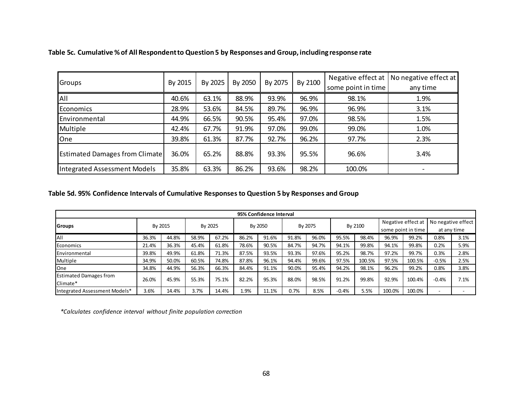| Groups                                | By 2015 | By 2025 | By 2050 | By 2075 | By 2100 | some point in time | Negative effect at   No negative effect at  <br>any time |
|---------------------------------------|---------|---------|---------|---------|---------|--------------------|----------------------------------------------------------|
| All                                   | 40.6%   | 63.1%   | 88.9%   | 93.9%   | 96.9%   | 98.1%              | 1.9%                                                     |
| Economics                             | 28.9%   | 53.6%   | 84.5%   | 89.7%   | 96.9%   | 96.9%              | 3.1%                                                     |
| Environmental                         | 44.9%   | 66.5%   | 90.5%   | 95.4%   | 97.0%   | 98.5%              | 1.5%                                                     |
| Multiple                              | 42.4%   | 67.7%   | 91.9%   | 97.0%   | 99.0%   | 99.0%              | 1.0%                                                     |
| One                                   | 39.8%   | 61.3%   | 87.7%   | 92.7%   | 96.2%   | 97.7%              | 2.3%                                                     |
| <b>Estimated Damages from Climate</b> | 36.0%   | 65.2%   | 88.8%   | 93.3%   | 95.5%   | 96.6%              | 3.4%                                                     |
| Integrated Assessment Models          | 35.8%   | 63.3%   | 86.2%   | 93.6%   | 98.2%   | 100.0%             |                                                          |

## **Table 5c. Cumulative % of All Respondent to Question 5 by Responses and Group, including response rate**

## **Table 5d. 95% Confidence Intervals of Cumulative Responses to Question 5 by Responses and Group**

| 95% Confidence Interval                   |         |       |         |       |         |       |         |       |         |        |                                          |        |                                   |      |
|-------------------------------------------|---------|-------|---------|-------|---------|-------|---------|-------|---------|--------|------------------------------------------|--------|-----------------------------------|------|
| <b>Groups</b>                             | By 2015 |       | By 2025 |       | By 2050 |       | By 2075 |       | By 2100 |        | Negative effect at<br>some point in time |        | No negative effect<br>at any time |      |
| All                                       | 36.3%   | 44.8% | 58.9%   | 67.2% | 86.2%   | 91.6% | 91.8%   | 96.0% | 95.5%   | 98.4%  | 96.9%                                    | 99.2%  | 0.8%                              | 3.1% |
| Economics                                 | 21.4%   | 36.3% | 45.4%   | 61.8% | 78.6%   | 90.5% | 84.7%   | 94.7% | 94.1%   | 99.8%  | 94.1%                                    | 99.8%  | 0.2%                              | 5.9% |
| <b>IEnvironmental</b>                     | 39.8%   | 49.9% | 61.8%   | 71.3% | 87.5%   | 93.5% | 93.3%   | 97.6% | 95.2%   | 98.7%  | 97.2%                                    | 99.7%  | 0.3%                              | 2.8% |
| Multiple                                  | 34.9%   | 50.0% | 60.5%   | 74.8% | 87.8%   | 96.1% | 94.4%   | 99.6% | 97.5%   | 100.5% | 97.5%                                    | 100.5% | $-0.5%$                           | 2.5% |
| One                                       | 34.8%   | 44.9% | 56.3%   | 66.3% | 84.4%   | 91.1% | 90.0%   | 95.4% | 94.2%   | 98.1%  | 96.2%                                    | 99.2%  | 0.8%                              | 3.8% |
| <b>Estimated Damages from</b><br>Climate* | 26.0%   | 45.9% | 55.3%   | 75.1% | 82.2%   | 95.3% | 88.0%   | 98.5% | 91.2%   | 99.8%  | 92.9%                                    | 100.4% | $-0.4%$                           | 7.1% |
| Integrated Assessment Models*             | 3.6%    | 14.4% | 3.7%    | 14.4% | 1.9%    | 11.1% | 0.7%    | 8.5%  | $-0.4%$ | 5.5%   | 100.0%                                   | 100.0% |                                   |      |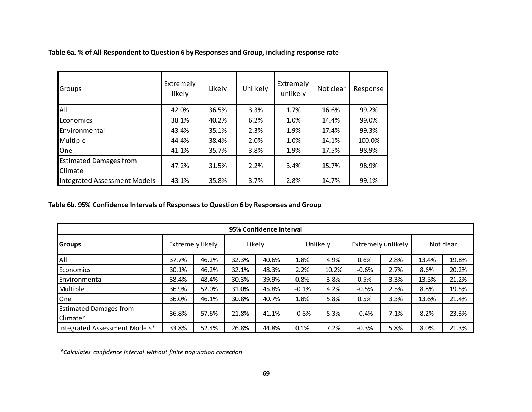| Groups                                   | Extremely<br>likely | Likely | <b>Unlikely</b> | Extremely<br>unlikely | Not clear | Response |
|------------------------------------------|---------------------|--------|-----------------|-----------------------|-----------|----------|
| All                                      | 42.0%               | 36.5%  | 3.3%            | 1.7%                  | 16.6%     | 99.2%    |
| Economics                                | 38.1%               | 40.2%  | 6.2%            | 1.0%                  | 14.4%     | 99.0%    |
| Environmental                            | 43.4%               | 35.1%  | 2.3%            | 1.9%                  | 17.4%     | 99.3%    |
| Multiple                                 | 44.4%               | 38.4%  | 2.0%            | 1.0%                  | 14.1%     | 100.0%   |
| One                                      | 41.1%               | 35.7%  | 3.8%            | 1.9%                  | 17.5%     | 98.9%    |
| <b>Estimated Damages from</b><br>Climate | 47.2%               | 31.5%  | 2.2%            | 3.4%                  | 15.7%     | 98.9%    |
| Integrated Assessment Models             | 43.1%               | 35.8%  | 3.7%            | 2.8%                  | 14.7%     | 99.1%    |

**Table 6a. % of All Respondent to Question 6 by Responses and Group, including response rate**

## **Table 6b. 95% Confidence Intervals of Responses to Question 6 by Responses and Group**

| 95% Confidence Interval                   |                  |       |        |       |          |       |                    |      |           |       |  |  |
|-------------------------------------------|------------------|-------|--------|-------|----------|-------|--------------------|------|-----------|-------|--|--|
| Groups                                    | Extremely likely |       | Likely |       | Unlikely |       | Extremely unlikely |      | Not clear |       |  |  |
| All                                       | 37.7%            | 46.2% | 32.3%  | 40.6% | 1.8%     | 4.9%  | 0.6%               | 2.8% | 13.4%     | 19.8% |  |  |
| <b>Economics</b>                          | 30.1%            | 46.2% | 32.1%  | 48.3% | 2.2%     | 10.2% | $-0.6%$            | 2.7% | 8.6%      | 20.2% |  |  |
| <b>Environmental</b>                      | 38.4%            | 48.4% | 30.3%  | 39.9% | 0.8%     | 3.8%  | 0.5%               | 3.3% | 13.5%     | 21.2% |  |  |
| Multiple                                  | 36.9%            | 52.0% | 31.0%  | 45.8% | $-0.1%$  | 4.2%  | $-0.5%$            | 2.5% | 8.8%      | 19.5% |  |  |
| One                                       | 36.0%            | 46.1% | 30.8%  | 40.7% | 1.8%     | 5.8%  | 0.5%               | 3.3% | 13.6%     | 21.4% |  |  |
| <b>Estimated Damages from</b><br>Climate* | 36.8%            | 57.6% | 21.8%  | 41.1% | $-0.8%$  | 5.3%  | $-0.4%$            | 7.1% | 8.2%      | 23.3% |  |  |
| Integrated Assessment Models*             | 33.8%            | 52.4% | 26.8%  | 44.8% | 0.1%     | 7.2%  | $-0.3%$            | 5.8% | 8.0%      | 21.3% |  |  |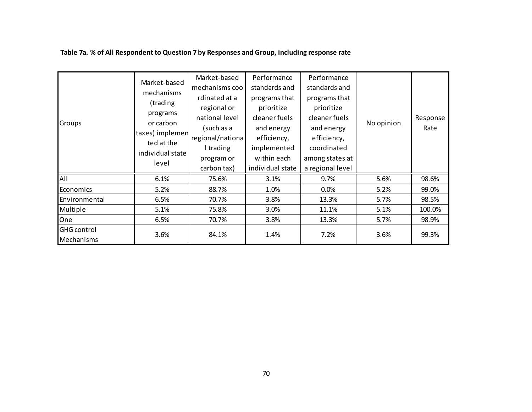| Groups                           | Market-based<br>mechanisms<br>(trading<br>programs<br>or carbon<br>taxes) implemen<br>ted at the<br>individual state<br>level | Market-based<br>mechanisms coo<br>rdinated at a<br>regional or<br>national level<br>(such as a<br>regional/nationa<br>I trading<br>program or<br>carbon tax) | Performance<br>standards and<br>programs that<br>prioritize<br>cleaner fuels<br>and energy<br>efficiency,<br>implemented<br>within each<br>individual state | Performance<br>standards and<br>programs that<br>prioritize<br>cleaner fuels<br>and energy<br>efficiency,<br>coordinated<br>among states at<br>a regional level | No opinion | Response<br>Rate |
|----------------------------------|-------------------------------------------------------------------------------------------------------------------------------|--------------------------------------------------------------------------------------------------------------------------------------------------------------|-------------------------------------------------------------------------------------------------------------------------------------------------------------|-----------------------------------------------------------------------------------------------------------------------------------------------------------------|------------|------------------|
| All                              | 6.1%                                                                                                                          | 75.6%                                                                                                                                                        | 3.1%                                                                                                                                                        | 9.7%                                                                                                                                                            | 5.6%       | 98.6%            |
| Economics                        | 5.2%                                                                                                                          | 88.7%                                                                                                                                                        | 1.0%                                                                                                                                                        | 0.0%                                                                                                                                                            | 5.2%       | 99.0%            |
| Environmental                    | 6.5%                                                                                                                          | 70.7%                                                                                                                                                        | 3.8%                                                                                                                                                        | 13.3%                                                                                                                                                           | 5.7%       | 98.5%            |
| Multiple                         | 5.1%                                                                                                                          | 75.8%                                                                                                                                                        | 3.0%                                                                                                                                                        | 11.1%                                                                                                                                                           | 5.1%       | 100.0%           |
| One                              | 6.5%                                                                                                                          | 70.7%                                                                                                                                                        | 3.8%                                                                                                                                                        | 13.3%                                                                                                                                                           | 5.7%       | 98.9%            |
| <b>GHG</b> control<br>Mechanisms | 3.6%                                                                                                                          | 84.1%                                                                                                                                                        | 1.4%                                                                                                                                                        | 7.2%                                                                                                                                                            | 3.6%       | 99.3%            |

## **Table 7a. % of All Respondent to Question 7 by Responses and Group, including response rate**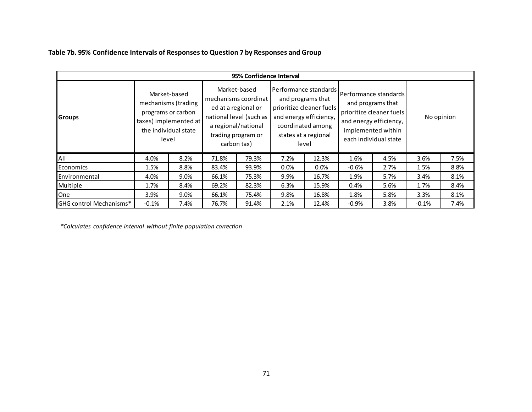|  |  |  |  | Table 7b. 95% Confidence Intervals of Responses to Question 7 by Responses and Group |
|--|--|--|--|--------------------------------------------------------------------------------------|
|--|--|--|--|--------------------------------------------------------------------------------------|

| 95% Confidence Interval |         |                                                                                                                     |                                                                                                                                                    |       |                                                                                                                                                        |         |                                                                                                                                                   |      |            |      |  |  |
|-------------------------|---------|---------------------------------------------------------------------------------------------------------------------|----------------------------------------------------------------------------------------------------------------------------------------------------|-------|--------------------------------------------------------------------------------------------------------------------------------------------------------|---------|---------------------------------------------------------------------------------------------------------------------------------------------------|------|------------|------|--|--|
| <b>Groups</b>           |         | Market-based<br>mechanisms (trading<br>programs or carbon<br>taxes) implemented at<br>the individual state<br>level | Market-based<br>mechanisms coordinat<br>ed at a regional or<br>national level (such as<br>a regional/national<br>trading program or<br>carbon tax) |       | Performance standards<br>and programs that<br>prioritize cleaner fuels<br>and energy efficiency,<br>coordinated among<br>states at a regional<br>level |         | Performance standards l<br>and programs that<br>prioritize cleaner fuels<br>and energy efficiency,<br>implemented within<br>each individual state |      | No opinion |      |  |  |
| All                     | 4.0%    | 8.2%                                                                                                                | 71.8%                                                                                                                                              | 79.3% | 7.2%                                                                                                                                                   | 12.3%   | 1.6%                                                                                                                                              | 4.5% | 3.6%       | 7.5% |  |  |
| Economics               | 1.5%    | 8.8%                                                                                                                | 83.4%                                                                                                                                              | 93.9% | 0.0%                                                                                                                                                   | $0.0\%$ | $-0.6%$                                                                                                                                           | 2.7% | 1.5%       | 8.8% |  |  |
| Environmental           | 4.0%    | 9.0%                                                                                                                | 66.1%                                                                                                                                              | 75.3% | 9.9%                                                                                                                                                   | 16.7%   | 1.9%                                                                                                                                              | 5.7% | 3.4%       | 8.1% |  |  |
| Multiple                | 1.7%    | 8.4%                                                                                                                | 69.2%                                                                                                                                              | 82.3% | 6.3%                                                                                                                                                   | 15.9%   | 0.4%                                                                                                                                              | 5.6% | 1.7%       | 8.4% |  |  |
| One                     | 3.9%    | 9.0%                                                                                                                | 66.1%                                                                                                                                              | 75.4% | 9.8%                                                                                                                                                   | 16.8%   | 1.8%                                                                                                                                              | 5.8% | 3.3%       | 8.1% |  |  |
| GHG control Mechanisms* | $-0.1%$ | 7.4%                                                                                                                | 76.7%                                                                                                                                              | 91.4% | 2.1%                                                                                                                                                   | 12.4%   | $-0.9%$                                                                                                                                           | 3.8% | $-0.1%$    | 7.4% |  |  |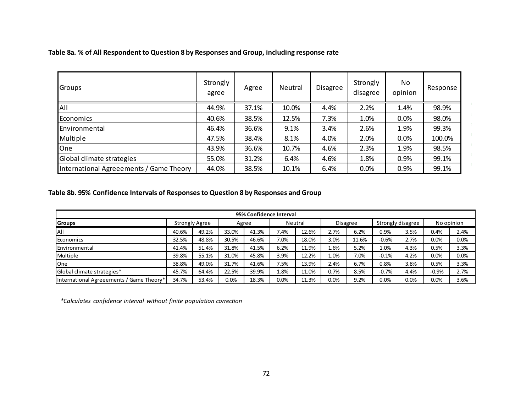| Groups                                  | Strongly<br>agree | Agree | Neutral | Disagree | Strongly<br>disagree | No.<br>opinion | Response |
|-----------------------------------------|-------------------|-------|---------|----------|----------------------|----------------|----------|
| All                                     | 44.9%             | 37.1% | 10.0%   | 4.4%     | 2.2%                 | 1.4%           | 98.9%    |
| Economics                               | 40.6%             | 38.5% | 12.5%   | 7.3%     | 1.0%                 | 0.0%           | 98.0%    |
| Environmental                           | 46.4%             | 36.6% | 9.1%    | 3.4%     | 2.6%                 | 1.9%           | 99.3%    |
| Multiple                                | 47.5%             | 38.4% | 8.1%    | 4.0%     | 2.0%                 | 0.0%           | 100.0%   |
| One                                     | 43.9%             | 36.6% | 10.7%   | 4.6%     | 2.3%                 | 1.9%           | 98.5%    |
| Global climate strategies               | 55.0%             | 31.2% | 6.4%    | 4.6%     | 1.8%                 | 0.9%           | 99.1%    |
| International Agreeements / Game Theory | 44.0%             | 38.5% | 10.1%   | 6.4%     | 0.0%                 | 0.9%           | 99.1%    |

H.

#### **Table 8a. % of All Respondent to Question 8 by Responses and Group, including response rate**

## **Table 8b. 95% Confidence Intervals of Responses to Question 8 by Responses and Group**

| 95% Confidence Interval                  |                       |       |       |       |         |       |          |       |                   |      |            |      |
|------------------------------------------|-----------------------|-------|-------|-------|---------|-------|----------|-------|-------------------|------|------------|------|
| <b>Groups</b>                            | <b>Strongly Agree</b> |       | Agree |       | Neutral |       | Disagree |       | Strongly disagree |      | No opinion |      |
| All                                      | 40.6%                 | 49.2% | 33.0% | 41.3% | 7.4%    | 12.6% | 2.7%     | 6.2%  | 0.9%              | 3.5% | 0.4%       | 2.4% |
| Economics                                | 32.5%                 | 48.8% | 30.5% | 46.6% | 7.0%    | 18.0% | 3.0%     | 11.6% | $-0.6%$           | 2.7% | 0.0%       | 0.0% |
| Environmental                            | 41.4%                 | 51.4% | 31.8% | 41.5% | 6.2%    | 11.9% | 1.6%     | 5.2%  | 1.0%              | 4.3% | 0.5%       | 3.3% |
| <b>Multiple</b>                          | 39.8%                 | 55.1% | 31.0% | 45.8% | 3.9%    | 12.2% | 1.0%     | 7.0%  | $-0.1%$           | 4.2% | 0.0%       | 0.0% |
| One                                      | 38.8%                 | 49.0% | 31.7% | 41.6% | 7.5%    | 13.9% | 2.4%     | 6.7%  | 0.8%              | 3.8% | 0.5%       | 3.3% |
| Global climate strategies*               | 45.7%                 | 64.4% | 22.5% | 39.9% | 1.8%    | 11.0% | 0.7%     | 8.5%  | $-0.7%$           | 4.4% | $-0.9%$    | 2.7% |
| International Agreeements / Game Theory* | 34.7%                 | 53.4% | 0.0%  | 18.3% | $0.0\%$ | 11.3% | 0.0%     | 9.2%  | 0.0%              | 0.0% | 0.0%       | 3.6% |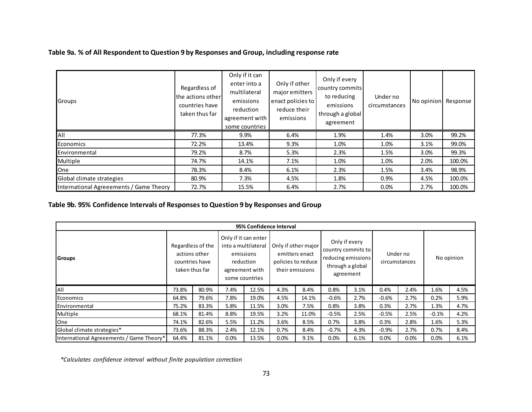## **Table 9a. % of All Respondent to Question 9 by Responses and Group, including response rate**

| Groups                                  | Regardless of<br>the actions other<br>countries have<br>taken thus far | Only if it can<br>enter into a<br>multilateral<br>emissions<br>reduction<br>agreement with<br>some countries | Only if other<br>major emitters<br>enact policies to<br>reduce their<br>emissions | Only if every<br>country commits<br>to reducing<br>emissions<br>through a global<br>agreement | Under no<br>circumstances | No opinion | Response |
|-----------------------------------------|------------------------------------------------------------------------|--------------------------------------------------------------------------------------------------------------|-----------------------------------------------------------------------------------|-----------------------------------------------------------------------------------------------|---------------------------|------------|----------|
| All                                     | 77.3%                                                                  | 9.9%                                                                                                         | 6.4%                                                                              | 1.9%                                                                                          | 1.4%                      | 3.0%       | 99.2%    |
| Economics                               | 72.2%                                                                  | 13.4%                                                                                                        | 9.3%                                                                              | 1.0%                                                                                          | 1.0%                      | 3.1%       | 99.0%    |
| Environmental                           | 79.2%                                                                  | 8.7%                                                                                                         | 5.3%                                                                              | 2.3%                                                                                          | 1.5%                      | 3.0%       | 99.3%    |
| Multiple                                | 74.7%                                                                  | 14.1%                                                                                                        | 7.1%                                                                              | 1.0%                                                                                          | 1.0%                      | 2.0%       | 100.0%   |
| <b>One</b>                              | 78.3%                                                                  | 8.4%                                                                                                         | 6.1%                                                                              | 2.3%                                                                                          | 1.5%                      | 3.4%       | 98.9%    |
| Global climate strategies               | 80.9%                                                                  | 7.3%                                                                                                         | 4.5%                                                                              | 1.8%                                                                                          | 0.9%                      | 4.5%       | 100.0%   |
| International Agreeements / Game Theory | 72.7%                                                                  | 15.5%                                                                                                        | 6.4%                                                                              | 2.7%                                                                                          | 0.0%                      | 2.7%       | 100.0%   |

## **Table 9b. 95% Confidence Intervals of Responses to Question 9 by Responses and Group**

|                                          |                                     |                                 |                                                                                                           | 95% Confidence Interval |                                                                                |       |                                                                                            |      |         |                           |            |      |
|------------------------------------------|-------------------------------------|---------------------------------|-----------------------------------------------------------------------------------------------------------|-------------------------|--------------------------------------------------------------------------------|-------|--------------------------------------------------------------------------------------------|------|---------|---------------------------|------------|------|
| Groups                                   | Regardless of the<br>countries have | actions other<br>taken thus far | Only if it can enter<br>into a multilateral<br>emissions<br>reduction<br>agreement with<br>some countries |                         | Only if other major<br>emitters enact<br>policies to reduce<br>their emissions |       | Only if every<br>country commits to<br>reducing emissions<br>through a global<br>agreement |      |         | Under no<br>circumstances | No opinion |      |
| All                                      | 73.8%                               | 80.9%                           | 7.4%                                                                                                      | 12.5%                   | 4.3%                                                                           | 8.4%  | 0.8%                                                                                       | 3.1% | 0.4%    | 2.4%                      | 1.6%       | 4.5% |
| Economics                                | 64.8%                               | 79.6%                           | 7.8%                                                                                                      | 19.0%                   | 4.5%                                                                           | 14.1% | $-0.6%$                                                                                    | 2.7% | $-0.6%$ | 2.7%                      | 0.2%       | 5.9% |
| Environmental                            | 75.2%                               | 83.3%                           | 5.8%                                                                                                      | 11.5%                   | 3.0%                                                                           | 7.5%  | 0.8%                                                                                       | 3.8% | 0.3%    | 2.7%                      | 1.3%       | 4.7% |
| Multiple                                 | 68.1%                               | 81.4%                           | 8.8%                                                                                                      | 19.5%                   | 3.2%                                                                           | 11.0% | $-0.5%$                                                                                    | 2.5% | $-0.5%$ | 2.5%                      | $-0.1%$    | 4.2% |
| One                                      | 74.1%                               | 82.6%                           | 5.5%                                                                                                      | 11.2%                   | 3.6%                                                                           | 8.5%  | 0.7%                                                                                       | 3.8% | 0.3%    | 2.8%                      | 1.6%       | 5.3% |
| Global climate strategies*               | 73.6%                               | 88.3%                           | 2.4%                                                                                                      | 12.1%                   | 0.7%                                                                           | 8.4%  | $-0.7%$                                                                                    | 4.3% | $-0.9%$ | 2.7%                      | 0.7%       | 8.4% |
| International Agreeements / Game Theory* | 64.4%                               | 81.1%                           | 0.0%                                                                                                      | 13.5%                   | 0.0%                                                                           | 9.1%  | 0.0%                                                                                       | 6.1% | 0.0%    | 0.0%                      | 0.0%       | 6.1% |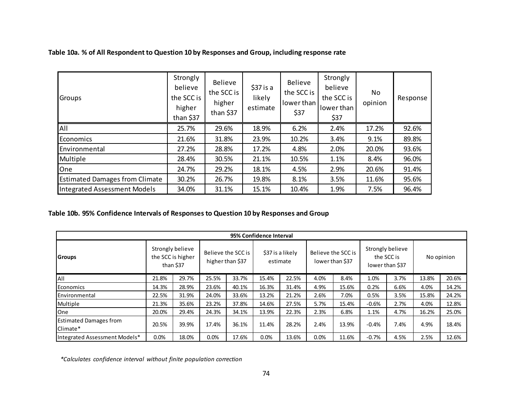| Groups                                | Strongly<br>believe<br>the SCC is<br>higher<br>than \$37 | <b>Believe</b><br>the SCC is<br>higher<br>than \$37 | $$37$ is a<br>likely<br>estimate | <b>Believe</b><br>the SCC is<br>lower than<br>\$37 | Strongly<br>believe<br>the SCC is<br>lower than<br>\$37 | No.<br>opinion | Response |
|---------------------------------------|----------------------------------------------------------|-----------------------------------------------------|----------------------------------|----------------------------------------------------|---------------------------------------------------------|----------------|----------|
| All                                   | 25.7%                                                    | 29.6%                                               | 18.9%                            | 6.2%                                               | 2.4%                                                    | 17.2%          | 92.6%    |
| Economics                             | 21.6%                                                    | 31.8%                                               | 23.9%                            | 10.2%                                              | 3.4%                                                    | 9.1%           | 89.8%    |
| Environmental                         | 27.2%                                                    | 28.8%                                               | 17.2%                            | 4.8%                                               | 2.0%                                                    | 20.0%          | 93.6%    |
| Multiple                              | 28.4%                                                    | 30.5%                                               | 21.1%                            | 10.5%                                              | 1.1%                                                    | 8.4%           | 96.0%    |
| One                                   | 24.7%                                                    | 29.2%                                               | 18.1%                            | 4.5%                                               | 2.9%                                                    | 20.6%          | 91.4%    |
| <b>Estimated Damages from Climate</b> | 30.2%                                                    | 26.7%                                               | 19.8%                            | 8.1%                                               | 3.5%                                                    | 11.6%          | 95.6%    |
| Integrated Assessment Models          | 34.0%                                                    | 31.1%                                               | 15.1%                            | 10.4%                                              | 1.9%                                                    | 7.5%           | 96.4%    |

## **Table 10a. % of All Respondent to Question 10 by Responses and Group, including response rate**

## **Table 10b. 95% Confidence Intervals of Responses to Question 10 by Responses and Group**

|                                           | 95% Confidence Interval |                                                    |                                        |       |                              |       |                                       |       |                                                   |      |            |       |
|-------------------------------------------|-------------------------|----------------------------------------------------|----------------------------------------|-------|------------------------------|-------|---------------------------------------|-------|---------------------------------------------------|------|------------|-------|
| <b>IGroups</b>                            |                         | Strongly believe<br>the SCC is higher<br>than \$37 | Believe the SCC is<br>higher than \$37 |       | \$37 is a likely<br>estimate |       | Believe the SCC is<br>lower than \$37 |       | Strongly believe<br>the SCC is<br>lower than \$37 |      | No opinion |       |
| All                                       | 21.8%                   | 29.7%                                              | 25.5%                                  | 33.7% | 15.4%                        | 22.5% | 4.0%                                  | 8.4%  | 1.0%                                              | 3.7% | 13.8%      | 20.6% |
| Economics                                 | 14.3%                   | 28.9%                                              | 23.6%                                  | 40.1% | 16.3%                        | 31.4% | 4.9%                                  | 15.6% | 0.2%                                              | 6.6% | 4.0%       | 14.2% |
| Environmental                             | 22.5%                   | 31.9%                                              | 24.0%                                  | 33.6% | 13.2%                        | 21.2% | 2.6%                                  | 7.0%  | 0.5%                                              | 3.5% | 15.8%      | 24.2% |
| Multiple                                  | 21.3%                   | 35.6%                                              | 23.2%                                  | 37.8% | 14.6%                        | 27.5% | 5.7%                                  | 15.4% | $-0.6%$                                           | 2.7% | 4.0%       | 12.8% |
| One                                       | 20.0%                   | 29.4%                                              | 24.3%                                  | 34.1% | 13.9%                        | 22.3% | 2.3%                                  | 6.8%  | 1.1%                                              | 4.7% | 16.2%      | 25.0% |
| <b>Estimated Damages from</b><br>Climate* | 20.5%                   | 39.9%                                              | 17.4%                                  | 36.1% | 11.4%                        | 28.2% | 2.4%                                  | 13.9% | $-0.4%$                                           | 7.4% | 4.9%       | 18.4% |
| Integrated Assessment Models*             | 0.0%                    | 18.0%                                              | 0.0%                                   | 17.6% | 0.0%                         | 13.6% | 0.0%                                  | 11.6% | $-0.7%$                                           | 4.5% | 2.5%       | 12.6% |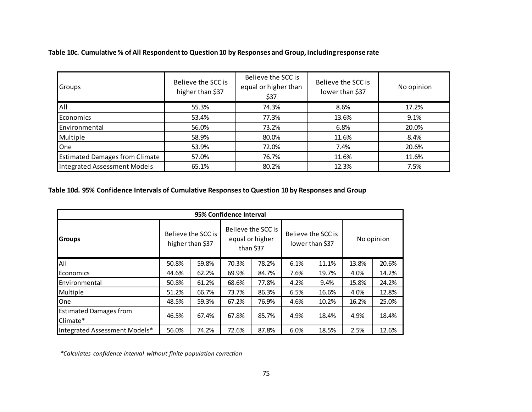| <b>Groups</b>                         | Believe the SCC is<br>higher than \$37 | Believe the SCC is<br>equal or higher than<br>\$37 | Believe the SCC is<br>lower than \$37 | No opinion |
|---------------------------------------|----------------------------------------|----------------------------------------------------|---------------------------------------|------------|
| All                                   | 55.3%                                  | 74.3%                                              | 8.6%                                  | 17.2%      |
| <b>Economics</b>                      | 53.4%                                  | 77.3%                                              | 13.6%                                 | 9.1%       |
| Environmental                         | 56.0%                                  | 73.2%                                              | 6.8%                                  | 20.0%      |
| Multiple                              | 58.9%                                  | 80.0%                                              | 11.6%                                 | 8.4%       |
| One                                   | 53.9%                                  | 72.0%                                              | 7.4%                                  | 20.6%      |
| <b>Estimated Damages from Climate</b> | 57.0%                                  | 76.7%                                              | 11.6%                                 | 11.6%      |
| Integrated Assessment Models          | 65.1%                                  | 80.2%                                              | 12.3%                                 | 7.5%       |

## **Table 10c. Cumulative % of All Respondent to Question 10 by Responses and Group, including response rate**

## **Table 10d. 95% Confidence Intervals of Cumulative Responses to Question 10 by Responses and Group**

| 95% Confidence Interval                   |                                        |       |                                                    |       |      |                                       |            |       |  |  |  |
|-------------------------------------------|----------------------------------------|-------|----------------------------------------------------|-------|------|---------------------------------------|------------|-------|--|--|--|
| <b>Groups</b>                             | Believe the SCC is<br>higher than \$37 |       | Believe the SCC is<br>equal or higher<br>than \$37 |       |      | Believe the SCC is<br>lower than \$37 | No opinion |       |  |  |  |
| All                                       | 50.8%                                  | 59.8% | 70.3%                                              | 78.2% | 6.1% | 11.1%                                 | 13.8%      | 20.6% |  |  |  |
| <b>Economics</b>                          | 44.6%                                  | 62.2% | 69.9%                                              | 84.7% | 7.6% | 19.7%                                 | 4.0%       | 14.2% |  |  |  |
| <b>Environmental</b>                      | 50.8%                                  | 61.2% | 68.6%                                              | 77.8% | 4.2% | 9.4%                                  | 15.8%      | 24.2% |  |  |  |
| Multiple                                  | 51.2%                                  | 66.7% | 73.7%                                              | 86.3% | 6.5% | 16.6%                                 | 4.0%       | 12.8% |  |  |  |
| One                                       | 48.5%                                  | 59.3% | 67.2%                                              | 76.9% | 4.6% | 10.2%                                 | 16.2%      | 25.0% |  |  |  |
| <b>Estimated Damages from</b><br>Climate* | 46.5%                                  | 67.4% | 67.8%                                              | 85.7% | 4.9% | 18.4%                                 | 4.9%       | 18.4% |  |  |  |
| Integrated Assessment Models*             | 56.0%                                  | 74.2% | 72.6%                                              | 87.8% | 6.0% | 18.5%                                 | 2.5%       | 12.6% |  |  |  |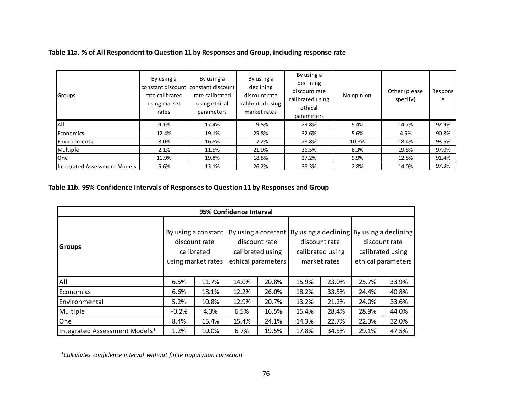## **Table 11a. % of All Respondent to Question 11 by Responses and Group, including response rate**

| Groups                       | By using a<br>constant discount constant discount l<br>rate calibrated<br>using market<br>rates | By using a<br>rate calibrated<br>using ethical<br>parameters | By using a<br>declining<br>discount rate<br>calibrated using<br>market rates | By using a<br>declining<br>discount rate<br>calibrated using<br>ethical<br>parameters | No opinion | Other (please)<br>specify) | Respons<br>e |
|------------------------------|-------------------------------------------------------------------------------------------------|--------------------------------------------------------------|------------------------------------------------------------------------------|---------------------------------------------------------------------------------------|------------|----------------------------|--------------|
| All                          | 9.1%                                                                                            | 17.4%                                                        | 19.5%                                                                        | 29.8%                                                                                 | 9.4%       | 14.7%                      | 92.9%        |
| Economics                    | 12.4%                                                                                           | 19.1%                                                        | 25.8%                                                                        | 32.6%                                                                                 | 5.6%       | 4.5%                       | 90.8%        |
| Environmental                | 8.0%                                                                                            | 16.8%                                                        | 17.2%                                                                        | 28.8%                                                                                 | 10.8%      | 18.4%                      | 93.6%        |
| Multiple                     | 2.1%                                                                                            | 11.5%                                                        | 21.9%                                                                        | 36.5%                                                                                 | 8.3%       | 19.8%                      | 97.0%        |
| <b>One</b>                   | 11.9%                                                                                           | 19.8%                                                        | 18.5%                                                                        | 27.2%                                                                                 | 9.9%       | 12.8%                      | 91.4%        |
| Integrated Assessment Models | 5.6%                                                                                            | 13.1%                                                        | 26.2%                                                                        | 38.3%                                                                                 | 2.8%       | 14.0%                      | 97.3%        |

## **Table 11b. 95% Confidence Intervals of Responses to Question 11 by Responses and Group**

|                               |         |                                                                          | 95% Confidence Interval |                                                                                |       |                                                   |                                                            |                                        |
|-------------------------------|---------|--------------------------------------------------------------------------|-------------------------|--------------------------------------------------------------------------------|-------|---------------------------------------------------|------------------------------------------------------------|----------------------------------------|
| <b>Groups</b>                 |         | By using a constant<br>discount rate<br>calibrated<br>using market rates |                         | By using a constant<br>discount rate<br>calibrated using<br>ethical parameters |       | discount rate<br>calibrated using<br>market rates | By using a declining By using a declining<br>discount rate | calibrated using<br>ethical parameters |
| All                           | 6.5%    | 11.7%                                                                    | 14.0%                   | 20.8%                                                                          | 15.9% | 23.0%                                             | 25.7%                                                      | 33.9%                                  |
| <b>Economics</b>              | 6.6%    | 18.1%                                                                    | 12.2%                   | 26.0%                                                                          | 18.2% | 33.5%                                             | 24.4%                                                      | 40.8%                                  |
| Environmental                 | 5.2%    | 10.8%                                                                    | 12.9%                   | 20.7%                                                                          | 13.2% | 21.2%                                             | 24.0%                                                      | 33.6%                                  |
| Multiple                      | $-0.2%$ | 4.3%                                                                     | 6.5%                    | 16.5%                                                                          | 15.4% | 28.4%                                             | 28.9%                                                      | 44.0%                                  |
| <b>One</b>                    | 8.4%    | 15.4%                                                                    | 15.4%                   | 24.1%                                                                          | 14.3% | 22.7%                                             | 22.3%                                                      | 32.0%                                  |
| Integrated Assessment Models* | 1.2%    | 10.0%                                                                    | 6.7%                    | 19.5%                                                                          | 17.8% | 34.5%                                             | 29.1%                                                      | 47.5%                                  |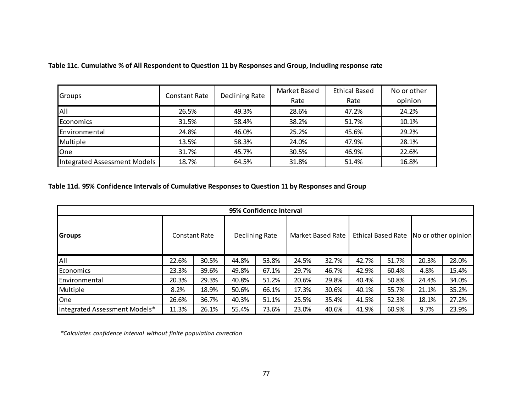|                              |                      |                | Market Based | <b>Ethical Based</b> | No or other |
|------------------------------|----------------------|----------------|--------------|----------------------|-------------|
| Groups                       | <b>Constant Rate</b> | Declining Rate | Rate         | Rate                 | opinion     |
| All                          | 26.5%                | 49.3%          | 28.6%        | 47.2%                | 24.2%       |
| Economics                    | 31.5%                | 58.4%          | 38.2%        | 51.7%                | 10.1%       |
| Environmental                | 24.8%                | 46.0%          | 25.2%        | 45.6%                | 29.2%       |
| Multiple                     | 13.5%                | 58.3%          | 24.0%        | 47.9%                | 28.1%       |
| One                          | 31.7%                | 45.7%          | 30.5%        | 46.9%                | 22.6%       |
| Integrated Assessment Models | 18.7%                | 64.5%          | 31.8%        | 51.4%                | 16.8%       |

## **Table 11c. Cumulative % of All Respondent to Question 11 by Responses and Group, including response rate**

# **Table 11d. 95% Confidence Intervals of Cumulative Responses to Question 11 by Responses and Group**

|                               | 95% Confidence Interval |       |                |       |                   |       |       |       |                                          |       |  |
|-------------------------------|-------------------------|-------|----------------|-------|-------------------|-------|-------|-------|------------------------------------------|-------|--|
| <b>Groups</b>                 | <b>Constant Rate</b>    |       | Declining Rate |       | Market Based Rate |       |       |       | Ethical Based Rate   No or other opinion |       |  |
| <b>AII</b>                    | 22.6%                   | 30.5% | 44.8%          | 53.8% | 24.5%             | 32.7% | 42.7% | 51.7% | 20.3%                                    | 28.0% |  |
| Economics                     | 23.3%                   | 39.6% | 49.8%          | 67.1% | 29.7%             | 46.7% | 42.9% | 60.4% | 4.8%                                     | 15.4% |  |
| Environmental                 | 20.3%                   | 29.3% | 40.8%          | 51.2% | 20.6%             | 29.8% | 40.4% | 50.8% | 24.4%                                    | 34.0% |  |
| Multiple                      | 8.2%                    | 18.9% | 50.6%          | 66.1% | 17.3%             | 30.6% | 40.1% | 55.7% | 21.1%                                    | 35.2% |  |
| <b>One</b>                    | 26.6%                   | 36.7% | 40.3%          | 51.1% | 25.5%             | 35.4% | 41.5% | 52.3% | 18.1%                                    | 27.2% |  |
| Integrated Assessment Models* | 11.3%                   | 26.1% | 55.4%          | 73.6% | 23.0%             | 40.6% | 41.9% | 60.9% | 9.7%                                     | 23.9% |  |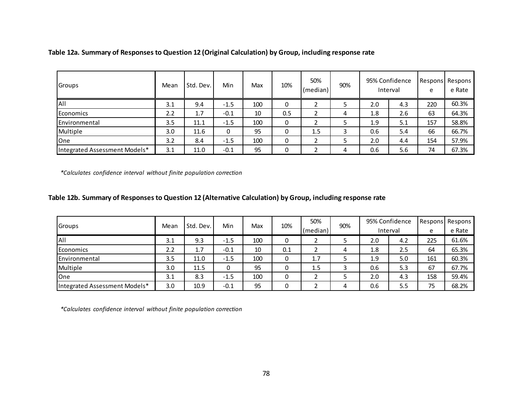| <b>Groups</b>                 | Mean | Std. Dev. | Min    | Max | 10% | 50%<br>(median) | 90% |     | 95% Confidence<br>Interval | e   | Respons Respons<br>e Rate |
|-------------------------------|------|-----------|--------|-----|-----|-----------------|-----|-----|----------------------------|-----|---------------------------|
| IAII                          | 3.1  | 9.4       | $-1.5$ | 100 |     |                 |     | 2.0 | 4.3                        | 220 | 60.3%                     |
| <b>Economics</b>              | 2.2  | 1.7       | $-0.1$ | 10  | 0.5 |                 | 4   | 1.8 | 2.6                        | 63  | 64.3%                     |
| Environmental                 | 3.5  | 11.1      | $-1.5$ | 100 | 0   |                 |     | 1.9 | 5.1                        | 157 | 58.8%                     |
| Multiple                      | 3.0  | 11.6      | 0      | 95  |     | 1.5             |     | 0.6 | 5.4                        | 66  | 66.7%                     |
| <b>O</b> ne                   | 3.2  | 8.4       | $-1.5$ | 100 | 0   |                 |     | 2.0 | 4.4                        | 154 | 57.9%                     |
| Integrated Assessment Models* | 3.1  | 11.0      | $-0.1$ | 95  |     |                 | 4   | 0.6 | 5.6                        | 74  | 67.3%                     |

**Table 12a. Summary of Responses to Question 12 (Original Calculation) by Group, including response rate**

*\*Calculates confidence interval without finite population correction*

#### **Table 12b. Summary of Responses to Question 12 (Alternative Calculation) by Group, including response rate**

| <b>Groups</b>                 | Mean | Std. Dev. | Min    | Max | 10% | 50%      | 90% |          | 95% Confidence |     | Respons Respons |
|-------------------------------|------|-----------|--------|-----|-----|----------|-----|----------|----------------|-----|-----------------|
|                               |      |           |        |     |     | (median) |     | Interval |                | e   | e Rate          |
| All                           | 3.1  | 9.3       | $-1.5$ | 100 | 0   |          |     | 2.0      | 4.2            | 225 | 61.6%           |
| <b>Economics</b>              | 2.2  | 1.7       | $-0.1$ | 10  | 0.1 |          | 4   | 1.8      | 2.5            | 64  | 65.3%           |
| Environmental                 | 3.5  | 11.0      | $-1.5$ | 100 | U   | 1.7      |     | 1.9      | 5.0            | 161 | 60.3%           |
| Multiple                      | 3.0  | 11.5      |        | 95  | U   | 1.5      |     | 0.6      | 5.3            | 67  | 67.7%           |
| <b>O</b> ne                   | 3.1  | 8.3       | $-1.5$ | 100 |     |          |     | 2.0      | 4.3            | 158 | 59.4%           |
| Integrated Assessment Models* | 3.0  | 10.9      | $-0.1$ | 95  |     |          | 4   | 0.6      | 5.5            | 75  | 68.2%           |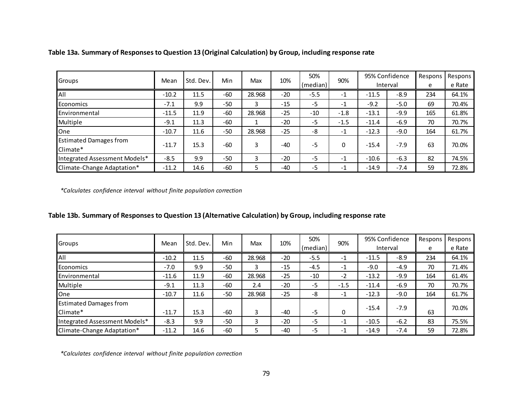| Groups                        | Mean    | Std. Dev. | Min   | Max    | 10%   | 50%      | 90%    | 95% Confidence |          | Respons | Respons |
|-------------------------------|---------|-----------|-------|--------|-------|----------|--------|----------------|----------|---------|---------|
|                               |         |           |       |        |       | (median) |        |                | Interval | e       | e Rate  |
| All                           | $-10.2$ | 11.5      | $-60$ | 28.968 | $-20$ | $-5.5$   | $-1$   | $-11.5$        | $-8.9$   | 234     | 64.1%   |
| <b>Economics</b>              | $-7.1$  | 9.9       | $-50$ |        | $-15$ | $-5$     | $-1$   | $-9.2$         | $-5.0$   | 69      | 70.4%   |
| Environmental                 | $-11.5$ | 11.9      | $-60$ | 28.968 | $-25$ | $-10$    | $-1.8$ | $-13.1$        | $-9.9$   | 165     | 61.8%   |
| Multiple                      | $-9.1$  | 11.3      | $-60$ |        | $-20$ | $-5$     | $-1.5$ | $-11.4$        | $-6.9$   | 70      | 70.7%   |
| <b>I</b> One                  | $-10.7$ | 11.6      | $-50$ | 28.968 | $-25$ | -8       | $-1$   | $-12.3$        | $-9.0$   | 164     | 61.7%   |
| <b>Estimated Damages from</b> |         |           |       |        |       |          |        |                |          |         |         |
| Climate*                      | $-11.7$ | 15.3      | $-60$ | 3      | $-40$ | $-5$     | 0      | $-15.4$        | $-7.9$   | 63      | 70.0%   |
| Integrated Assessment Models* | $-8.5$  | 9.9       | $-50$ |        | $-20$ | $-5$     | $-1$   | $-10.6$        | $-6.3$   | 82      | 74.5%   |
| Climate-Change Adaptation*    | $-11.2$ | 14.6      | $-60$ |        | $-40$ | $-5$     | $-1$   | $-14.9$        | $-7.4$   | 59      | 72.8%   |

**Table 13a. Summary of Responses to Question 13 (Original Calculation) by Group, including response rate**

*\*Calculates confidence interval without finite population correction*

## **Table 13b. Summary of Responses to Question 13 (Alternative Calculation) by Group, including response rate**

| Groups                        | Mean    | Std. Dev. | Min   | Max    | 10%   | 50%      | 90%    |         | 95% Confidence | Respons | Respons |
|-------------------------------|---------|-----------|-------|--------|-------|----------|--------|---------|----------------|---------|---------|
|                               |         |           |       |        |       | (median) |        |         | Interval       | e       | e Rate  |
| All                           | $-10.2$ | 11.5      | $-60$ | 28.968 | $-20$ | $-5.5$   | $-1$   | $-11.5$ | $-8.9$         | 234     | 64.1%   |
| <b>Economics</b>              | $-7.0$  | 9.9       | $-50$ |        | $-15$ | $-4.5$   | $-1$   | $-9.0$  | $-4.9$         | 70      | 71.4%   |
| Environmental                 | $-11.6$ | 11.9      | $-60$ | 28.968 | $-25$ | $-10$    | $-2$   | $-13.2$ | $-9.9$         | 164     | 61.4%   |
| Multiple                      | $-9.1$  | 11.3      | $-60$ | 2.4    | $-20$ | $-5$     | $-1.5$ | $-11.4$ | $-6.9$         | 70      | 70.7%   |
| <b>l</b> One                  | $-10.7$ | 11.6      | $-50$ | 28.968 | $-25$ | -8       | $-1$   | $-12.3$ | $-9.0$         | 164     | 61.7%   |
| <b>Estimated Damages from</b> |         |           |       |        |       |          |        | $-15.4$ | $-7.9$         |         | 70.0%   |
| Climate*                      | $-11.7$ | 15.3      | $-60$ |        | $-40$ | $-5$     | 0      |         |                | 63      |         |
| Integrated Assessment Models* | $-8.3$  | 9.9       | $-50$ | 3      | $-20$ | $-5$     | $-1$   | $-10.5$ | $-6.2$         | 83      | 75.5%   |
| Climate-Change Adaptation*    | $-11.2$ | 14.6      | $-60$ |        | $-40$ | $-5$     | $-1$   | $-14.9$ | $-7.4$         | 59      | 72.8%   |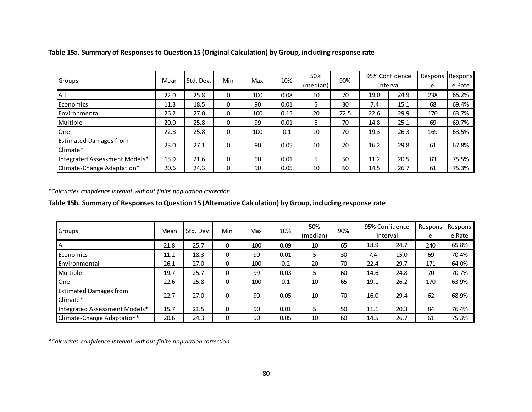| Groups                        | Mean | Std. Dev. | Min | Max | 10%  | 50%<br>(median) | 90%  |      | 95% Confidence<br>Interval | Respons | Respons<br>e Rate |
|-------------------------------|------|-----------|-----|-----|------|-----------------|------|------|----------------------------|---------|-------------------|
|                               |      |           |     |     |      |                 |      |      |                            | e       |                   |
| All                           | 22.0 | 25.8      |     | 100 | 0.08 | 10              | 70   | 19.0 | 24.9                       | 238     | 65.2%             |
| Economics                     | 11.3 | 18.5      |     | 90  | 0.01 | 5               | 30   | 7.4  | 15.1                       | 68      | 69.4%             |
| Environmental                 | 26.2 | 27.0      |     | 100 | 0.15 | 20              | 72.5 | 22.6 | 29.9                       | 170     | 63.7%             |
| Multiple                      | 20.0 | 25.8      | 0   | 99  | 0.01 | 5               | 70   | 14.8 | 25.1                       | 69      | 69.7%             |
| <b>One</b>                    | 22.8 | 25.8      |     | 100 | 0.1  | 10              | 70   | 19.3 | 26.3                       | 169     | 63.5%             |
| <b>Estimated Damages from</b> |      |           |     |     |      |                 |      |      |                            |         |                   |
| Climate*                      | 23.0 | 27.1      |     | 90  | 0.05 | 10              | 70   | 16.2 | 29.8                       | 61      | 67.8%             |
| Integrated Assessment Models* | 15.9 | 21.6      |     | 90  | 0.01 | 5               | 50   | 11.2 | 20.5                       | 83      | 75.5%             |
| Climate-Change Adaptation*    | 20.6 | 24.3      |     | 90  | 0.05 | 10              | 60   | 14.5 | 26.7                       | 61      | 75.3%             |

**Table 15a. Summary of Responses to Question 15 (Original Calculation) by Group, including response rate**

*\*Calculates confidence interval without finite population correction*

#### **Table 15b. Summary of Responses to Question 15 (Alternative Calculation) by Group, including response rate**

| Groups                                    | Mean | Std. Dev. | Min      | Max | 10%  | 50%<br>(median) | 90% |      | 95% Confidence<br>Interval | Respons<br>e | Respons<br>e Rate |
|-------------------------------------------|------|-----------|----------|-----|------|-----------------|-----|------|----------------------------|--------------|-------------------|
| All                                       | 21.8 | 25.7      | 0        | 100 | 0.09 | 10              | 65  | 18.9 | 24.7                       | 240          | 65.8%             |
| Economics                                 | 11.2 | 18.3      | 0        | 90  | 0.01 | 5               | 30  | 7.4  | 15.0                       | 69           | 70.4%             |
| Environmental                             | 26.1 | 27.0      | 0        | 100 | 0.2  | 20              | 70  | 22.4 | 29.7                       | 171          | 64.0%             |
| Multiple                                  | 19.7 | 25.7      | 0        | 99  | 0.03 |                 | 60  | 14.6 | 24.8                       | 70           | 70.7%             |
| <b>One</b>                                | 22.6 | 25.8      | 0        | 100 | 0.1  | 10              | 65  | 19.1 | 26.2                       | 170          | 63.9%             |
| <b>Estimated Damages from</b><br>Climate* | 22.7 | 27.0      | $\Omega$ | 90  | 0.05 | 10              | 70  | 16.0 | 29.4                       | 62           | 68.9%             |
| Integrated Assessment Models*             | 15.7 | 21.5      | 0        | 90  | 0.01 | 5               | 50  | 11.1 | 20.3                       | 84           | 76.4%             |
| Climate-Change Adaptation*                | 20.6 | 24.3      | 0        | 90  | 0.05 | 10              | 60  | 14.5 | 26.7                       | 61           | 75.3%             |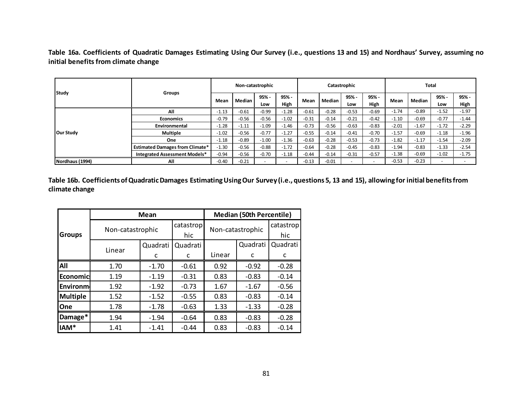**Table 16a. Coefficients of Quadratic Damages Estimating Using Our Survey (i.e., questions 13 and 15) and Nordhaus' Survey, assuming no initial benefits from climate change**

|                 |                                        |         | Non-catastrophic |         |         |         |         | Catastrophic |         | Total   |         |         |         |
|-----------------|----------------------------------------|---------|------------------|---------|---------|---------|---------|--------------|---------|---------|---------|---------|---------|
| <b>Study</b>    | <b>Groups</b>                          | Mean    | Median           | 95% -   | 95% -   | Mean    | Median  | 95% -        | 95% -   | Mean    | Median  | 95% -   | $95% -$ |
|                 |                                        |         |                  | Low     | High    |         |         | Low          | High    |         |         | Low     | High    |
|                 | All                                    | $-1.13$ | $-0.61$          | $-0.99$ | $-1.28$ | $-0.61$ | $-0.28$ | $-0.53$      | $-0.69$ | $-1.74$ | $-0.89$ | $-1.52$ | $-1.97$ |
|                 | <b>Economics</b>                       | $-0.79$ | $-0.56$          | $-0.56$ | $-1.02$ | $-0.31$ | $-0.14$ | $-0.21$      | $-0.42$ | $-1.10$ | $-0.69$ | $-0.77$ | $-1.44$ |
|                 | Environmental                          | $-1.28$ | $-1.11$          | $-1.09$ | $-1.46$ | $-0.73$ | $-0.56$ | $-0.63$      | $-0.83$ | $-2.01$ | $-1.67$ | $-1.72$ | $-2.29$ |
| Our Study       | <b>Multiple</b>                        | $-1.02$ | $-0.56$          | $-0.77$ | $-1.27$ | $-0.55$ | $-0.14$ | $-0.41$      | $-0.70$ | $-1.57$ | $-0.69$ | $-1.18$ | $-1.96$ |
|                 | <b>One</b>                             | $-1.18$ | $-0.89$          | $-1.00$ | $-1.36$ | $-0.63$ | $-0.28$ | $-0.53$      | $-0.73$ | $-1.82$ | $-1.17$ | $-1.54$ | $-2.09$ |
|                 | <b>Estimated Damages from Climate*</b> | $-1.30$ | $-0.56$          | $-0.88$ | $-1.72$ | $-0.64$ | $-0.28$ | $-0.45$      | $-0.83$ | $-1.94$ | $-0.83$ | $-1.33$ | $-2.54$ |
|                 | <b>Integrated Assessment Models*</b>   | $-0.94$ | $-0.56$          | $-0.70$ | $-1.18$ | $-0.44$ | $-0.14$ | $-0.31$      | $-0.57$ | $-1.38$ | $-0.69$ | $-1.02$ | $-1.75$ |
| Nordhaus (1994) | All                                    | $-0.40$ | $-0.21$          |         |         | $-0.13$ | $-0.01$ |              |         | $-0.53$ | $-0.23$ | -       |         |

**Table 16b. Coefficients of Quadratic Damages Estimating Using Our Survey (i.e., questions 5, 13 and 15), allowing for initial benefits from climate change**

|                 |                  | <b>Mean</b> |           |        | <b>Median (50th Percentile)</b> |           |
|-----------------|------------------|-------------|-----------|--------|---------------------------------|-----------|
|                 |                  |             | catastrop |        | Non-catastrophic                | catastrop |
| <b>Groups</b>   | Non-catastrophic |             | hic       |        |                                 | hic       |
|                 |                  | Quadrati    | Quadrati  |        | Quadrati                        | Quadrati  |
|                 | Linear           | C           | c         | Linear | C                               | C         |
| All             | 1.70             | $-1.70$     | $-0.61$   | 0.92   | $-0.92$                         | $-0.28$   |
| <b>Economic</b> | 1.19             | $-1.19$     | $-0.31$   | 0.83   | $-0.83$                         | $-0.14$   |
| Environm        | 1.92             | $-1.92$     | $-0.73$   | 1.67   | $-1.67$                         | $-0.56$   |
| <b>Multiple</b> | 1.52             | $-1.52$     | $-0.55$   | 0.83   | $-0.83$                         | $-0.14$   |
| One             | 1.78             | $-1.78$     | $-0.63$   | 1.33   | $-1.33$                         | $-0.28$   |
| Damage*         | 1.94             | $-1.94$     | $-0.64$   | 0.83   | $-0.83$                         | $-0.28$   |
| IAM*            | 1.41             | $-1.41$     | $-0.44$   | 0.83   | $-0.83$                         | $-0.14$   |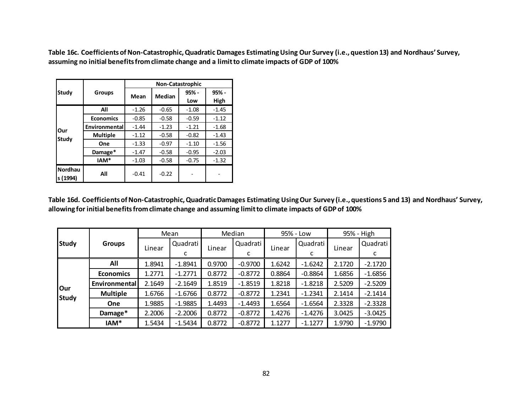**Table 16c. Coefficients of Non-Catastrophic, Quadratic Damages Estimating Using Our Survey (i.e., question 13) and Nordhaus' Survey, assuming no initial benefits from climate change and a limit to climate impacts of GDP of 100%**

|                            |                  |         | <b>Non-Catastrophic</b> |         |         |
|----------------------------|------------------|---------|-------------------------|---------|---------|
| Study                      | <b>Groups</b>    |         | Median                  | $95% -$ | $95% -$ |
|                            |                  | Mean    |                         | Low     | High    |
|                            | All              | $-1.26$ | $-0.65$                 | $-1.08$ | $-1.45$ |
|                            | <b>Economics</b> | $-0.85$ | $-0.58$                 | $-0.59$ | $-1.12$ |
| Our                        | Environmental    | $-1.44$ | $-1.23$                 | $-1.21$ | $-1.68$ |
| Study                      | <b>Multiple</b>  | $-1.12$ | $-0.58$                 | $-0.82$ | $-1.43$ |
|                            | One              | $-1.33$ | $-0.97$                 | $-1.10$ | $-1.56$ |
|                            | Damage*          | $-1.47$ | $-0.58$                 | $-0.95$ | $-2.03$ |
|                            | IAM*             | $-1.03$ | $-0.58$                 | $-0.75$ | $-1.32$ |
| <b>Nordhau</b><br>s (1994) | All              | $-0.41$ | $-0.22$                 |         |         |

**Table 16d. Coefficients of Non-Catastrophic, Quadratic Damages Estimating Using Our Survey (i.e., questions 5 and 13) and Nordhaus' Survey, allowing for initial benefits from climate change and assuming limit to climate impacts of GDP of 100%**

|              |                  |        | Mean      |        | Median    |        | 95% - Low |        | 95% - High |
|--------------|------------------|--------|-----------|--------|-----------|--------|-----------|--------|------------|
| <b>Study</b> | <b>Groups</b>    |        | Quadrati  |        | Quadrati  |        | Quadrati  |        | Quadrati   |
|              |                  | Linear | c         | Linear | J         | Linear | с         | Linear | J          |
|              | All              | 1.8941 | $-1.8941$ | 0.9700 | $-0.9700$ | 1.6242 | $-1.6242$ | 2.1720 | $-2.1720$  |
|              | <b>Economics</b> | 1.2771 | $-1.2771$ | 0.8772 | $-0.8772$ | 0.8864 | $-0.8864$ | 1.6856 | $-1.6856$  |
| Our          | Environmental    | 2.1649 | $-2.1649$ | 1.8519 | $-1.8519$ | 1.8218 | $-1.8218$ | 2.5209 | $-2.5209$  |
| <b>Study</b> | <b>Multiple</b>  | 1.6766 | $-1.6766$ | 0.8772 | $-0.8772$ | 1.2341 | $-1.2341$ | 2.1414 | $-2.1414$  |
|              | <b>One</b>       | 1.9885 | $-1.9885$ | 1.4493 | $-1.4493$ | 1.6564 | $-1.6564$ | 2.3328 | $-2.3328$  |
|              | Damage*          | 2.2006 | $-2.2006$ | 0.8772 | $-0.8772$ | 1.4276 | $-1.4276$ | 3.0425 | $-3.0425$  |
|              | IAM*             | 1.5434 | $-1.5434$ | 0.8772 | $-0.8772$ | 1.1277 | $-1.1277$ | 1.9790 | $-1.9790$  |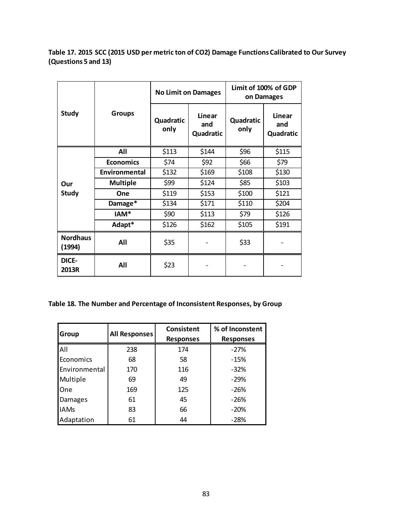**Table 17. 2015 SCC (2015 USD per metric ton of CO2) Damage Functions Calibrated to Our Survey (Questions 5 and 13)**

|                           |                  |                   | <b>No Limit on Damages</b> | Limit of 100% of GDP<br>on Damages |                            |  |  |
|---------------------------|------------------|-------------------|----------------------------|------------------------------------|----------------------------|--|--|
| <b>Study</b>              | <b>Groups</b>    | Quadratic<br>only | Linear<br>and<br>Quadratic | Quadratic<br>only                  | Linear<br>and<br>Quadratic |  |  |
|                           | All              | \$113             | \$144                      | \$96                               | \$115                      |  |  |
|                           | <b>Economics</b> | \$74              | \$92                       | \$66                               | \$79                       |  |  |
|                           | Environmental    | \$132             | \$169                      | \$108                              | \$130                      |  |  |
| Our                       | <b>Multiple</b>  | \$99              | \$124                      | \$85                               | \$103                      |  |  |
| <b>Study</b>              | One              | \$119             | \$153                      | \$100                              | \$121                      |  |  |
|                           | Damage*          | \$134             | \$171                      | \$110                              | \$204                      |  |  |
|                           | IAM <sup>*</sup> | \$90              | \$113                      | \$79                               | \$126                      |  |  |
|                           | Adapt*           | \$126             | \$162                      | \$105                              | \$191                      |  |  |
| <b>Nordhaus</b><br>(1994) | All              | \$35              |                            | \$33                               |                            |  |  |
| DICE-<br>2013R            | All              | \$23              |                            |                                    |                            |  |  |

**Table 18. The Number and Percentage of Inconsistent Responses, by Group**

| Group         | All Responses | <b>Consistent</b> | % of Inconstent  |
|---------------|---------------|-------------------|------------------|
|               |               | <b>Responses</b>  | <b>Responses</b> |
| All           | 238           | 174               | $-27%$           |
| Economics     | 68            | 58                | $-15%$           |
| Environmental | 170           | 116               | $-32%$           |
| Multiple      | 69            | 49                | $-29%$           |
| One           | 169           | 125               | $-26%$           |
| Damages       | 61            | 45                | $-26%$           |
| <b>IAMs</b>   | 83            | 66                | $-20%$           |
| Adaptation    | 61            | 44                | $-28%$           |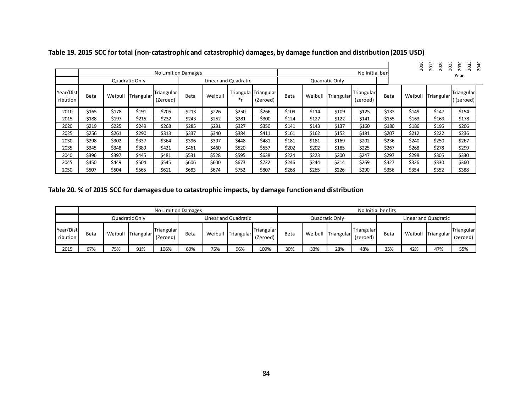|                       |                                        |         |              |                        |       |         |                |                                  |       |                |            |                        |       | 2010    | 20<br>$\mathbf{\mathbf{t}}$<br>$\overline{20}$<br>20 | 50<br>2035<br>m<br>$\bar{\sim}$<br>20<br>20 | 2040 |
|-----------------------|----------------------------------------|---------|--------------|------------------------|-------|---------|----------------|----------------------------------|-------|----------------|------------|------------------------|-------|---------|------------------------------------------------------|---------------------------------------------|------|
|                       | No Limit on Damages                    |         |              |                        |       |         |                |                                  |       | No Initial ben |            |                        |       |         |                                                      | Year                                        |      |
|                       | Linear and Quadratic<br>Quadratic Only |         |              |                        |       |         | Quadratic Only |                                  |       |                |            |                        |       |         |                                                      |                                             |      |
| Year/Dist<br>ribution | Beta                                   | Weibull | ITriangular' | Triangular<br>(Zeroed) | Beta  | Weibull | *r             | Triangula Triangular<br>(Zeroed) | Beta  | Weibull        | Triangular | Triangular<br>(zeroed) | Beta  | Weibull | Triangular <sup>®</sup>                              | Triangular<br>((zeroed))                    |      |
| 2010                  | \$165                                  | \$178   | \$191        | \$205                  | \$213 | \$226   | \$250          | \$266                            | \$109 | \$114          | \$109      | \$125                  | \$133 | \$149   | \$147                                                | \$154                                       |      |
| 2015                  | \$188                                  | \$197   | \$215        | \$232                  | \$243 | \$252   | \$281          | \$300                            | \$124 | \$127          | \$122      | \$141                  | \$155 | \$163   | \$169                                                | \$178                                       |      |
| 2020                  | \$219                                  | \$225   | \$249        | \$268                  | \$285 | \$291   | \$327          | \$350                            | \$141 | \$143          | \$137      | \$160                  | \$180 | \$186   | \$195                                                | \$206                                       |      |
| 2025                  | \$256                                  | \$261   | \$290        | \$313                  | \$337 | \$340   | \$384          | \$411                            | \$161 | \$162          | \$152      | \$181                  | \$207 | \$212   | \$222                                                | \$236                                       |      |
| 2030                  | \$298                                  | \$302   | \$337        | \$364                  | \$396 | \$397   | \$448          | \$481                            | \$181 | \$181          | \$169      | \$202                  | \$236 | \$240   | \$250                                                | \$267                                       |      |
| 2035                  | \$345                                  | \$348   | \$389        | \$421                  | \$461 | \$460   | \$520          | \$557                            | \$202 | \$202          | \$185      | \$225                  | \$267 | \$268   | \$278                                                | \$299                                       |      |
| 2040                  | \$396                                  | \$397   | \$445        | \$481                  | \$531 | \$528   | \$595          | \$638                            | \$224 | \$223          | \$200      | \$247                  | \$297 | \$298   | \$305                                                | \$330                                       |      |
| 2045                  | \$450                                  | \$449   | \$504        | \$545                  | \$606 | \$600   | \$673          | \$722                            | \$246 | \$244          | \$214      | \$269                  | \$327 | \$326   | \$330                                                | \$360                                       |      |
| 2050                  | \$507                                  | \$504   | \$565        | \$611                  | \$683 | \$674   | \$752          | \$807                            | \$268 | \$265          | \$226      | \$290                  | \$356 | \$354   | \$352                                                | \$388                                       |      |

**Table 19. 2015 SCC for total (non-catastrophic and catastrophic) damages, by damage function and distribution(2015 USD)**

## **Table 20. % of 2015 SCC for damages due to catastrophic impacts, by damage function and distribution**

|                       | No Limit on Damages |         |            |                        |                      |     |                    |                        | No Initial benfits |         |                      |                        |      |     |                    |                        |
|-----------------------|---------------------|---------|------------|------------------------|----------------------|-----|--------------------|------------------------|--------------------|---------|----------------------|------------------------|------|-----|--------------------|------------------------|
|                       | Quadratic Only      |         |            |                        | Linear and Quadratic |     |                    | Quadratic Only         |                    |         | Linear and Quadratic |                        |      |     |                    |                        |
| Year/Dist<br>ribution | Beta                | Weibull | Triangular | Triangular<br>(Zeroed) | Beta                 |     | Weibull Triangular | Triangular<br>(Zeroed) | Beta               | Weibull | Triangular           | Triangular<br>(zeroed) | Beta |     | Weibull Triangular | Triangular<br>(zeroed) |
| 2015                  | 67%                 | 75%     | 91%        | 106%                   | 69%                  | 75% | 96%                | 109%                   | 30%                | 33%     | 28%                  | 48%                    | 35%  | 42% | 47%                | 55%                    |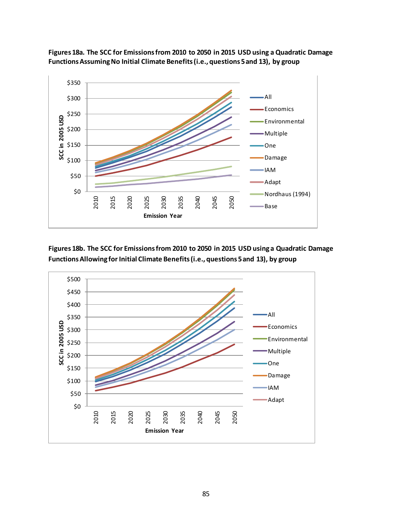

**Figures 18a. The SCC for Emissions from 2010 to 2050 in 2015 USD using a Quadratic Damage Functions Assuming No Initial Climate Benefits(i.e., questions 5 and 13), by group**

**Figures 18b. The SCC for Emissions from 2010 to 2050 in 2015 USD using a Quadratic Damage Functions Allowing for Initial Climate Benefits (i.e., questions 5 and 13), by group**

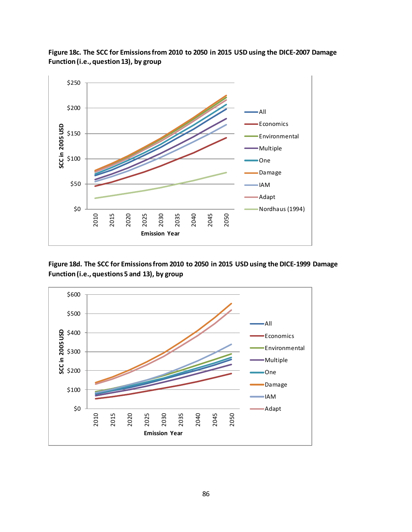

**Figure 18c. The SCC for Emissions from 2010 to 2050 in 2015 USD using the DICE-2007 Damage Function (i.e., question 13), by group**

**Figure 18d. The SCC for Emissions from 2010 to 2050 in 2015 USD using the DICE-1999 Damage Function (i.e., questions 5 and 13), by group**

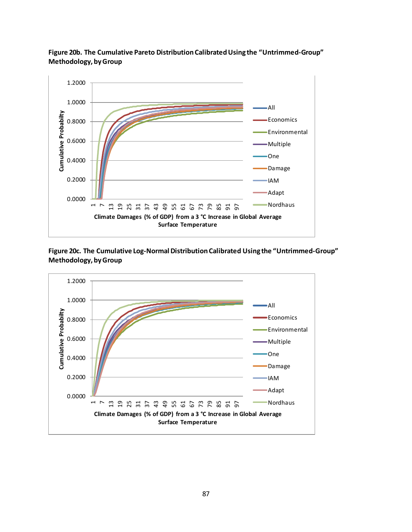

**Figure 20b. The Cumulative Pareto Distribution Calibrated Using the "Untrimmed-Group" Methodology, by Group**

**Figure 20c. The Cumulative Log-NormalDistribution Calibrated Using the "Untrimmed-Group" Methodology, by Group**

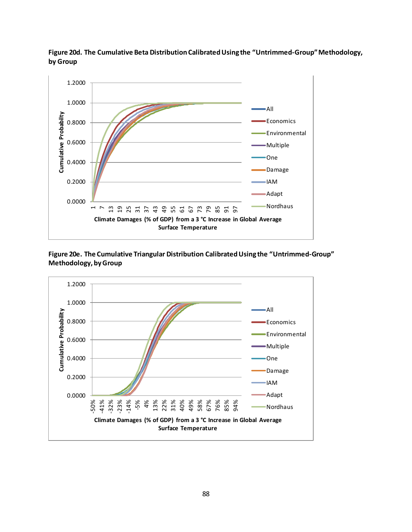

**Figure 20d. The Cumulative Beta Distribution Calibrated Using the "Untrimmed-Group" Methodology, by Group**

**Figure 20e. The Cumulative Triangular Distribution Calibrated Using the "Untrimmed-Group" Methodology, by Group**

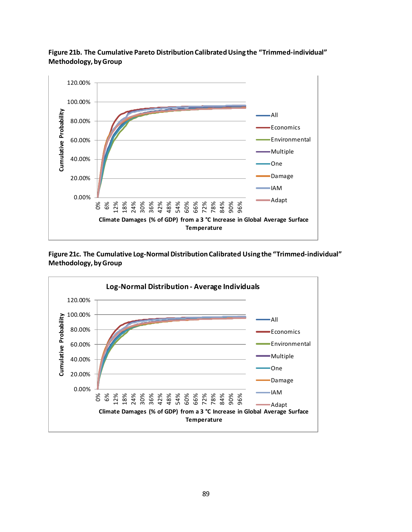

**Figure 21b. The Cumulative Pareto Distribution Calibrated Using the "Trimmed-individual" Methodology, by Group**

**Figure 21c. The Cumulative Log-Normal Distribution Calibrated Using the "Trimmed-individual" Methodology, by Group**

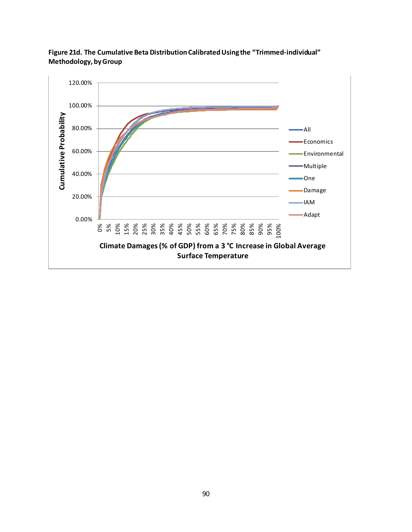

**Figure 21d. The Cumulative Beta Distribution Calibrated Using the "Trimmed-individual" Methodology, by Group**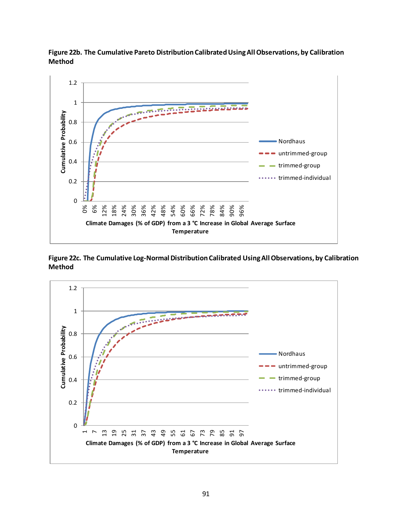

**Figure 22b. The Cumulative Pareto Distribution Calibrated Using All Observations, by Calibration Method**

**Figure 22c. The Cumulative Log-NormalDistribution Calibrated Using All Observations, by Calibration Method**

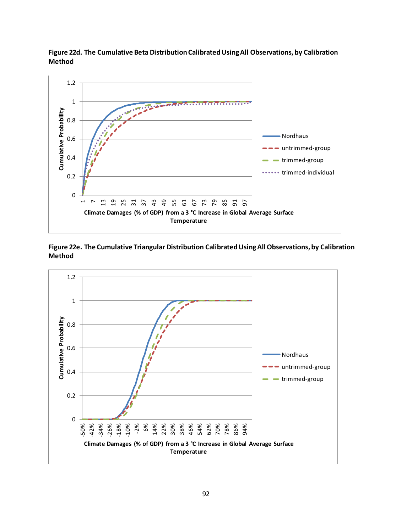

**Figure 22d. The Cumulative Beta Distribution Calibrated Using All Observations, by Calibration Method**

**Figure 22e. The Cumulative Triangular Distribution Calibrated Using All Observations, by Calibration Method**

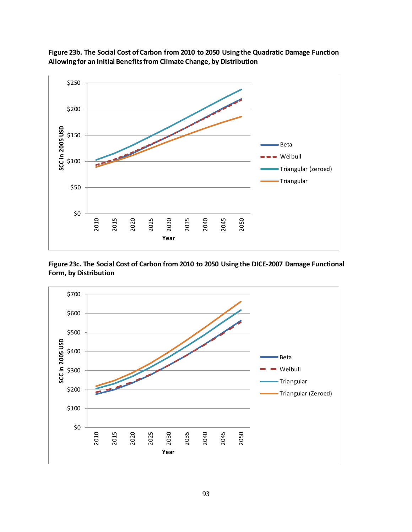

**Figure 23b. The Social Cost of Carbon from 2010 to 2050 Using the Quadratic Damage Function Allowing for an Initial Benefits from Climate Change, by Distribution**

**Figure 23c. The Social Cost of Carbon from 2010 to 2050 Using the DICE-2007 Damage Functional Form, by Distribution**

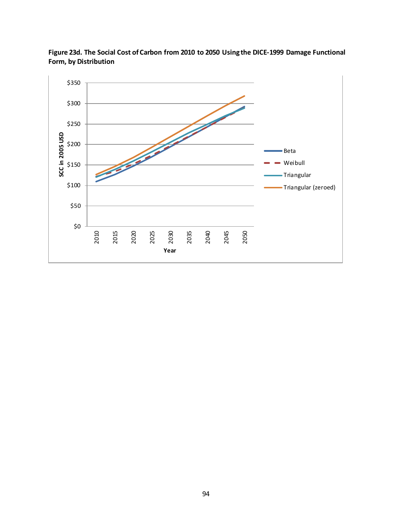

**Figure 23d. The Social Cost of Carbon from 2010 to 2050 Using the DICE-1999 Damage Functional Form, by Distribution**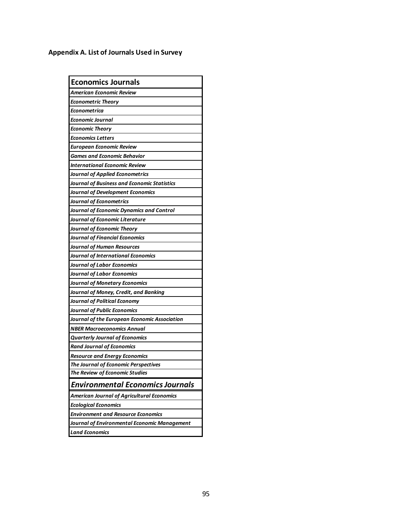## **Appendix A. List of Journals Used in Survey**

| <b>Economics Journals</b>                    |
|----------------------------------------------|
| American Economic Review                     |
| <b>Econometric Theory</b>                    |
| Econometrica                                 |
| Economic Journal                             |
| <b>Economic Theory</b>                       |
| Economics Letters                            |
| European Economic Review                     |
| Games and Economic Behavior                  |
| International Economic Review                |
| Journal of Applied Econometrics              |
| Journal of Business and Economic Statistics  |
| Journal of Development Economics             |
| Journal of Econometrics                      |
| Journal of Economic Dynamics and Control     |
| Journal of Economic Literature               |
| Journal of Economic Theory                   |
| Journal of Financial Economics               |
| Journal of Human Resources                   |
| Journal of International Economics           |
| Journal of Labor Economics                   |
| Journal of Labor Economics                   |
| Journal of Monetary Economics                |
| Journal of Money, Credit, and Banking        |
| Journal of Political Economy                 |
| Journal of Public Economics                  |
| Journal of the European Economic Association |
| NBER Macroeconomics Annual                   |
| <b>Quarterly Journal of Economics</b>        |
| Rand Journal of Economics                    |
| <b>Resource and Energy Economics</b>         |
| The Journal of Economic Perspectives         |
| The Review of Economic Studies               |
| <b>Environmental Economics Journals</b>      |
| American Journal of Agricultural Economics   |
| <b>Ecological Economics</b>                  |
| <b>Environment and Resource Economics</b>    |
| Journal of Environmental Economic Management |
| <b>Land Economics</b>                        |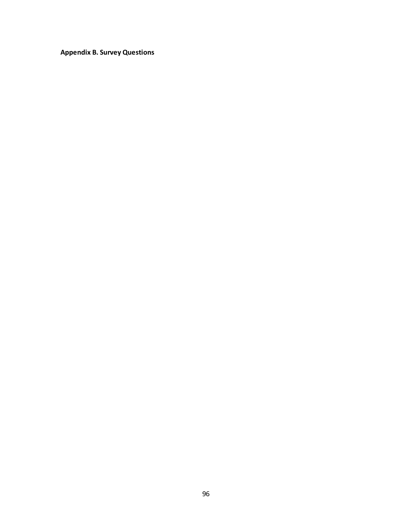**Appendix B. Survey Questions**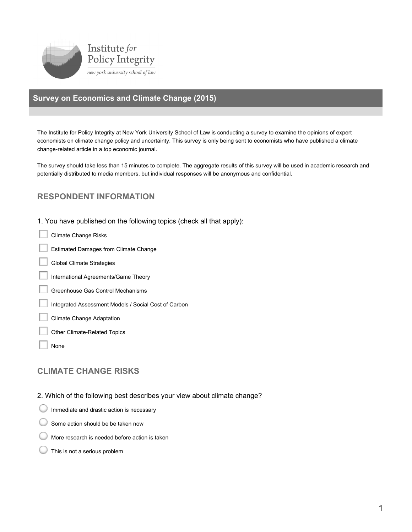

## **Survey on Economics and Climate Change (2015)**

The Institute for Policy Integrity at New York University School of Law is conducting a survey to examine the opinions of expert economists on climate change policy and uncertainty. This survey is only being sent to economists who have published a climate change-related article in a top economic journal.

The survey should take less than 15 minutes to complete. The aggregate results of this survey will be used in academic research and potentially distributed to media members, but individual responses will be anonymous and confidential.

## **RESPONDENT INFORMATION**

1. You have published on the following topics (check all that apply):

- **Climate Change Risks**
- **Estimated Damages from Climate Change**
- **Global Climate Strategies**
- International Agreements/Game Theory
- Greenhouse Gas Control Mechanisms
- Integrated Assessment Models / Social Cost of Carbon
- **Climate Change Adaptation**
- Other Climate-Related Topics
- None

## **CLIMATE CHANGE RISKS**

- 2. Which of the following best describes your view about climate change?
- Immediate and drastic action is necessary
- Some action should be be taken now
- More research is needed before action is taken
- This is not a serious problem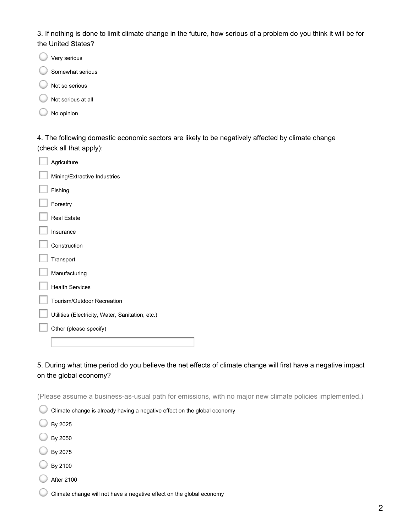3. If nothing is done to limit climate change in the future, how serious of a problem do you think it will be for the United States?

|  | Very serious |
|--|--------------|
|  |              |

- Somewhat serious
- Not so serious
- Not serious at all
- No opinion

4. The following domestic economic sectors are likely to be negatively affected by climate change (check all that apply):

| Agriculture                                      |
|--------------------------------------------------|
| Mining/Extractive Industries                     |
| Fishing                                          |
| Forestry                                         |
| <b>Real Estate</b>                               |
| Insurance                                        |
| Construction                                     |
| Transport                                        |
| Manufacturing                                    |
| <b>Health Services</b>                           |
| Tourism/Outdoor Recreation                       |
| Utilities (Electricity, Water, Sanitation, etc.) |
| Other (please specify)                           |
|                                                  |

5. During what time period do you believe the net effects of climate change will first have a negative impact on the global economy?

(Please assume a business-as-usual path for emissions, with no major new climate policies implemented.)

|  |  |  |  | $^\top$ Climate change is already having a negative effect on the global economy |  |
|--|--|--|--|----------------------------------------------------------------------------------|--|
|  |  |  |  |                                                                                  |  |

- By 2025
- By 2050
- By 2075
- By 2100
- **After 2100**

Climate change will not have a negative effect on the global economy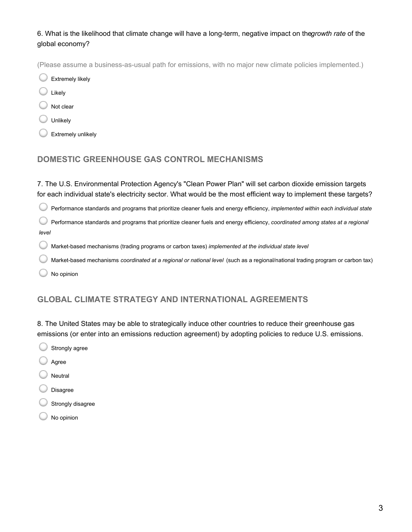6. What is the likelihood that climate change will have a long-term, negative impact on the growth rate of the global economy?

(Please assume a business-as-usual path for emissions, with no major new climate policies implemented.)

**Extremely likely** 

- Likely
- Not clear
- Unlikely
- Extremely unlikely

## **DOMESTIC GREENHOUSE GAS CONTROL MECHANISMS**

7. The U.S. Environmental Protection Agency's "Clean Power Plan" will set carbon dioxide emission targets for each individual state's electricity sector. What would be the most efficient way to implement these targets?

Performance standards and programs that prioritize cleaner fuels and energy efficiency, implemented within each individual state

C Performance standards and programs that prioritize cleaner fuels and energy efficiency, coordinated among states at a regional level

Market-based mechanisms (trading programs or carbon taxes) implemented at the individual state level €

- Market-based mechanisms coordinated at a regional or national level (such as a regional/national trading program or carbon tax)
- No opinion

## **GLOBAL CLIMATE STRATEGY AND INTERNATIONAL AGREEMENTS**

8. The United States may be able to strategically induce other countries to reduce their greenhouse gas emissions (or enter into an emissions reduction agreement) by adopting policies to reduce U.S. emissions.

- Strongly agree
- Agree
- Neutral
- **Disagree**
- Strongly disagree
- No opinion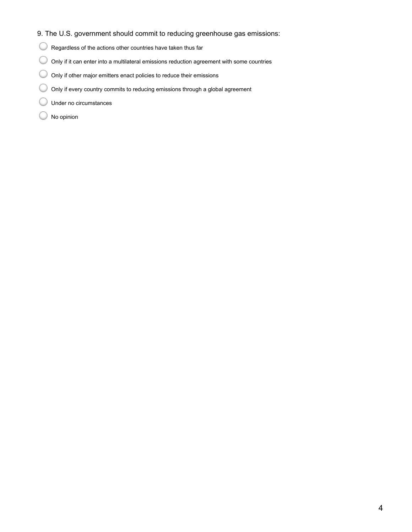#### 9. The U.S. government should commit to reducing greenhouse gas emissions:

- Regardless of the actions other countries have taken thus far
- Only if it can enter into a multilateral emissions reduction agreement with some countries
- O Only if other major emitters enact policies to reduce their emissions
- O Only if every country commits to reducing emissions through a global agreement
- C Under no circumstances
- No opinion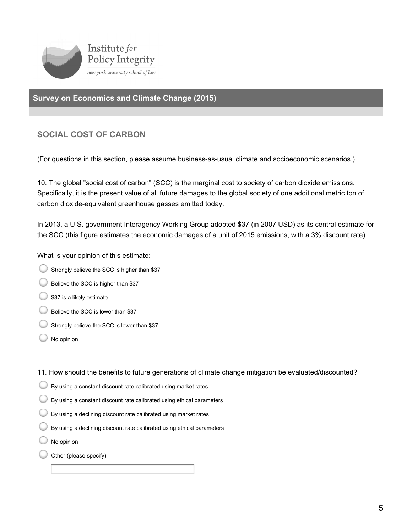

## **Survey on Economics and Climate Change (2015)**

## **SOCIAL COST OF CARBON**

(For questions in this section, please assume business-as-usual climate and socioeconomic scenarios.)

10. The global "social cost of carbon" (SCC) is the marginal cost to society of carbon dioxide emissions. Specifically, it is the present value of all future damages to the global society of one additional metric ton of carbon dioxide-equivalent greenhouse gasses emitted today.

In 2013, a U.S. government Interagency Working Group adopted \$37 (in 2007 USD) as its central estimate for the SCC (this figure estimates the economic damages of a unit of 2015 emissions, with a 3% discount rate).

What is your opinion of this estimate:

- Strongly believe the SCC is higher than \$37
- Believe the SCC is higher than \$37
- \$37 is a likely estimate
- Believe the SCC is lower than \$37
- Strongly believe the SCC is lower than \$37
- No opinion

11. How should the benefits to future generations of climate change mitigation be evaluated/discounted?

- By using a constant discount rate calibrated using market rates
- $\bigcirc$  By using a constant discount rate calibrated using ethical parameters
- $\bigcirc$  By using a declining discount rate calibrated using market rates
- By using a declining discount rate calibrated using ethical parameters
- No opinion
- Other (please specify)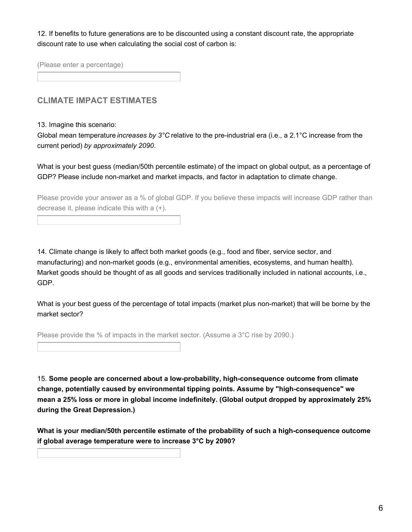12. If benefits to future generations are to be discounted using a constant discount rate, the appropriate discount rate to use when calculating the social cost of carbon is:

(Please enter a percentage)

## **CLIMATE IMPACT ESTIMATES**

#### 13. Imagine this scenario:

Global mean temperature *increases by* 3°C relative to the pre-industrial era (i.e., a 2.1°C increase from the current period) by approximately 2090.

What is your best guess (median/50th percentile estimate) of the impact on global output, as a percentage of GDP? Please include non-market and market impacts, and factor in adaptation to climate change.

Please provide your answer as a % of global GDP. If you believe these impacts will increase GDP rather than decrease it, please indicate this with a  $(+)$ .

14. Climate change is likely to affect both market goods (e.g., food and fiber, service sector, and manufacturing) and non-market goods (e.g., environmental amenities, ecosystems, and human health). Market goods should be thought of as all goods and services traditionally included in national accounts, i.e., GDP

What is your best guess of the percentage of total impacts (market plus non-market) that will be borne by the market sector?

Please provide the % of impacts in the market sector. (Assume a 3<sup>°</sup>C rise by 2090.)

15. Some people are concerned about a low-probability, high-consequence outcome from climate change, potentially caused by environmental tipping points. Assume by "high-consequence" we mean a 25% loss or more in global income indefinitely. (Global output dropped by approximately 25% during the Great Depression.)

What is your median/50th percentile estimate of the probability of such a high-consequence outcome if global average temperature were to increase 3°C by 2090?